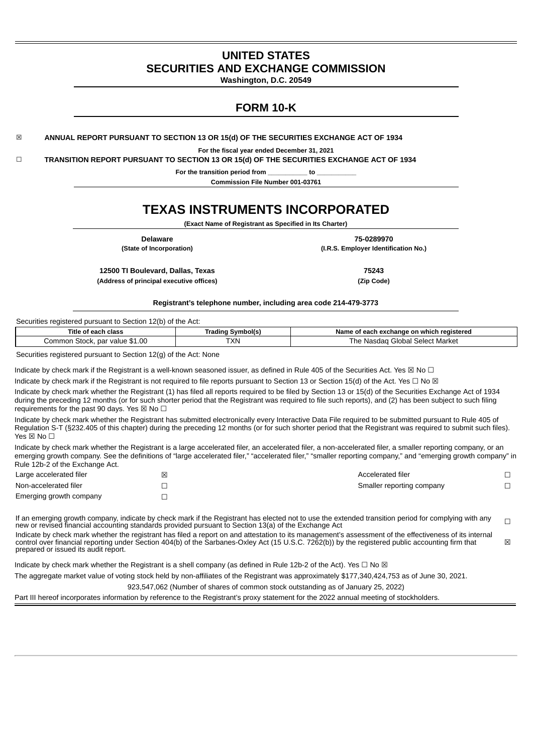## **UNITED STATES SECURITIES AND EXCHANGE COMMISSION**

**Washington, D.C. 20549**

# **FORM 10-K**

☒ **ANNUAL REPORT PURSUANT TO SECTION 13 OR 15(d) OF THE SECURITIES EXCHANGE ACT OF 1934**

**For the fiscal year ended December 31, 2021**

☐ **TRANSITION REPORT PURSUANT TO SECTION 13 OR 15(d) OF THE SECURITIES EXCHANGE ACT OF 1934**

**For the transition period from \_\_\_\_\_\_\_\_\_\_\_ to \_\_\_\_\_\_\_\_\_\_\_**

**Commission File Number 001-03761**

# **TEXAS INSTRUMENTS INCORPORATED**

**(Exact Name of Registrant as Specified in Its Charter)**

**Delaware 75-0289970**

**(State of Incorporation) (I.R.S. Employer Identification No.)**

**12500 TI Boulevard, Dallas, Texas 75243 (Address of principal executive offices) (Zip Code)**

**Registrant's telephone number, including area code 214-479-3773**

| Securities registered pursuant to Section 12(b) of the Act: |                   |                                           |
|-------------------------------------------------------------|-------------------|-------------------------------------------|
| Title of each class                                         | Trading Symbol(s) | Name of each exchange on which registered |
| Common Stock, par value \$1.00                              | TXN               | The Nasdag Global Select Market           |

Securities registered pursuant to Section 12(g) of the Act: None

prepared or issued its audit report.

Indicate by check mark if the Registrant is a well-known seasoned issuer, as defined in Rule 405 of the Securities Act. Yes  $\boxtimes$  No  $\Box$ 

Indicate by check mark if the Registrant is not required to file reports pursuant to Section 13 or Section 15(d) of the Act. Yes  $\Box$  No  $\boxtimes$ 

Indicate by check mark whether the Registrant (1) has filed all reports required to be filed by Section 13 or 15(d) of the Securities Exchange Act of 1934 during the preceding 12 months (or for such shorter period that the Registrant was required to file such reports), and (2) has been subject to such filing requirements for the past 90 days. Yes  $\boxtimes$  No  $\Box$ 

Indicate by check mark whether the Registrant has submitted electronically every Interactive Data File required to be submitted pursuant to Rule 405 of Regulation S-T (§232.405 of this chapter) during the preceding 12 months (or for such shorter period that the Registrant was required to submit such files). Yes ⊠ No □

Indicate by check mark whether the Registrant is a large accelerated filer, an accelerated filer, a non-accelerated filer, a smaller reporting company, or an emerging growth company. See the definitions of "large accelerated filer," "accelerated filer," "smaller reporting company," and "emerging growth company" in Rule 12b-2 of the Exchange Act.

| Large accelerated filer | ⊠ | Accelerated filer         |  |
|-------------------------|---|---------------------------|--|
| Non-accelerated filer   |   | Smaller reporting company |  |
| Emerging growth company |   |                           |  |

If an emerging growth company, indicate by check mark if the Registrant has elected not to use the extended transition period for complying with any If an emerging growth company, indicate by check mark if the Registrant has elected not to use the extended transition period for complying with any  $_\Box$  new or revised financial accounting standards provided pursuant to Indicate by check mark whether the registrant has filed a report on and attestation to its management's assessment of the effectiveness of its internal control over financial reporting under Section 404(b) of the Sarbanes-Oxley Act (15 U.S.C. 7262(b)) by the registered public accounting firm that  $\overline{\mathbf{x}}$ 

Indicate by check mark whether the Registrant is a shell company (as defined in Rule 12b-2 of the Act). Yes  $\Box$  No  $\boxtimes$ 

The aggregate market value of voting stock held by non-affiliates of the Registrant was approximately \$177,340,424,753 as of June 30, 2021.

923,547,062 (Number of shares of common stock outstanding as of January 25, 2022)

Part III hereof incorporates information by reference to the Registrant's proxy statement for the 2022 annual meeting of stockholders.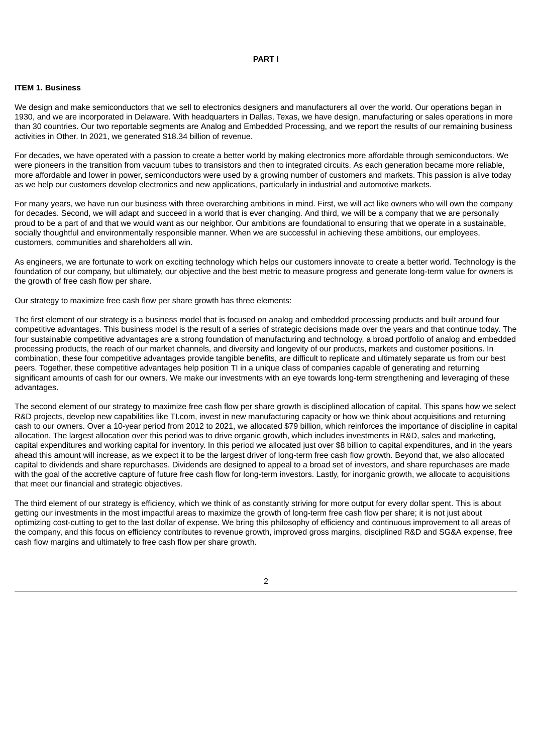#### **PART I**

#### **ITEM 1. Business**

We design and make semiconductors that we sell to electronics designers and manufacturers all over the world. Our operations began in 1930, and we are incorporated in Delaware. With headquarters in Dallas, Texas, we have design, manufacturing or sales operations in more than 30 countries. Our two reportable segments are Analog and Embedded Processing, and we report the results of our remaining business activities in Other. In 2021, we generated \$18.34 billion of revenue.

For decades, we have operated with a passion to create a better world by making electronics more affordable through semiconductors. We were pioneers in the transition from vacuum tubes to transistors and then to integrated circuits. As each generation became more reliable, more affordable and lower in power, semiconductors were used by a growing number of customers and markets. This passion is alive today as we help our customers develop electronics and new applications, particularly in industrial and automotive markets.

For many years, we have run our business with three overarching ambitions in mind. First, we will act like owners who will own the company for decades. Second, we will adapt and succeed in a world that is ever changing. And third, we will be a company that we are personally proud to be a part of and that we would want as our neighbor. Our ambitions are foundational to ensuring that we operate in a sustainable, socially thoughtful and environmentally responsible manner. When we are successful in achieving these ambitions, our employees, customers, communities and shareholders all win.

As engineers, we are fortunate to work on exciting technology which helps our customers innovate to create a better world. Technology is the foundation of our company, but ultimately, our objective and the best metric to measure progress and generate long-term value for owners is the growth of free cash flow per share.

Our strategy to maximize free cash flow per share growth has three elements:

The first element of our strategy is a business model that is focused on analog and embedded processing products and built around four competitive advantages. This business model is the result of a series of strategic decisions made over the years and that continue today. The four sustainable competitive advantages are a strong foundation of manufacturing and technology, a broad portfolio of analog and embedded processing products, the reach of our market channels, and diversity and longevity of our products, markets and customer positions. In combination, these four competitive advantages provide tangible benefits, are difficult to replicate and ultimately separate us from our best peers. Together, these competitive advantages help position TI in a unique class of companies capable of generating and returning significant amounts of cash for our owners. We make our investments with an eye towards long-term strengthening and leveraging of these advantages.

The second element of our strategy to maximize free cash flow per share growth is disciplined allocation of capital. This spans how we select R&D projects, develop new capabilities like TI.com, invest in new manufacturing capacity or how we think about acquisitions and returning cash to our owners. Over a 10-year period from 2012 to 2021, we allocated \$79 billion, which reinforces the importance of discipline in capital allocation. The largest allocation over this period was to drive organic growth, which includes investments in R&D, sales and marketing, capital expenditures and working capital for inventory. In this period we allocated just over \$8 billion to capital expenditures, and in the years ahead this amount will increase, as we expect it to be the largest driver of long-term free cash flow growth. Beyond that, we also allocated capital to dividends and share repurchases. Dividends are designed to appeal to a broad set of investors, and share repurchases are made with the goal of the accretive capture of future free cash flow for long-term investors. Lastly, for inorganic growth, we allocate to acquisitions that meet our financial and strategic objectives.

The third element of our strategy is efficiency, which we think of as constantly striving for more output for every dollar spent. This is about getting our investments in the most impactful areas to maximize the growth of long-term free cash flow per share; it is not just about optimizing cost-cutting to get to the last dollar of expense. We bring this philosophy of efficiency and continuous improvement to all areas of the company, and this focus on efficiency contributes to revenue growth, improved gross margins, disciplined R&D and SG&A expense, free cash flow margins and ultimately to free cash flow per share growth.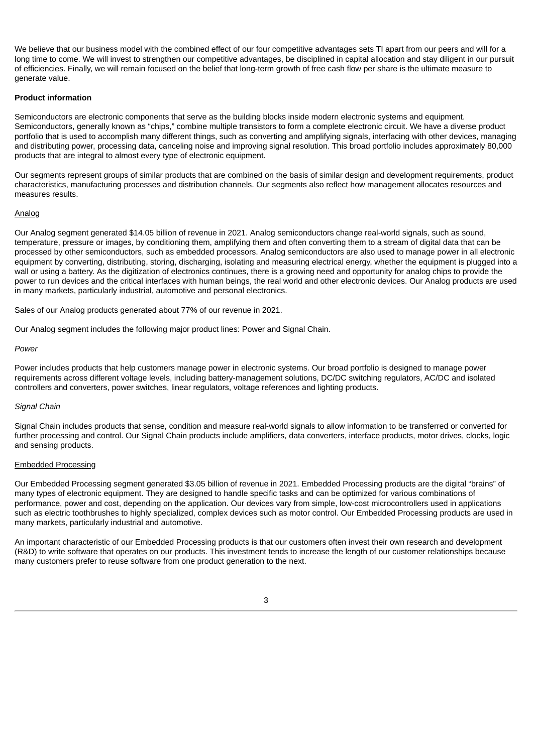We believe that our business model with the combined effect of our four competitive advantages sets TI apart from our peers and will for a long time to come. We will invest to strengthen our competitive advantages, be disciplined in capital allocation and stay diligent in our pursuit of efficiencies. Finally, we will remain focused on the belief that long-term growth of free cash flow per share is the ultimate measure to generate value.

#### **Product information**

Semiconductors are electronic components that serve as the building blocks inside modern electronic systems and equipment. Semiconductors, generally known as "chips," combine multiple transistors to form a complete electronic circuit. We have a diverse product portfolio that is used to accomplish many different things, such as converting and amplifying signals, interfacing with other devices, managing and distributing power, processing data, canceling noise and improving signal resolution. This broad portfolio includes approximately 80,000 products that are integral to almost every type of electronic equipment.

Our segments represent groups of similar products that are combined on the basis of similar design and development requirements, product characteristics, manufacturing processes and distribution channels. Our segments also reflect how management allocates resources and measures results.

#### Analog

Our Analog segment generated \$14.05 billion of revenue in 2021. Analog semiconductors change real-world signals, such as sound, temperature, pressure or images, by conditioning them, amplifying them and often converting them to a stream of digital data that can be processed by other semiconductors, such as embedded processors. Analog semiconductors are also used to manage power in all electronic equipment by converting, distributing, storing, discharging, isolating and measuring electrical energy, whether the equipment is plugged into a wall or using a battery. As the digitization of electronics continues, there is a growing need and opportunity for analog chips to provide the power to run devices and the critical interfaces with human beings, the real world and other electronic devices. Our Analog products are used in many markets, particularly industrial, automotive and personal electronics.

Sales of our Analog products generated about 77% of our revenue in 2021.

Our Analog segment includes the following major product lines: Power and Signal Chain.

#### *Power*

Power includes products that help customers manage power in electronic systems. Our broad portfolio is designed to manage power requirements across different voltage levels, including battery-management solutions, DC/DC switching regulators, AC/DC and isolated controllers and converters, power switches, linear regulators, voltage references and lighting products.

## *Signal Chain*

Signal Chain includes products that sense, condition and measure real-world signals to allow information to be transferred or converted for further processing and control. Our Signal Chain products include amplifiers, data converters, interface products, motor drives, clocks, logic and sensing products.

#### Embedded Processing

Our Embedded Processing segment generated \$3.05 billion of revenue in 2021. Embedded Processing products are the digital "brains" of many types of electronic equipment. They are designed to handle specific tasks and can be optimized for various combinations of performance, power and cost, depending on the application. Our devices vary from simple, low-cost microcontrollers used in applications such as electric toothbrushes to highly specialized, complex devices such as motor control. Our Embedded Processing products are used in many markets, particularly industrial and automotive.

An important characteristic of our Embedded Processing products is that our customers often invest their own research and development (R&D) to write software that operates on our products. This investment tends to increase the length of our customer relationships because many customers prefer to reuse software from one product generation to the next.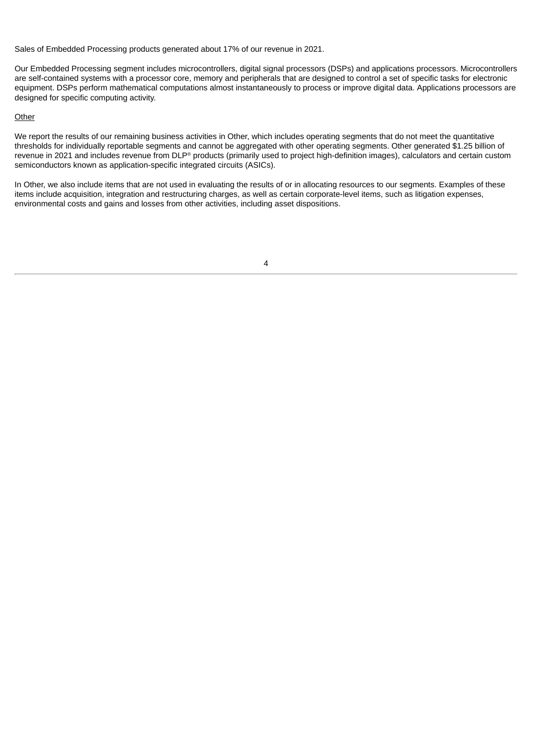Sales of Embedded Processing products generated about 17% of our revenue in 2021.

Our Embedded Processing segment includes microcontrollers, digital signal processors (DSPs) and applications processors. Microcontrollers are self-contained systems with a processor core, memory and peripherals that are designed to control a set of specific tasks for electronic equipment. DSPs perform mathematical computations almost instantaneously to process or improve digital data. Applications processors are designed for specific computing activity.

#### **Other**

We report the results of our remaining business activities in Other, which includes operating segments that do not meet the quantitative thresholds for individually reportable segments and cannot be aggregated with other operating segments. Other generated \$1.25 billion of revenue in 2021 and includes revenue from DLP® products (primarily used to project high-definition images), calculators and certain custom semiconductors known as application-specific integrated circuits (ASICs).

In Other, we also include items that are not used in evaluating the results of or in allocating resources to our segments. Examples of these items include acquisition, integration and restructuring charges, as well as certain corporate-level items, such as litigation expenses, environmental costs and gains and losses from other activities, including asset dispositions.

| ٦ |
|---|
|   |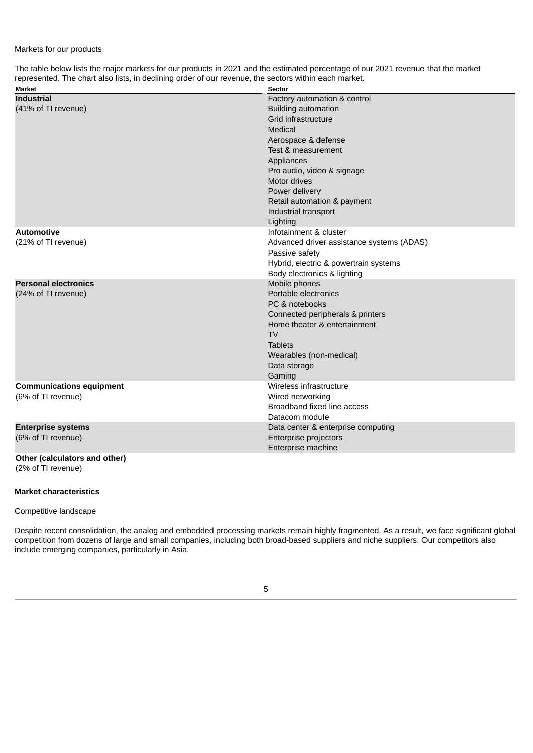#### Markets for our products

The table below lists the major markets for our products in 2021 and the estimated percentage of our 2021 revenue that the market represented. The chart also lists, in declining order of our revenue, the sectors within each market.

| <b>Market</b>                   | <b>Sector</b>                             |
|---------------------------------|-------------------------------------------|
| <b>Industrial</b>               | Factory automation & control              |
| (41% of TI revenue)             | <b>Building automation</b>                |
|                                 | Grid infrastructure                       |
|                                 | Medical                                   |
|                                 | Aerospace & defense                       |
|                                 | Test & measurement                        |
|                                 | Appliances                                |
|                                 | Pro audio, video & signage                |
|                                 | <b>Motor drives</b>                       |
|                                 | Power delivery                            |
|                                 | Retail automation & payment               |
|                                 | Industrial transport                      |
|                                 | Lighting                                  |
| <b>Automotive</b>               | Infotainment & cluster                    |
| (21% of TI revenue)             | Advanced driver assistance systems (ADAS) |
|                                 | Passive safety                            |
|                                 | Hybrid, electric & powertrain systems     |
|                                 | Body electronics & lighting               |
| <b>Personal electronics</b>     | Mobile phones                             |
| (24% of TI revenue)             | Portable electronics                      |
|                                 | PC & notebooks                            |
|                                 | Connected peripherals & printers          |
|                                 | Home theater & entertainment              |
|                                 | <b>TV</b>                                 |
|                                 | <b>Tablets</b>                            |
|                                 | Wearables (non-medical)                   |
|                                 | Data storage                              |
|                                 | Gaming                                    |
| <b>Communications equipment</b> | Wireless infrastructure                   |
| (6% of TI revenue)              | Wired networking                          |
|                                 | Broadband fixed line access               |
|                                 | Datacom module                            |
| <b>Enterprise systems</b>       | Data center & enterprise computing        |
| (6% of TI revenue)              | Enterprise projectors                     |
|                                 | Enterprise machine                        |
| Other (calculators and other)   |                                           |

(2% of TI revenue)

#### **Market characteristics**

### Competitive landscape

Despite recent consolidation, the analog and embedded processing markets remain highly fragmented. As a result, we face significant global competition from dozens of large and small companies, including both broad-based suppliers and niche suppliers. Our competitors also include emerging companies, particularly in Asia.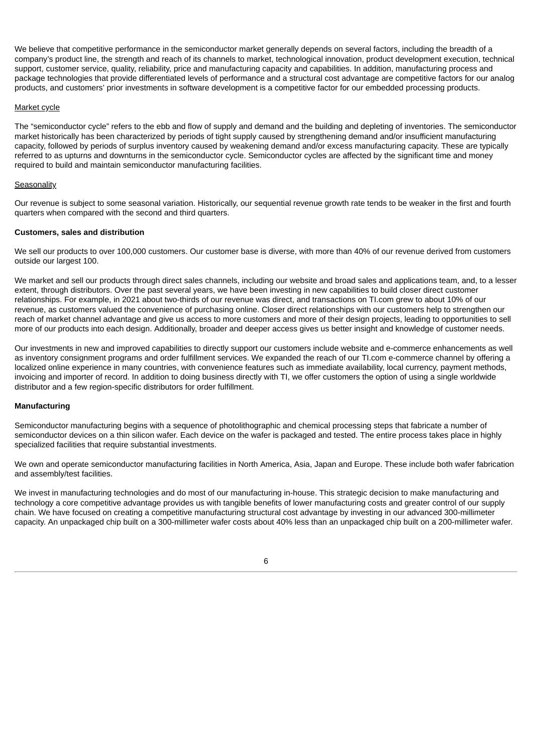We believe that competitive performance in the semiconductor market generally depends on several factors, including the breadth of a company's product line, the strength and reach of its channels to market, technological innovation, product development execution, technical support, customer service, quality, reliability, price and manufacturing capacity and capabilities. In addition, manufacturing process and package technologies that provide differentiated levels of performance and a structural cost advantage are competitive factors for our analog products, and customers' prior investments in software development is a competitive factor for our embedded processing products.

#### Market cycle

The "semiconductor cycle" refers to the ebb and flow of supply and demand and the building and depleting of inventories. The semiconductor market historically has been characterized by periods of tight supply caused by strengthening demand and/or insufficient manufacturing capacity, followed by periods of surplus inventory caused by weakening demand and/or excess manufacturing capacity. These are typically referred to as upturns and downturns in the semiconductor cycle. Semiconductor cycles are affected by the significant time and money required to build and maintain semiconductor manufacturing facilities.

## **Seasonality**

Our revenue is subject to some seasonal variation. Historically, our sequential revenue growth rate tends to be weaker in the first and fourth quarters when compared with the second and third quarters.

#### **Customers, sales and distribution**

We sell our products to over 100,000 customers. Our customer base is diverse, with more than 40% of our revenue derived from customers outside our largest 100.

We market and sell our products through direct sales channels, including our website and broad sales and applications team, and, to a lesser extent, through distributors. Over the past several years, we have been investing in new capabilities to build closer direct customer relationships. For example, in 2021 about two-thirds of our revenue was direct, and transactions on TI.com grew to about 10% of our revenue, as customers valued the convenience of purchasing online. Closer direct relationships with our customers help to strengthen our reach of market channel advantage and give us access to more customers and more of their design projects, leading to opportunities to sell more of our products into each design. Additionally, broader and deeper access gives us better insight and knowledge of customer needs.

Our investments in new and improved capabilities to directly support our customers include website and e-commerce enhancements as well as inventory consignment programs and order fulfillment services. We expanded the reach of our TI.com e-commerce channel by offering a localized online experience in many countries, with convenience features such as immediate availability, local currency, payment methods, invoicing and importer of record. In addition to doing business directly with TI, we offer customers the option of using a single worldwide distributor and a few region-specific distributors for order fulfillment.

#### **Manufacturing**

Semiconductor manufacturing begins with a sequence of photolithographic and chemical processing steps that fabricate a number of semiconductor devices on a thin silicon wafer. Each device on the wafer is packaged and tested. The entire process takes place in highly specialized facilities that require substantial investments.

We own and operate semiconductor manufacturing facilities in North America, Asia, Japan and Europe. These include both wafer fabrication and assembly/test facilities.

We invest in manufacturing technologies and do most of our manufacturing in-house. This strategic decision to make manufacturing and technology a core competitive advantage provides us with tangible benefits of lower manufacturing costs and greater control of our supply chain. We have focused on creating a competitive manufacturing structural cost advantage by investing in our advanced 300-millimeter capacity. An unpackaged chip built on a 300-millimeter wafer costs about 40% less than an unpackaged chip built on a 200-millimeter wafer.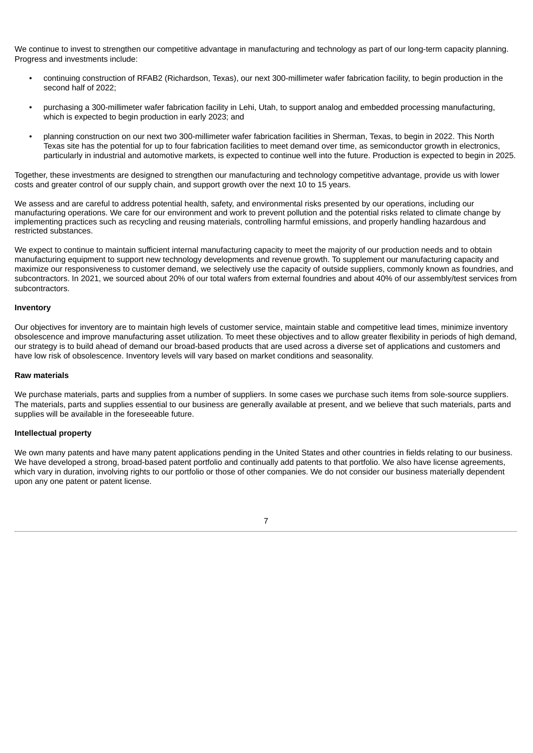We continue to invest to strengthen our competitive advantage in manufacturing and technology as part of our long-term capacity planning. Progress and investments include:

- continuing construction of RFAB2 (Richardson, Texas), our next 300-millimeter wafer fabrication facility, to begin production in the second half of 2022;
- purchasing a 300-millimeter wafer fabrication facility in Lehi, Utah, to support analog and embedded processing manufacturing, which is expected to begin production in early 2023; and
- planning construction on our next two 300-millimeter wafer fabrication facilities in Sherman, Texas, to begin in 2022. This North Texas site has the potential for up to four fabrication facilities to meet demand over time, as semiconductor growth in electronics, particularly in industrial and automotive markets, is expected to continue well into the future. Production is expected to begin in 2025.

Together, these investments are designed to strengthen our manufacturing and technology competitive advantage, provide us with lower costs and greater control of our supply chain, and support growth over the next 10 to 15 years.

We assess and are careful to address potential health, safety, and environmental risks presented by our operations, including our manufacturing operations. We care for our environment and work to prevent pollution and the potential risks related to climate change by implementing practices such as recycling and reusing materials, controlling harmful emissions, and properly handling hazardous and restricted substances.

We expect to continue to maintain sufficient internal manufacturing capacity to meet the majority of our production needs and to obtain manufacturing equipment to support new technology developments and revenue growth. To supplement our manufacturing capacity and maximize our responsiveness to customer demand, we selectively use the capacity of outside suppliers, commonly known as foundries, and subcontractors. In 2021, we sourced about 20% of our total wafers from external foundries and about 40% of our assembly/test services from subcontractors.

#### **Inventory**

Our objectives for inventory are to maintain high levels of customer service, maintain stable and competitive lead times, minimize inventory obsolescence and improve manufacturing asset utilization. To meet these objectives and to allow greater flexibility in periods of high demand, our strategy is to build ahead of demand our broad-based products that are used across a diverse set of applications and customers and have low risk of obsolescence. Inventory levels will vary based on market conditions and seasonality.

#### **Raw materials**

We purchase materials, parts and supplies from a number of suppliers. In some cases we purchase such items from sole-source suppliers. The materials, parts and supplies essential to our business are generally available at present, and we believe that such materials, parts and supplies will be available in the foreseeable future.

#### **Intellectual property**

We own many patents and have many patent applications pending in the United States and other countries in fields relating to our business. We have developed a strong, broad-based patent portfolio and continually add patents to that portfolio. We also have license agreements, which vary in duration, involving rights to our portfolio or those of other companies. We do not consider our business materially dependent upon any one patent or patent license.

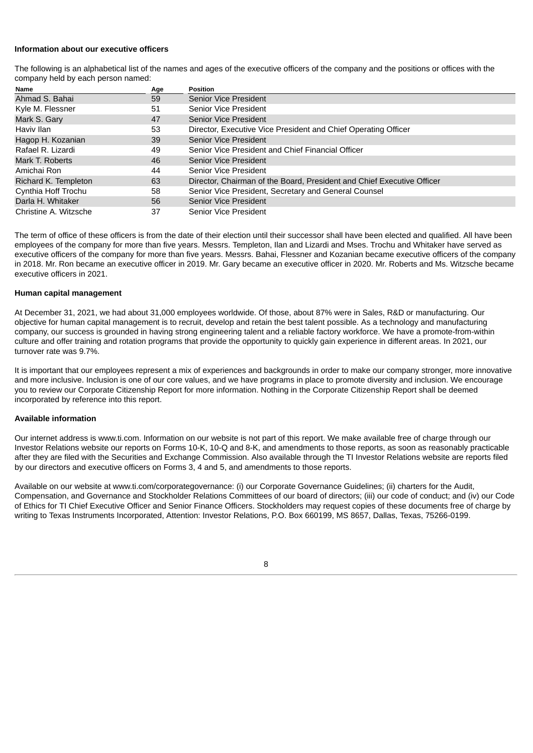#### **Information about our executive officers**

The following is an alphabetical list of the names and ages of the executive officers of the company and the positions or offices with the company held by each person named:

| <b>Name</b>           | Age | <b>Position</b>                                                        |
|-----------------------|-----|------------------------------------------------------------------------|
| Ahmad S. Bahai        | 59  | Senior Vice President                                                  |
| Kyle M. Flessner      | 51  | Senior Vice President                                                  |
| Mark S. Gary          | 47  | Senior Vice President                                                  |
| Haviv Ilan            | 53  | Director, Executive Vice President and Chief Operating Officer         |
| Hagop H. Kozanian     | 39  | Senior Vice President                                                  |
| Rafael R. Lizardi     | 49  | Senior Vice President and Chief Financial Officer                      |
| Mark T. Roberts       | 46  | Senior Vice President                                                  |
| Amichai Ron           | 44  | Senior Vice President                                                  |
| Richard K. Templeton  | 63  | Director, Chairman of the Board, President and Chief Executive Officer |
| Cynthia Hoff Trochu   | 58  | Senior Vice President, Secretary and General Counsel                   |
| Darla H. Whitaker     | 56  | Senior Vice President                                                  |
| Christine A. Witzsche | 37  | Senior Vice President                                                  |

The term of office of these officers is from the date of their election until their successor shall have been elected and qualified. All have been employees of the company for more than five years. Messrs. Templeton, Ilan and Lizardi and Mses. Trochu and Whitaker have served as executive officers of the company for more than five years. Messrs. Bahai, Flessner and Kozanian became executive officers of the company in 2018. Mr. Ron became an executive officer in 2019. Mr. Gary became an executive officer in 2020. Mr. Roberts and Ms. Witzsche became executive officers in 2021.

#### **Human capital management**

At December 31, 2021, we had about 31,000 employees worldwide. Of those, about 87% were in Sales, R&D or manufacturing. Our objective for human capital management is to recruit, develop and retain the best talent possible. As a technology and manufacturing company, our success is grounded in having strong engineering talent and a reliable factory workforce. We have a promote-from-within culture and offer training and rotation programs that provide the opportunity to quickly gain experience in different areas. In 2021, our turnover rate was 9.7%.

It is important that our employees represent a mix of experiences and backgrounds in order to make our company stronger, more innovative and more inclusive. Inclusion is one of our core values, and we have programs in place to promote diversity and inclusion. We encourage you to review our Corporate Citizenship Report for more information. Nothing in the Corporate Citizenship Report shall be deemed incorporated by reference into this report.

#### **Available information**

Our internet address is www.ti.com. Information on our website is not part of this report. We make available free of charge through our Investor Relations website our reports on Forms 10-K, 10-Q and 8-K, and amendments to those reports, as soon as reasonably practicable after they are filed with the Securities and Exchange Commission. Also available through the TI Investor Relations website are reports filed by our directors and executive officers on Forms 3, 4 and 5, and amendments to those reports.

Available on our website at www.ti.com/corporategovernance: (i) our Corporate Governance Guidelines; (ii) charters for the Audit, Compensation, and Governance and Stockholder Relations Committees of our board of directors; (iii) our code of conduct; and (iv) our Code of Ethics for TI Chief Executive Officer and Senior Finance Officers. Stockholders may request copies of these documents free of charge by writing to Texas Instruments Incorporated, Attention: Investor Relations, P.O. Box 660199, MS 8657, Dallas, Texas, 75266-0199.

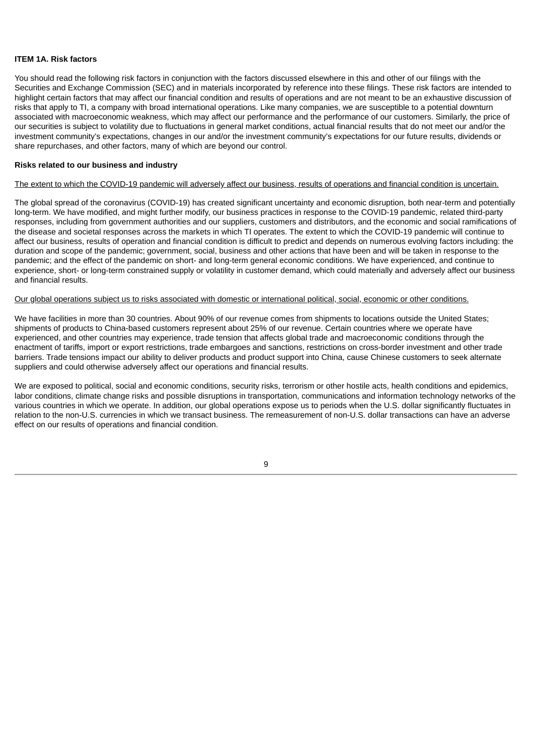#### **ITEM 1A. Risk factors**

You should read the following risk factors in conjunction with the factors discussed elsewhere in this and other of our filings with the Securities and Exchange Commission (SEC) and in materials incorporated by reference into these filings. These risk factors are intended to highlight certain factors that may affect our financial condition and results of operations and are not meant to be an exhaustive discussion of risks that apply to TI, a company with broad international operations. Like many companies, we are susceptible to a potential downturn associated with macroeconomic weakness, which may affect our performance and the performance of our customers. Similarly, the price of our securities is subject to volatility due to fluctuations in general market conditions, actual financial results that do not meet our and/or the investment community's expectations, changes in our and/or the investment community's expectations for our future results, dividends or share repurchases, and other factors, many of which are beyond our control.

#### **Risks related to our business and industry**

## The extent to which the COVID-19 pandemic will adversely affect our business, results of operations and financial condition is uncertain.

The global spread of the coronavirus (COVID-19) has created significant uncertainty and economic disruption, both near-term and potentially long-term. We have modified, and might further modify, our business practices in response to the COVID-19 pandemic, related third-party responses, including from government authorities and our suppliers, customers and distributors, and the economic and social ramifications of the disease and societal responses across the markets in which TI operates. The extent to which the COVID-19 pandemic will continue to affect our business, results of operation and financial condition is difficult to predict and depends on numerous evolving factors including: the duration and scope of the pandemic; government, social, business and other actions that have been and will be taken in response to the pandemic; and the effect of the pandemic on short- and long-term general economic conditions. We have experienced, and continue to experience, short- or long-term constrained supply or volatility in customer demand, which could materially and adversely affect our business and financial results.

#### Our global operations subject us to risks associated with domestic or international political, social, economic or other conditions.

We have facilities in more than 30 countries. About 90% of our revenue comes from shipments to locations outside the United States; shipments of products to China-based customers represent about 25% of our revenue. Certain countries where we operate have experienced, and other countries may experience, trade tension that affects global trade and macroeconomic conditions through the enactment of tariffs, import or export restrictions, trade embargoes and sanctions, restrictions on cross-border investment and other trade barriers. Trade tensions impact our ability to deliver products and product support into China, cause Chinese customers to seek alternate suppliers and could otherwise adversely affect our operations and financial results.

We are exposed to political, social and economic conditions, security risks, terrorism or other hostile acts, health conditions and epidemics, labor conditions, climate change risks and possible disruptions in transportation, communications and information technology networks of the various countries in which we operate. In addition, our global operations expose us to periods when the U.S. dollar significantly fluctuates in relation to the non-U.S. currencies in which we transact business. The remeasurement of non-U.S. dollar transactions can have an adverse effect on our results of operations and financial condition.

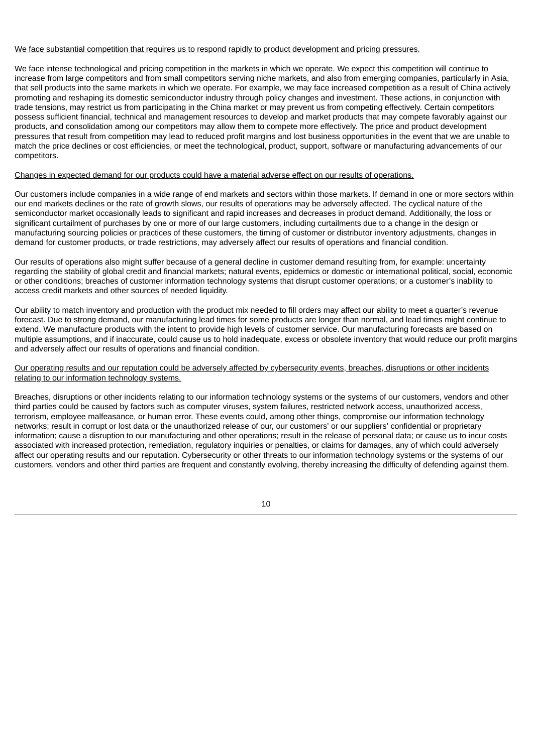#### We face substantial competition that requires us to respond rapidly to product development and pricing pressures.

We face intense technological and pricing competition in the markets in which we operate. We expect this competition will continue to increase from large competitors and from small competitors serving niche markets, and also from emerging companies, particularly in Asia, that sell products into the same markets in which we operate. For example, we may face increased competition as a result of China actively promoting and reshaping its domestic semiconductor industry through policy changes and investment. These actions, in conjunction with trade tensions, may restrict us from participating in the China market or may prevent us from competing effectively. Certain competitors possess sufficient financial, technical and management resources to develop and market products that may compete favorably against our products, and consolidation among our competitors may allow them to compete more effectively. The price and product development pressures that result from competition may lead to reduced profit margins and lost business opportunities in the event that we are unable to match the price declines or cost efficiencies, or meet the technological, product, support, software or manufacturing advancements of our competitors.

## Changes in expected demand for our products could have a material adverse effect on our results of operations.

Our customers include companies in a wide range of end markets and sectors within those markets. If demand in one or more sectors within our end markets declines or the rate of growth slows, our results of operations may be adversely affected. The cyclical nature of the semiconductor market occasionally leads to significant and rapid increases and decreases in product demand. Additionally, the loss or significant curtailment of purchases by one or more of our large customers, including curtailments due to a change in the design or manufacturing sourcing policies or practices of these customers, the timing of customer or distributor inventory adjustments, changes in demand for customer products, or trade restrictions, may adversely affect our results of operations and financial condition.

Our results of operations also might suffer because of a general decline in customer demand resulting from, for example: uncertainty regarding the stability of global credit and financial markets; natural events, epidemics or domestic or international political, social, economic or other conditions; breaches of customer information technology systems that disrupt customer operations; or a customer's inability to access credit markets and other sources of needed liquidity.

Our ability to match inventory and production with the product mix needed to fill orders may affect our ability to meet a quarter's revenue forecast. Due to strong demand, our manufacturing lead times for some products are longer than normal, and lead times might continue to extend. We manufacture products with the intent to provide high levels of customer service. Our manufacturing forecasts are based on multiple assumptions, and if inaccurate, could cause us to hold inadequate, excess or obsolete inventory that would reduce our profit margins and adversely affect our results of operations and financial condition.

#### Our operating results and our reputation could be adversely affected by cybersecurity events, breaches, disruptions or other incidents relating to our information technology systems.

Breaches, disruptions or other incidents relating to our information technology systems or the systems of our customers, vendors and other third parties could be caused by factors such as computer viruses, system failures, restricted network access, unauthorized access, terrorism, employee malfeasance, or human error. These events could, among other things, compromise our information technology networks; result in corrupt or lost data or the unauthorized release of our, our customers' or our suppliers' confidential or proprietary information; cause a disruption to our manufacturing and other operations; result in the release of personal data; or cause us to incur costs associated with increased protection, remediation, regulatory inquiries or penalties, or claims for damages, any of which could adversely affect our operating results and our reputation. Cybersecurity or other threats to our information technology systems or the systems of our customers, vendors and other third parties are frequent and constantly evolving, thereby increasing the difficulty of defending against them.

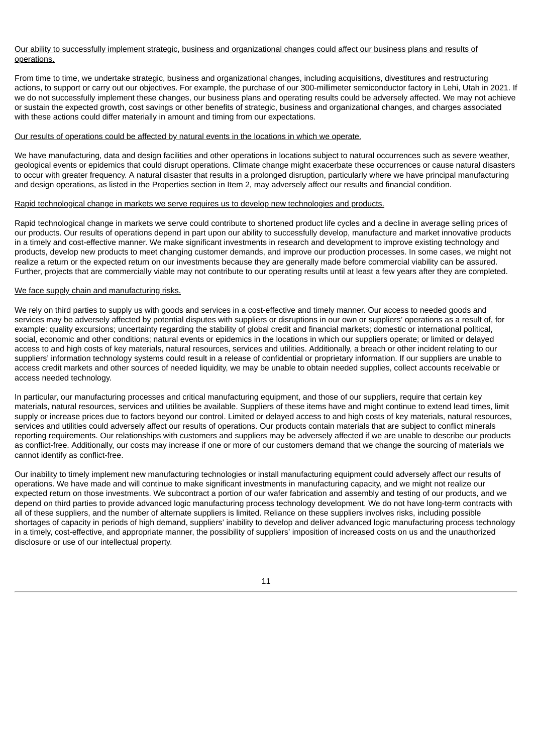## Our ability to successfully implement strategic, business and organizational changes could affect our business plans and results of operations.

From time to time, we undertake strategic, business and organizational changes, including acquisitions, divestitures and restructuring actions, to support or carry out our objectives. For example, the purchase of our 300-millimeter semiconductor factory in Lehi, Utah in 2021. If we do not successfully implement these changes, our business plans and operating results could be adversely affected. We may not achieve or sustain the expected growth, cost savings or other benefits of strategic, business and organizational changes, and charges associated with these actions could differ materially in amount and timing from our expectations.

## Our results of operations could be affected by natural events in the locations in which we operate.

We have manufacturing, data and design facilities and other operations in locations subject to natural occurrences such as severe weather, geological events or epidemics that could disrupt operations. Climate change might exacerbate these occurrences or cause natural disasters to occur with greater frequency. A natural disaster that results in a prolonged disruption, particularly where we have principal manufacturing and design operations, as listed in the Properties section in Item 2, may adversely affect our results and financial condition.

#### Rapid technological change in markets we serve requires us to develop new technologies and products.

Rapid technological change in markets we serve could contribute to shortened product life cycles and a decline in average selling prices of our products. Our results of operations depend in part upon our ability to successfully develop, manufacture and market innovative products in a timely and cost-effective manner. We make significant investments in research and development to improve existing technology and products, develop new products to meet changing customer demands, and improve our production processes. In some cases, we might not realize a return or the expected return on our investments because they are generally made before commercial viability can be assured. Further, projects that are commercially viable may not contribute to our operating results until at least a few years after they are completed.

## We face supply chain and manufacturing risks.

We rely on third parties to supply us with goods and services in a cost-effective and timely manner. Our access to needed goods and services may be adversely affected by potential disputes with suppliers or disruptions in our own or suppliers' operations as a result of, for example: quality excursions; uncertainty regarding the stability of global credit and financial markets; domestic or international political, social, economic and other conditions; natural events or epidemics in the locations in which our suppliers operate; or limited or delayed access to and high costs of key materials, natural resources, services and utilities. Additionally, a breach or other incident relating to our suppliers' information technology systems could result in a release of confidential or proprietary information. If our suppliers are unable to access credit markets and other sources of needed liquidity, we may be unable to obtain needed supplies, collect accounts receivable or access needed technology.

In particular, our manufacturing processes and critical manufacturing equipment, and those of our suppliers, require that certain key materials, natural resources, services and utilities be available. Suppliers of these items have and might continue to extend lead times, limit supply or increase prices due to factors beyond our control. Limited or delayed access to and high costs of key materials, natural resources, services and utilities could adversely affect our results of operations. Our products contain materials that are subject to conflict minerals reporting requirements. Our relationships with customers and suppliers may be adversely affected if we are unable to describe our products as conflict-free. Additionally, our costs may increase if one or more of our customers demand that we change the sourcing of materials we cannot identify as conflict-free.

Our inability to timely implement new manufacturing technologies or install manufacturing equipment could adversely affect our results of operations. We have made and will continue to make significant investments in manufacturing capacity, and we might not realize our expected return on those investments. We subcontract a portion of our wafer fabrication and assembly and testing of our products, and we depend on third parties to provide advanced logic manufacturing process technology development. We do not have long-term contracts with all of these suppliers, and the number of alternate suppliers is limited. Reliance on these suppliers involves risks, including possible shortages of capacity in periods of high demand, suppliers' inability to develop and deliver advanced logic manufacturing process technology in a timely, cost-effective, and appropriate manner, the possibility of suppliers' imposition of increased costs on us and the unauthorized disclosure or use of our intellectual property.

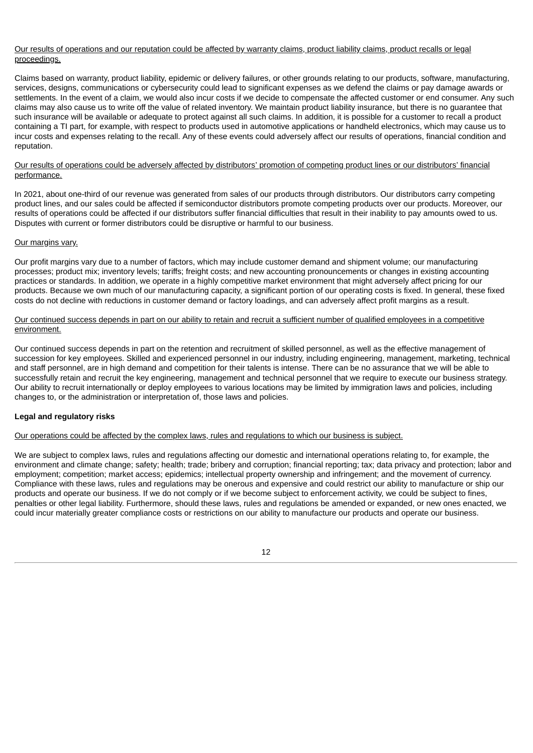## Our results of operations and our reputation could be affected by warranty claims, product liability claims, product recalls or legal proceedings.

Claims based on warranty, product liability, epidemic or delivery failures, or other grounds relating to our products, software, manufacturing, services, designs, communications or cybersecurity could lead to significant expenses as we defend the claims or pay damage awards or settlements. In the event of a claim, we would also incur costs if we decide to compensate the affected customer or end consumer. Any such claims may also cause us to write off the value of related inventory. We maintain product liability insurance, but there is no guarantee that such insurance will be available or adequate to protect against all such claims. In addition, it is possible for a customer to recall a product containing a TI part, for example, with respect to products used in automotive applications or handheld electronics, which may cause us to incur costs and expenses relating to the recall. Any of these events could adversely affect our results of operations, financial condition and reputation.

## Our results of operations could be adversely affected by distributors' promotion of competing product lines or our distributors' financial performance.

In 2021, about one-third of our revenue was generated from sales of our products through distributors. Our distributors carry competing product lines, and our sales could be affected if semiconductor distributors promote competing products over our products. Moreover, our results of operations could be affected if our distributors suffer financial difficulties that result in their inability to pay amounts owed to us. Disputes with current or former distributors could be disruptive or harmful to our business.

#### Our margins vary.

Our profit margins vary due to a number of factors, which may include customer demand and shipment volume; our manufacturing processes; product mix; inventory levels; tariffs; freight costs; and new accounting pronouncements or changes in existing accounting practices or standards. In addition, we operate in a highly competitive market environment that might adversely affect pricing for our products. Because we own much of our manufacturing capacity, a significant portion of our operating costs is fixed. In general, these fixed costs do not decline with reductions in customer demand or factory loadings, and can adversely affect profit margins as a result.

## Our continued success depends in part on our ability to retain and recruit a sufficient number of qualified employees in a competitive environment.

Our continued success depends in part on the retention and recruitment of skilled personnel, as well as the effective management of succession for key employees. Skilled and experienced personnel in our industry, including engineering, management, marketing, technical and staff personnel, are in high demand and competition for their talents is intense. There can be no assurance that we will be able to successfully retain and recruit the key engineering, management and technical personnel that we require to execute our business strategy. Our ability to recruit internationally or deploy employees to various locations may be limited by immigration laws and policies, including changes to, or the administration or interpretation of, those laws and policies.

## **Legal and regulatory risks**

Our operations could be affected by the complex laws, rules and regulations to which our business is subject.

We are subject to complex laws, rules and regulations affecting our domestic and international operations relating to, for example, the environment and climate change; safety; health; trade; bribery and corruption; financial reporting; tax; data privacy and protection; labor and employment; competition; market access; epidemics; intellectual property ownership and infringement; and the movement of currency. Compliance with these laws, rules and regulations may be onerous and expensive and could restrict our ability to manufacture or ship our products and operate our business. If we do not comply or if we become subject to enforcement activity, we could be subject to fines, penalties or other legal liability. Furthermore, should these laws, rules and regulations be amended or expanded, or new ones enacted, we could incur materially greater compliance costs or restrictions on our ability to manufacture our products and operate our business.

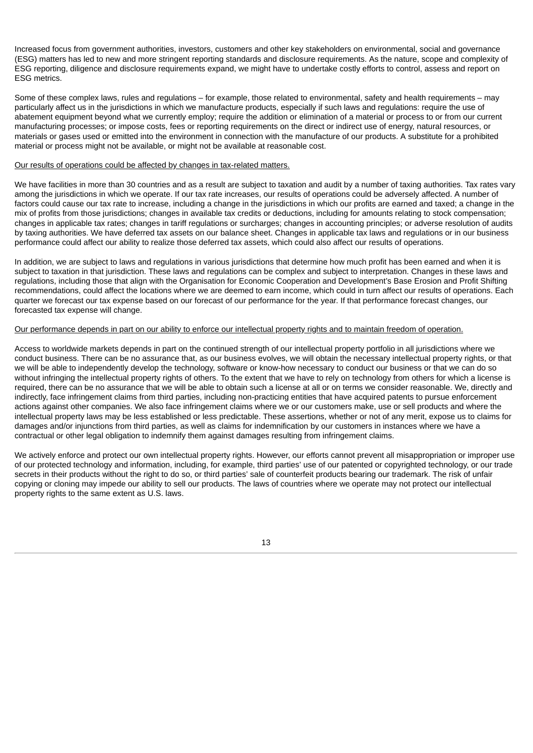Increased focus from government authorities, investors, customers and other key stakeholders on environmental, social and governance (ESG) matters has led to new and more stringent reporting standards and disclosure requirements. As the nature, scope and complexity of ESG reporting, diligence and disclosure requirements expand, we might have to undertake costly efforts to control, assess and report on ESG metrics.

Some of these complex laws, rules and regulations – for example, those related to environmental, safety and health requirements – may particularly affect us in the jurisdictions in which we manufacture products, especially if such laws and regulations: require the use of abatement equipment beyond what we currently employ; require the addition or elimination of a material or process to or from our current manufacturing processes; or impose costs, fees or reporting requirements on the direct or indirect use of energy, natural resources, or materials or gases used or emitted into the environment in connection with the manufacture of our products. A substitute for a prohibited material or process might not be available, or might not be available at reasonable cost.

#### Our results of operations could be affected by changes in tax-related matters.

We have facilities in more than 30 countries and as a result are subject to taxation and audit by a number of taxing authorities. Tax rates vary among the jurisdictions in which we operate. If our tax rate increases, our results of operations could be adversely affected. A number of factors could cause our tax rate to increase, including a change in the jurisdictions in which our profits are earned and taxed; a change in the mix of profits from those jurisdictions; changes in available tax credits or deductions, including for amounts relating to stock compensation; changes in applicable tax rates; changes in tariff regulations or surcharges; changes in accounting principles; or adverse resolution of audits by taxing authorities. We have deferred tax assets on our balance sheet. Changes in applicable tax laws and regulations or in our business performance could affect our ability to realize those deferred tax assets, which could also affect our results of operations.

In addition, we are subject to laws and regulations in various jurisdictions that determine how much profit has been earned and when it is subject to taxation in that jurisdiction. These laws and regulations can be complex and subject to interpretation. Changes in these laws and regulations, including those that align with the Organisation for Economic Cooperation and Development's Base Erosion and Profit Shifting recommendations, could affect the locations where we are deemed to earn income, which could in turn affect our results of operations. Each quarter we forecast our tax expense based on our forecast of our performance for the year. If that performance forecast changes, our forecasted tax expense will change.

## Our performance depends in part on our ability to enforce our intellectual property rights and to maintain freedom of operation.

Access to worldwide markets depends in part on the continued strength of our intellectual property portfolio in all jurisdictions where we conduct business. There can be no assurance that, as our business evolves, we will obtain the necessary intellectual property rights, or that we will be able to independently develop the technology, software or know-how necessary to conduct our business or that we can do so without infringing the intellectual property rights of others. To the extent that we have to rely on technology from others for which a license is required, there can be no assurance that we will be able to obtain such a license at all or on terms we consider reasonable. We, directly and indirectly, face infringement claims from third parties, including non-practicing entities that have acquired patents to pursue enforcement actions against other companies. We also face infringement claims where we or our customers make, use or sell products and where the intellectual property laws may be less established or less predictable. These assertions, whether or not of any merit, expose us to claims for damages and/or injunctions from third parties, as well as claims for indemnification by our customers in instances where we have a contractual or other legal obligation to indemnify them against damages resulting from infringement claims.

We actively enforce and protect our own intellectual property rights. However, our efforts cannot prevent all misappropriation or improper use of our protected technology and information, including, for example, third parties' use of our patented or copyrighted technology, or our trade secrets in their products without the right to do so, or third parties' sale of counterfeit products bearing our trademark. The risk of unfair copying or cloning may impede our ability to sell our products. The laws of countries where we operate may not protect our intellectual property rights to the same extent as U.S. laws.

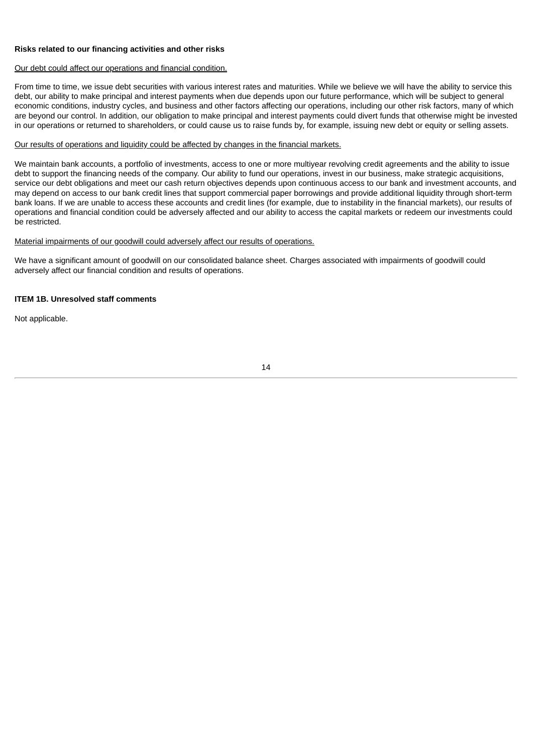## **Risks related to our financing activities and other risks**

#### Our debt could affect our operations and financial condition.

From time to time, we issue debt securities with various interest rates and maturities. While we believe we will have the ability to service this debt, our ability to make principal and interest payments when due depends upon our future performance, which will be subject to general economic conditions, industry cycles, and business and other factors affecting our operations, including our other risk factors, many of which are beyond our control. In addition, our obligation to make principal and interest payments could divert funds that otherwise might be invested in our operations or returned to shareholders, or could cause us to raise funds by, for example, issuing new debt or equity or selling assets.

## Our results of operations and liquidity could be affected by changes in the financial markets.

We maintain bank accounts, a portfolio of investments, access to one or more multiyear revolving credit agreements and the ability to issue debt to support the financing needs of the company. Our ability to fund our operations, invest in our business, make strategic acquisitions, service our debt obligations and meet our cash return objectives depends upon continuous access to our bank and investment accounts, and may depend on access to our bank credit lines that support commercial paper borrowings and provide additional liquidity through short-term bank loans. If we are unable to access these accounts and credit lines (for example, due to instability in the financial markets), our results of operations and financial condition could be adversely affected and our ability to access the capital markets or redeem our investments could be restricted.

## Material impairments of our goodwill could adversely affect our results of operations.

We have a significant amount of goodwill on our consolidated balance sheet. Charges associated with impairments of goodwill could adversely affect our financial condition and results of operations.

## **ITEM 1B. Unresolved staff comments**

Not applicable.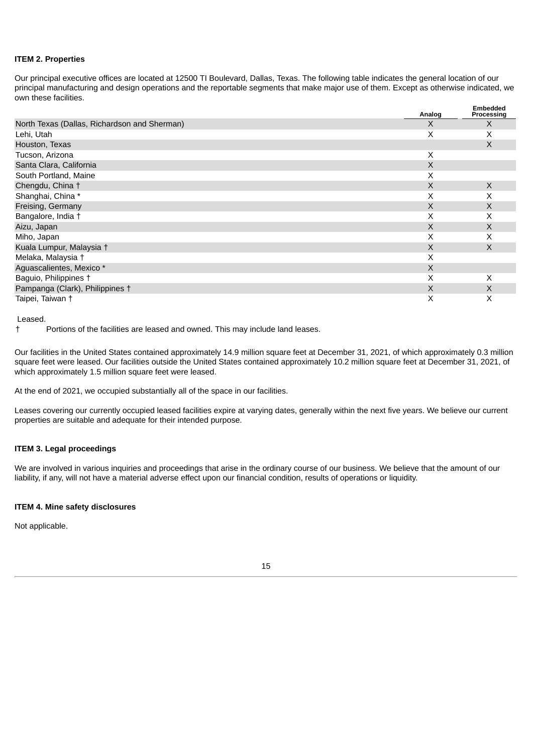## **ITEM 2. Properties**

Our principal executive offices are located at 12500 TI Boulevard, Dallas, Texas. The following table indicates the general location of our principal manufacturing and design operations and the reportable segments that make major use of them. Except as otherwise indicated, we own these facilities.

|                                              | Analog | Embedded<br>Processing |
|----------------------------------------------|--------|------------------------|
| North Texas (Dallas, Richardson and Sherman) | X      | X                      |
| Lehi, Utah                                   | X      | X                      |
| Houston, Texas                               |        | X                      |
| Tucson, Arizona                              | X      |                        |
| Santa Clara, California                      | X      |                        |
| South Portland, Maine                        | X      |                        |
| Chengdu, China †                             | X      | $\times$               |
| Shanghai, China *                            | X      | X                      |
| Freising, Germany                            | X      | X                      |
| Bangalore, India +                           | X      | X                      |
| Aizu, Japan                                  | X      | X                      |
| Miho, Japan                                  | X      | X                      |
| Kuala Lumpur, Malaysia †                     | X      | X                      |
| Melaka, Malaysia †                           | X      |                        |
| Aguascalientes, Mexico *                     | X      |                        |
| Baguio, Philippines †                        | X      | X                      |
| Pampanga (Clark), Philippines †              | X      | X                      |
| Taipei, Taiwan †                             | X      | Χ                      |

Leased.

† Portions of the facilities are leased and owned. This may include land leases.

Our facilities in the United States contained approximately 14.9 million square feet at December 31, 2021, of which approximately 0.3 million square feet were leased. Our facilities outside the United States contained approximately 10.2 million square feet at December 31, 2021, of which approximately 1.5 million square feet were leased.

At the end of 2021, we occupied substantially all of the space in our facilities.

Leases covering our currently occupied leased facilities expire at varying dates, generally within the next five years. We believe our current properties are suitable and adequate for their intended purpose.

## **ITEM 3. Legal proceedings**

We are involved in various inquiries and proceedings that arise in the ordinary course of our business. We believe that the amount of our liability, if any, will not have a material adverse effect upon our financial condition, results of operations or liquidity.

#### **ITEM 4. Mine safety disclosures**

Not applicable.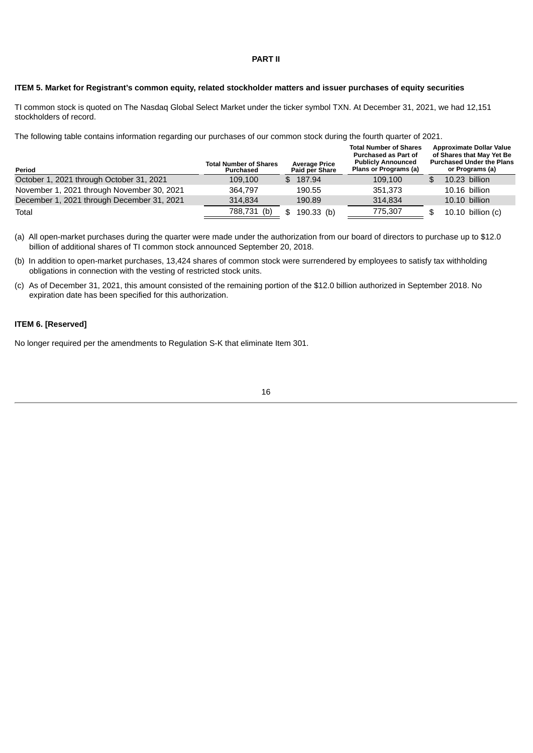#### **PART II**

#### ITEM 5. Market for Registrant's common equity, related stockholder matters and issuer purchases of equity securities

TI common stock is quoted on The Nasdaq Global Select Market under the ticker symbol TXN. At December 31, 2021, we had 12,151 stockholders of record.

The following table contains information regarding our purchases of our common stock during the fourth quarter of 2021.

| Period                                     | <b>Total Number of Shares</b><br><b>Purchased</b> | <b>Average Price</b><br>Paid per Share | <b>Total Number of Shares</b><br><b>Purchased as Part of</b><br><b>Publicly Announced</b><br>Plans or Programs (a) | <b>Approximate Dollar Value</b><br>of Shares that May Yet Be<br><b>Purchased Under the Plans</b><br>or Programs (a) |  |  |  |
|--------------------------------------------|---------------------------------------------------|----------------------------------------|--------------------------------------------------------------------------------------------------------------------|---------------------------------------------------------------------------------------------------------------------|--|--|--|
| October 1, 2021 through October 31, 2021   | 109.100                                           | \$187.94                               | 109,100                                                                                                            | 10.23 billion<br>\$                                                                                                 |  |  |  |
| November 1, 2021 through November 30, 2021 | 364.797                                           | 190.55                                 | 351.373                                                                                                            | 10.16 billion                                                                                                       |  |  |  |
| December 1, 2021 through December 31, 2021 | 314.834                                           | 190.89                                 | 314.834                                                                                                            | 10.10 billion                                                                                                       |  |  |  |
| Total                                      | 788,731 (b)                                       | $190.33$ (b)                           | 775.307                                                                                                            | 10.10 billion (c)<br>\$                                                                                             |  |  |  |

(a) All open-market purchases during the quarter were made under the authorization from our board of directors to purchase up to \$12.0 billion of additional shares of TI common stock announced September 20, 2018.

(b) In addition to open-market purchases, 13,424 shares of common stock were surrendered by employees to satisfy tax withholding obligations in connection with the vesting of restricted stock units.

(c) As of December 31, 2021, this amount consisted of the remaining portion of the \$12.0 billion authorized in September 2018. No expiration date has been specified for this authorization.

#### **ITEM 6. [Reserved]**

No longer required per the amendments to Regulation S-K that eliminate Item 301.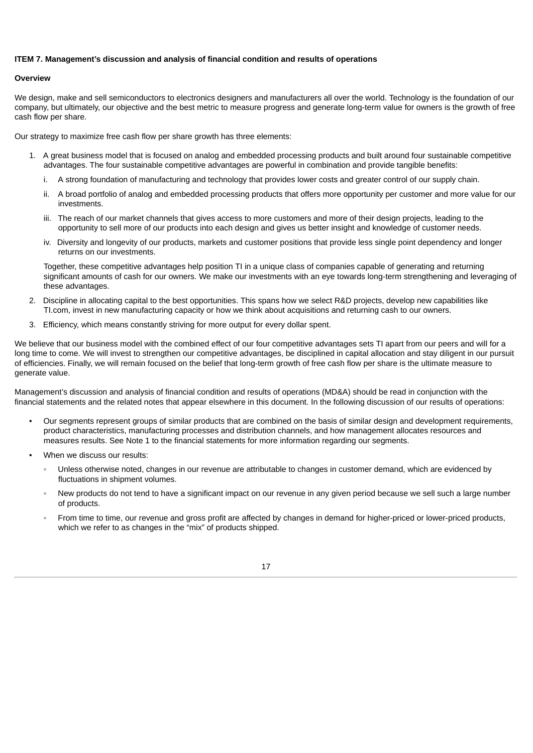## **ITEM 7. Management's discussion and analysis of financial condition and results of operations**

#### **Overview**

We design, make and sell semiconductors to electronics designers and manufacturers all over the world. Technology is the foundation of our company, but ultimately, our objective and the best metric to measure progress and generate long-term value for owners is the growth of free cash flow per share.

Our strategy to maximize free cash flow per share growth has three elements:

- 1. A great business model that is focused on analog and embedded processing products and built around four sustainable competitive advantages. The four sustainable competitive advantages are powerful in combination and provide tangible benefits:
	- i. A strong foundation of manufacturing and technology that provides lower costs and greater control of our supply chain.
	- ii. A broad portfolio of analog and embedded processing products that offers more opportunity per customer and more value for our investments.
	- iii. The reach of our market channels that gives access to more customers and more of their design projects, leading to the opportunity to sell more of our products into each design and gives us better insight and knowledge of customer needs.
	- iv. Diversity and longevity of our products, markets and customer positions that provide less single point dependency and longer returns on our investments.

Together, these competitive advantages help position TI in a unique class of companies capable of generating and returning significant amounts of cash for our owners. We make our investments with an eye towards long-term strengthening and leveraging of these advantages.

- 2. Discipline in allocating capital to the best opportunities. This spans how we select R&D projects, develop new capabilities like TI.com, invest in new manufacturing capacity or how we think about acquisitions and returning cash to our owners.
- 3. Efficiency, which means constantly striving for more output for every dollar spent.

We believe that our business model with the combined effect of our four competitive advantages sets TI apart from our peers and will for a long time to come. We will invest to strengthen our competitive advantages, be disciplined in capital allocation and stay diligent in our pursuit of efficiencies. Finally, we will remain focused on the belief that long-term growth of free cash flow per share is the ultimate measure to generate value.

Management's discussion and analysis of financial condition and results of operations (MD&A) should be read in conjunction with the financial statements and the related notes that appear elsewhere in this document. In the following discussion of our results of operations:

- Our segments represent groups of similar products that are combined on the basis of similar design and development requirements, product characteristics, manufacturing processes and distribution channels, and how management allocates resources and measures results. See Note 1 to the financial statements for more information regarding our segments.
- When we discuss our results:
	- Unless otherwise noted, changes in our revenue are attributable to changes in customer demand, which are evidenced by fluctuations in shipment volumes.
	- New products do not tend to have a significant impact on our revenue in any given period because we sell such a large number of products.
	- From time to time, our revenue and gross profit are affected by changes in demand for higher-priced or lower-priced products, which we refer to as changes in the "mix" of products shipped.

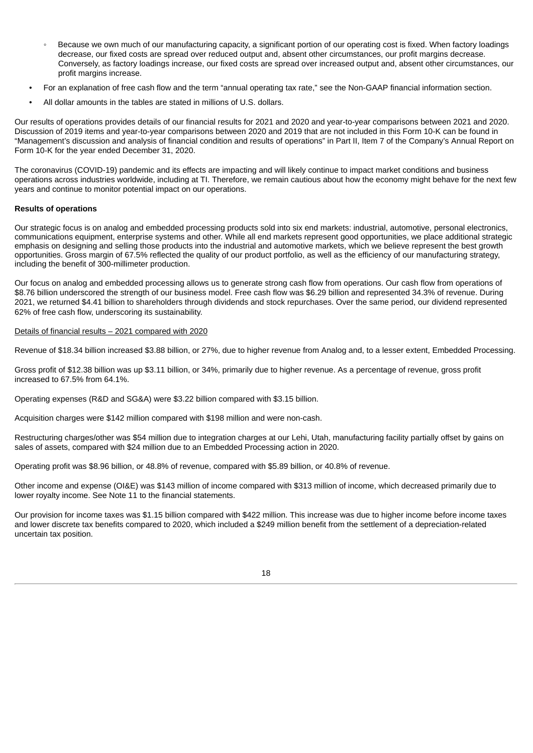- Because we own much of our manufacturing capacity, a significant portion of our operating cost is fixed. When factory loadings decrease, our fixed costs are spread over reduced output and, absent other circumstances, our profit margins decrease. Conversely, as factory loadings increase, our fixed costs are spread over increased output and, absent other circumstances, our profit margins increase.
- For an explanation of free cash flow and the term "annual operating tax rate," see the Non-GAAP financial information section.
- All dollar amounts in the tables are stated in millions of U.S. dollars.

Our results of operations provides details of our financial results for 2021 and 2020 and year-to-year comparisons between 2021 and 2020. Discussion of 2019 items and year-to-year comparisons between 2020 and 2019 that are not included in this Form 10-K can be found in "Management's discussion and analysis of financial condition and results of operations" in Part II, Item 7 of the Company's Annual Report on Form 10-K for the year ended December 31, 2020.

The coronavirus (COVID-19) pandemic and its effects are impacting and will likely continue to impact market conditions and business operations across industries worldwide, including at TI. Therefore, we remain cautious about how the economy might behave for the next few years and continue to monitor potential impact on our operations.

#### **Results of operations**

Our strategic focus is on analog and embedded processing products sold into six end markets: industrial, automotive, personal electronics, communications equipment, enterprise systems and other. While all end markets represent good opportunities, we place additional strategic emphasis on designing and selling those products into the industrial and automotive markets, which we believe represent the best growth opportunities. Gross margin of 67.5% reflected the quality of our product portfolio, as well as the efficiency of our manufacturing strategy, including the benefit of 300-millimeter production.

Our focus on analog and embedded processing allows us to generate strong cash flow from operations. Our cash flow from operations of \$8.76 billion underscored the strength of our business model. Free cash flow was \$6.29 billion and represented 34.3% of revenue. During 2021, we returned \$4.41 billion to shareholders through dividends and stock repurchases. Over the same period, our dividend represented 62% of free cash flow, underscoring its sustainability.

#### Details of financial results – 2021 compared with 2020

Revenue of \$18.34 billion increased \$3.88 billion, or 27%, due to higher revenue from Analog and, to a lesser extent, Embedded Processing.

Gross profit of \$12.38 billion was up \$3.11 billion, or 34%, primarily due to higher revenue. As a percentage of revenue, gross profit increased to 67.5% from 64.1%.

Operating expenses (R&D and SG&A) were \$3.22 billion compared with \$3.15 billion.

Acquisition charges were \$142 million compared with \$198 million and were non-cash.

Restructuring charges/other was \$54 million due to integration charges at our Lehi, Utah, manufacturing facility partially offset by gains on sales of assets, compared with \$24 million due to an Embedded Processing action in 2020.

Operating profit was \$8.96 billion, or 48.8% of revenue, compared with \$5.89 billion, or 40.8% of revenue.

Other income and expense (OI&E) was \$143 million of income compared with \$313 million of income, which decreased primarily due to lower royalty income. See Note 11 to the financial statements.

Our provision for income taxes was \$1.15 billion compared with \$422 million. This increase was due to higher income before income taxes and lower discrete tax benefits compared to 2020, which included a \$249 million benefit from the settlement of a depreciation-related uncertain tax position.

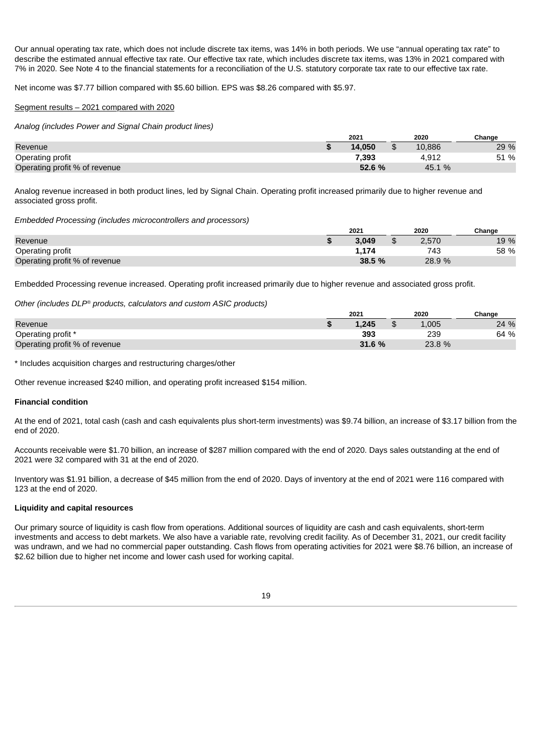Our annual operating tax rate, which does not include discrete tax items, was 14% in both periods. We use "annual operating tax rate" to describe the estimated annual effective tax rate. Our effective tax rate, which includes discrete tax items, was 13% in 2021 compared with 7% in 2020. See Note 4 to the financial statements for a reconciliation of the U.S. statutory corporate tax rate to our effective tax rate.

Net income was \$7.77 billion compared with \$5.60 billion. EPS was \$8.26 compared with \$5.97.

Segment results – 2021 compared with 2020

*Analog (includes Power and Signal Chain product lines)*

|                               | 2021   | 2020   | Change |
|-------------------------------|--------|--------|--------|
| Revenue                       | 14.050 | 10.886 | 29 %   |
| Operating profit              | 7.393  | .912   | 51 %   |
| Operating profit % of revenue | 52.6 % | 45.1 % |        |

Analog revenue increased in both product lines, led by Signal Chain. Operating profit increased primarily due to higher revenue and associated gross profit.

*Embedded Processing (includes microcontrollers and processors)*

|                               |   | 2021   | 2020 |        | Change |  |
|-------------------------------|---|--------|------|--------|--------|--|
| Revenue                       | æ | 3.049  |      | 2,570  | 19 %   |  |
| Operating profit              |   | 171    |      | 743    | 58 %   |  |
| Operating profit % of revenue |   | 38.5 % |      | 28.9 % |        |  |

Embedded Processing revenue increased. Operating profit increased primarily due to higher revenue and associated gross profit.

*<i>Other* (includes DLP<sup>®</sup> products, calculators and custom ASIC products)

|                               |   | 2021   |  | 2020   | Change |
|-------------------------------|---|--------|--|--------|--------|
| Revenue                       | æ | 245    |  | 1,005  | 24 %   |
| Operating profit *            |   | 393    |  | 239    | 64 %   |
| Operating profit % of revenue |   | 31.6 % |  | 23.8 % |        |

\* Includes acquisition charges and restructuring charges/other

Other revenue increased \$240 million, and operating profit increased \$154 million.

#### **Financial condition**

At the end of 2021, total cash (cash and cash equivalents plus short-term investments) was \$9.74 billion, an increase of \$3.17 billion from the end of 2020.

Accounts receivable were \$1.70 billion, an increase of \$287 million compared with the end of 2020. Days sales outstanding at the end of 2021 were 32 compared with 31 at the end of 2020.

Inventory was \$1.91 billion, a decrease of \$45 million from the end of 2020. Days of inventory at the end of 2021 were 116 compared with 123 at the end of 2020.

## **Liquidity and capital resources**

Our primary source of liquidity is cash flow from operations. Additional sources of liquidity are cash and cash equivalents, short-term investments and access to debt markets. We also have a variable rate, revolving credit facility. As of December 31, 2021, our credit facility was undrawn, and we had no commercial paper outstanding. Cash flows from operating activities for 2021 were \$8.76 billion, an increase of \$2.62 billion due to higher net income and lower cash used for working capital.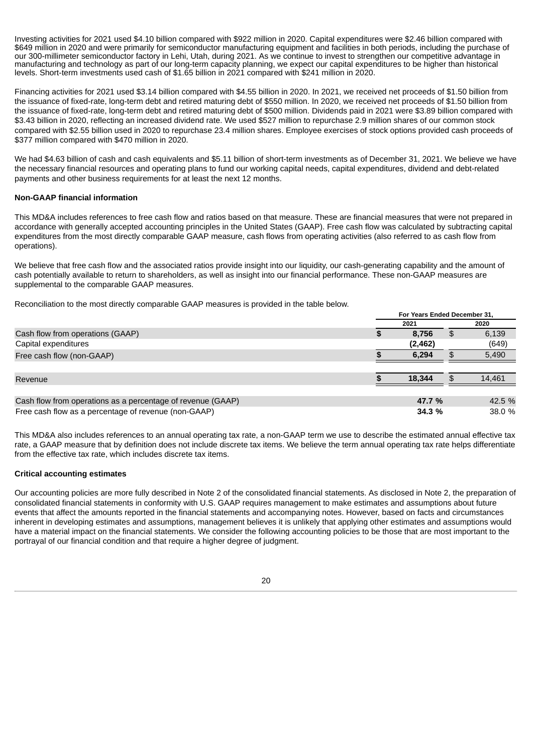Investing activities for 2021 used \$4.10 billion compared with \$922 million in 2020. Capital expenditures were \$2.46 billion compared with \$649 million in 2020 and were primarily for semiconductor manufacturing equipment and facilities in both periods, including the purchase of our 300-millimeter semiconductor factory in Lehi, Utah, during 2021. As we continue to invest to strengthen our competitive advantage in manufacturing and technology as part of our long-term capacity planning, we expect our capital expenditures to be higher than historical levels. Short-term investments used cash of \$1.65 billion in 2021 compared with \$241 million in 2020.

Financing activities for 2021 used \$3.14 billion compared with \$4.55 billion in 2020. In 2021, we received net proceeds of \$1.50 billion from the issuance of fixed-rate, long-term debt and retired maturing debt of \$550 million. In 2020, we received net proceeds of \$1.50 billion from the issuance of fixed-rate, long-term debt and retired maturing debt of \$500 million. Dividends paid in 2021 were \$3.89 billion compared with \$3.43 billion in 2020, reflecting an increased dividend rate. We used \$527 million to repurchase 2.9 million shares of our common stock compared with \$2.55 billion used in 2020 to repurchase 23.4 million shares. Employee exercises of stock options provided cash proceeds of \$377 million compared with \$470 million in 2020.

We had \$4.63 billion of cash and cash equivalents and \$5.11 billion of short-term investments as of December 31, 2021. We believe we have the necessary financial resources and operating plans to fund our working capital needs, capital expenditures, dividend and debt-related payments and other business requirements for at least the next 12 months.

#### **Non-GAAP financial information**

This MD&A includes references to free cash flow and ratios based on that measure. These are financial measures that were not prepared in accordance with generally accepted accounting principles in the United States (GAAP). Free cash flow was calculated by subtracting capital expenditures from the most directly comparable GAAP measure, cash flows from operating activities (also referred to as cash flow from operations).

We believe that free cash flow and the associated ratios provide insight into our liquidity, our cash-generating capability and the amount of cash potentially available to return to shareholders, as well as insight into our financial performance. These non-GAAP measures are supplemental to the comparable GAAP measures.

Reconciliation to the most directly comparable GAAP measures is provided in the table below.

|                                                             |      | For Years Ended December 31. |    |        |  |
|-------------------------------------------------------------|------|------------------------------|----|--------|--|
|                                                             | 2021 |                              |    | 2020   |  |
| Cash flow from operations (GAAP)                            |      | 8.756                        | \$ | 6,139  |  |
| Capital expenditures                                        |      | (2, 462)                     |    | (649)  |  |
| Free cash flow (non-GAAP)                                   |      | 6.294                        |    | 5,490  |  |
|                                                             |      |                              |    |        |  |
| Revenue                                                     |      | 18.344                       |    | 14,461 |  |
| Cash flow from operations as a percentage of revenue (GAAP) |      | 47.7 %                       |    | 42.5 % |  |
|                                                             |      |                              |    |        |  |
| Free cash flow as a percentage of revenue (non-GAAP)        |      | 34.3 %                       |    | 38.0 % |  |

This MD&A also includes references to an annual operating tax rate, a non-GAAP term we use to describe the estimated annual effective tax rate, a GAAP measure that by definition does not include discrete tax items. We believe the term annual operating tax rate helps differentiate from the effective tax rate, which includes discrete tax items.

#### **Critical accounting estimates**

Our accounting policies are more fully described in Note 2 of the consolidated financial statements. As disclosed in Note 2, the preparation of consolidated financial statements in conformity with U.S. GAAP requires management to make estimates and assumptions about future events that affect the amounts reported in the financial statements and accompanying notes. However, based on facts and circumstances inherent in developing estimates and assumptions, management believes it is unlikely that applying other estimates and assumptions would have a material impact on the financial statements. We consider the following accounting policies to be those that are most important to the portrayal of our financial condition and that require a higher degree of judgment.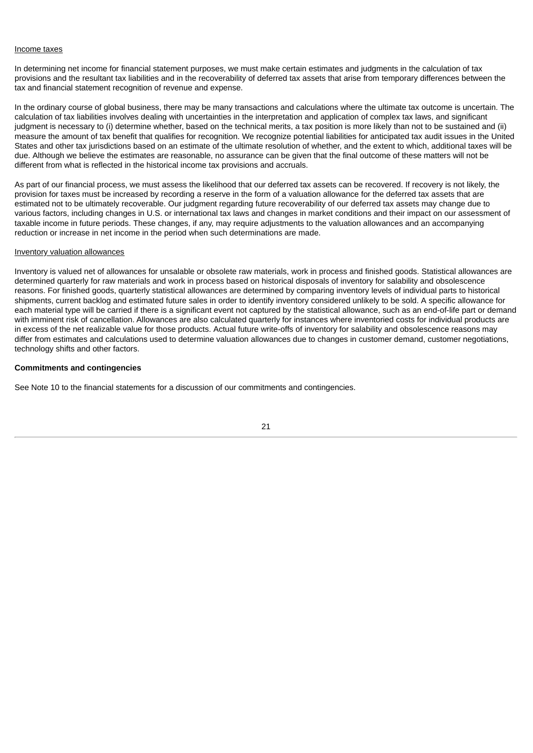#### Income taxes

In determining net income for financial statement purposes, we must make certain estimates and judgments in the calculation of tax provisions and the resultant tax liabilities and in the recoverability of deferred tax assets that arise from temporary differences between the tax and financial statement recognition of revenue and expense.

In the ordinary course of global business, there may be many transactions and calculations where the ultimate tax outcome is uncertain. The calculation of tax liabilities involves dealing with uncertainties in the interpretation and application of complex tax laws, and significant judgment is necessary to (i) determine whether, based on the technical merits, a tax position is more likely than not to be sustained and (ii) measure the amount of tax benefit that qualifies for recognition. We recognize potential liabilities for anticipated tax audit issues in the United States and other tax jurisdictions based on an estimate of the ultimate resolution of whether, and the extent to which, additional taxes will be due. Although we believe the estimates are reasonable, no assurance can be given that the final outcome of these matters will not be different from what is reflected in the historical income tax provisions and accruals.

As part of our financial process, we must assess the likelihood that our deferred tax assets can be recovered. If recovery is not likely, the provision for taxes must be increased by recording a reserve in the form of a valuation allowance for the deferred tax assets that are estimated not to be ultimately recoverable. Our judgment regarding future recoverability of our deferred tax assets may change due to various factors, including changes in U.S. or international tax laws and changes in market conditions and their impact on our assessment of taxable income in future periods. These changes, if any, may require adjustments to the valuation allowances and an accompanying reduction or increase in net income in the period when such determinations are made.

#### Inventory valuation allowances

Inventory is valued net of allowances for unsalable or obsolete raw materials, work in process and finished goods. Statistical allowances are determined quarterly for raw materials and work in process based on historical disposals of inventory for salability and obsolescence reasons. For finished goods, quarterly statistical allowances are determined by comparing inventory levels of individual parts to historical shipments, current backlog and estimated future sales in order to identify inventory considered unlikely to be sold. A specific allowance for each material type will be carried if there is a significant event not captured by the statistical allowance, such as an end-of-life part or demand with imminent risk of cancellation. Allowances are also calculated quarterly for instances where inventoried costs for individual products are in excess of the net realizable value for those products. Actual future write-offs of inventory for salability and obsolescence reasons may differ from estimates and calculations used to determine valuation allowances due to changes in customer demand, customer negotiations, technology shifts and other factors.

#### **Commitments and contingencies**

See Note 10 to the financial statements for a discussion of our commitments and contingencies.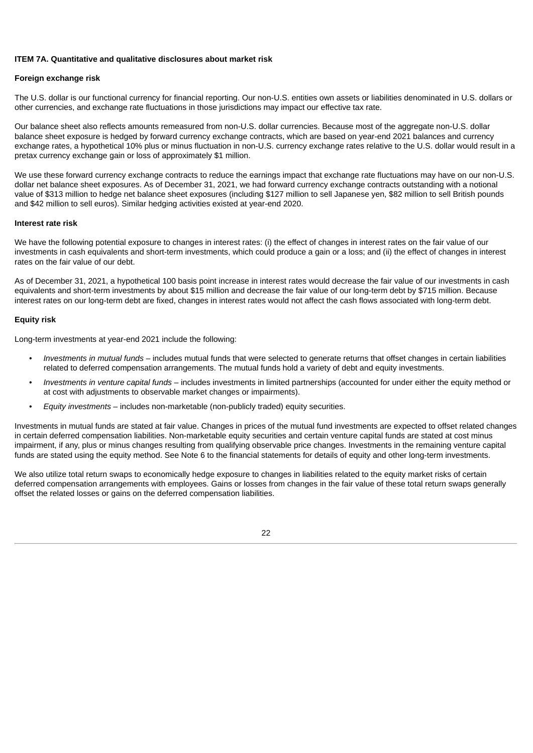## **ITEM 7A. Quantitative and qualitative disclosures about market risk**

#### **Foreign exchange risk**

The U.S. dollar is our functional currency for financial reporting. Our non-U.S. entities own assets or liabilities denominated in U.S. dollars or other currencies, and exchange rate fluctuations in those jurisdictions may impact our effective tax rate.

Our balance sheet also reflects amounts remeasured from non-U.S. dollar currencies. Because most of the aggregate non-U.S. dollar balance sheet exposure is hedged by forward currency exchange contracts, which are based on year-end 2021 balances and currency exchange rates, a hypothetical 10% plus or minus fluctuation in non-U.S. currency exchange rates relative to the U.S. dollar would result in a pretax currency exchange gain or loss of approximately \$1 million.

We use these forward currency exchange contracts to reduce the earnings impact that exchange rate fluctuations may have on our non-U.S. dollar net balance sheet exposures. As of December 31, 2021, we had forward currency exchange contracts outstanding with a notional value of \$313 million to hedge net balance sheet exposures (including \$127 million to sell Japanese yen, \$82 million to sell British pounds and \$42 million to sell euros). Similar hedging activities existed at year-end 2020.

#### **Interest rate risk**

We have the following potential exposure to changes in interest rates: (i) the effect of changes in interest rates on the fair value of our investments in cash equivalents and short-term investments, which could produce a gain or a loss; and (ii) the effect of changes in interest rates on the fair value of our debt.

As of December 31, 2021, a hypothetical 100 basis point increase in interest rates would decrease the fair value of our investments in cash equivalents and short-term investments by about \$15 million and decrease the fair value of our long-term debt by \$715 million. Because interest rates on our long-term debt are fixed, changes in interest rates would not affect the cash flows associated with long-term debt.

## **Equity risk**

Long-term investments at year-end 2021 include the following:

- *Investments in mutual funds* includes mutual funds that were selected to generate returns that offset changes in certain liabilities related to deferred compensation arrangements. The mutual funds hold a variety of debt and equity investments.
- *Investments in venture capital funds* includes investments in limited partnerships (accounted for under either the equity method or at cost with adjustments to observable market changes or impairments).
- *Equity investments* includes non-marketable (non-publicly traded) equity securities.

Investments in mutual funds are stated at fair value. Changes in prices of the mutual fund investments are expected to offset related changes in certain deferred compensation liabilities. Non-marketable equity securities and certain venture capital funds are stated at cost minus impairment, if any, plus or minus changes resulting from qualifying observable price changes. Investments in the remaining venture capital funds are stated using the equity method. See Note 6 to the financial statements for details of equity and other long-term investments.

We also utilize total return swaps to economically hedge exposure to changes in liabilities related to the equity market risks of certain deferred compensation arrangements with employees. Gains or losses from changes in the fair value of these total return swaps generally offset the related losses or gains on the deferred compensation liabilities.

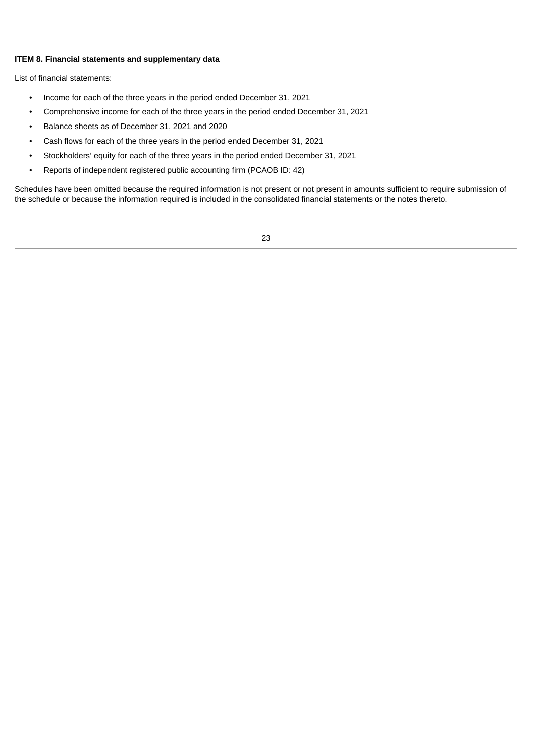## **ITEM 8. Financial statements and supplementary data**

List of financial statements:

- Income for each of the three years in the period ended December 31, 2021
- Comprehensive income for each of the three years in the period ended December 31, 2021
- Balance sheets as of December 31, 2021 and 2020
- Cash flows for each of the three years in the period ended December 31, 2021
- Stockholders' equity for each of the three years in the period ended December 31, 2021
- Reports of independent registered public accounting firm (PCAOB ID: 42)

Schedules have been omitted because the required information is not present or not present in amounts sufficient to require submission of the schedule or because the information required is included in the consolidated financial statements or the notes thereto.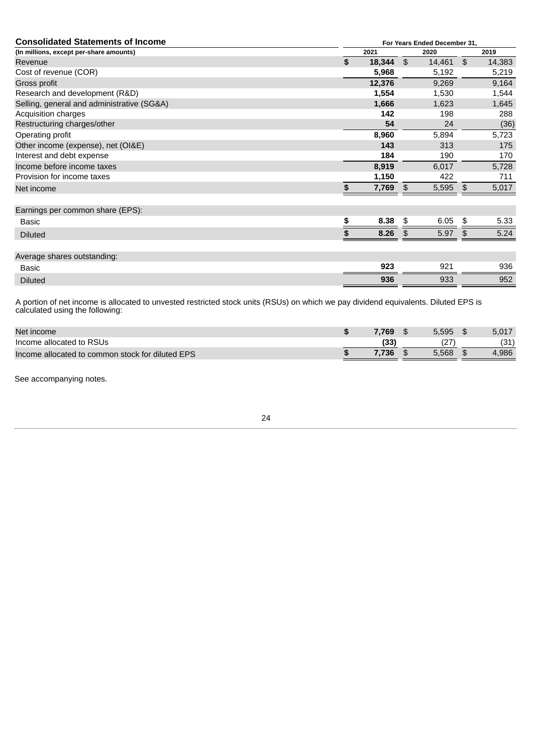| <b>Consolidated Statements of Income</b>   |              |    | For Years Ended December 31, |                |        |  |
|--------------------------------------------|--------------|----|------------------------------|----------------|--------|--|
| (In millions, except per-share amounts)    | 2021         |    | 2020                         |                | 2019   |  |
| Revenue                                    | \$<br>18,344 | \$ | 14,461                       | $\mathfrak{L}$ | 14,383 |  |
| Cost of revenue (COR)                      | 5,968        |    | 5,192                        |                | 5,219  |  |
| Gross profit                               | 12,376       |    | 9,269                        |                | 9,164  |  |
| Research and development (R&D)             | 1,554        |    | 1,530                        |                | 1,544  |  |
| Selling, general and administrative (SG&A) | 1,666        |    | 1,623                        |                | 1,645  |  |
| Acquisition charges                        | 142          |    | 198                          |                | 288    |  |
| Restructuring charges/other                | 54           |    | 24                           |                | (36)   |  |
| Operating profit                           | 8,960        |    | 5,894                        |                | 5,723  |  |
| Other income (expense), net (OI&E)         | 143          |    | 313                          |                | 175    |  |
| Interest and debt expense                  | 184          |    | 190                          |                | 170    |  |
| Income before income taxes                 | 8,919        |    | 6,017                        |                | 5,728  |  |
| Provision for income taxes                 | 1,150        |    | 422                          |                | 711    |  |
| Net income                                 | \$<br>7,769  | \$ | 5,595                        | $\frac{3}{2}$  | 5,017  |  |
| Earnings per common share (EPS):           |              |    |                              |                |        |  |
| <b>Basic</b>                               | 8.38<br>S    | \$ | 6.05                         | \$             | 5.33   |  |
| <b>Diluted</b>                             | \$<br>8.26   | \$ | 5.97                         | \$             | 5.24   |  |
| Average shares outstanding:                |              |    |                              |                |        |  |
| <b>Basic</b>                               | 923          |    | 921                          |                | 936    |  |
| <b>Diluted</b>                             | 936          |    | 933                          |                | 952    |  |

A portion of net income is allocated to unvested restricted stock units (RSUs) on which we pay dividend equivalents. Diluted EPS is calculated using the following:

| Net income                                       | 7.769 | 5.595      | 5,017 |
|--------------------------------------------------|-------|------------|-------|
| Income allocated to RSUs                         | دد ا  | $\epsilon$ | (31)  |
| Income allocated to common stock for diluted EPS |       | 5.568      | .986  |

See accompanying notes.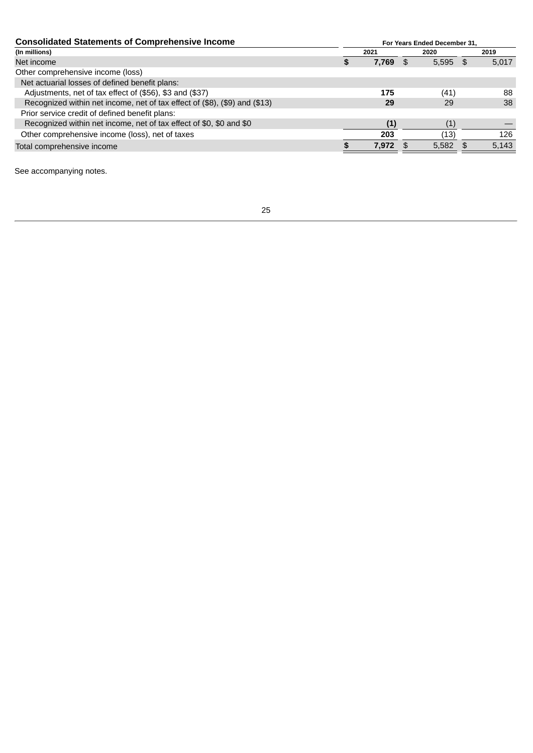| <b>Consolidated Statements of Comprehensive Income</b>                     |   | For Years Ended December 31. |     |       |      |       |  |  |  |  |
|----------------------------------------------------------------------------|---|------------------------------|-----|-------|------|-------|--|--|--|--|
| (In millions)                                                              |   | 2021                         |     | 2020  | 2019 |       |  |  |  |  |
| Net income                                                                 | æ | 7,769                        | \$. | 5,595 |      | 5.017 |  |  |  |  |
| Other comprehensive income (loss)                                          |   |                              |     |       |      |       |  |  |  |  |
| Net actuarial losses of defined benefit plans:                             |   |                              |     |       |      |       |  |  |  |  |
| Adjustments, net of tax effect of (\$56), \$3 and (\$37)                   |   | 175                          |     | (41)  |      | 88    |  |  |  |  |
| Recognized within net income, net of tax effect of (\$8), (\$9) and (\$13) |   | 29                           |     | 29    |      | 38    |  |  |  |  |
| Prior service credit of defined benefit plans:                             |   |                              |     |       |      |       |  |  |  |  |
| Recognized within net income, net of tax effect of \$0, \$0 and \$0        |   | (1)                          |     | (1    |      |       |  |  |  |  |
| Other comprehensive income (loss), net of taxes                            |   | 203                          |     | (13)  |      | 126   |  |  |  |  |
| Total comprehensive income                                                 |   | 7.972                        |     | 5.582 |      | 5,143 |  |  |  |  |
|                                                                            |   |                              |     |       |      |       |  |  |  |  |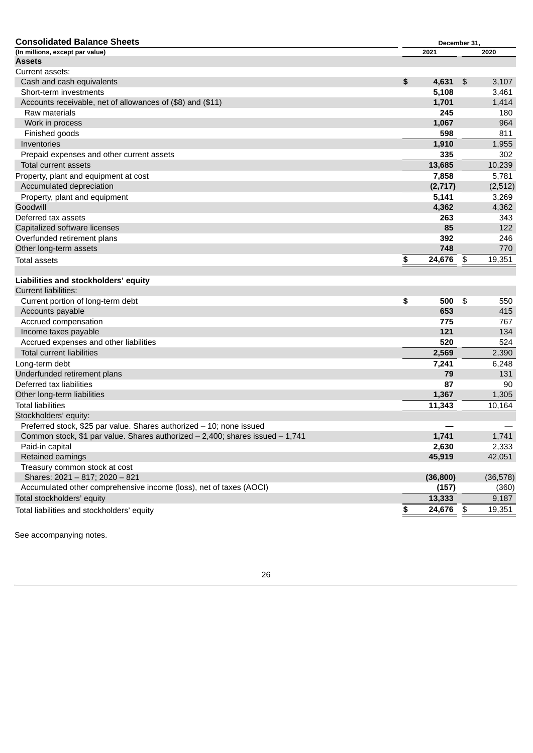| <b>Consolidated Balance Sheets</b>                                            |              | December 31,  |          |  |
|-------------------------------------------------------------------------------|--------------|---------------|----------|--|
| (In millions, except par value)                                               | 2021         |               | 2020     |  |
| <b>Assets</b>                                                                 |              |               |          |  |
| Current assets:                                                               |              |               |          |  |
| Cash and cash equivalents                                                     | \$<br>4,631  | $\frac{1}{2}$ | 3,107    |  |
| Short-term investments                                                        | 5,108        |               | 3,461    |  |
| Accounts receivable, net of allowances of (\$8) and (\$11)                    | 1,701        |               | 1,414    |  |
| Raw materials                                                                 | 245          |               | 180      |  |
| Work in process                                                               | 1,067        |               | 964      |  |
| Finished goods                                                                | 598          |               | 811      |  |
| Inventories                                                                   | 1,910        |               | 1,955    |  |
| Prepaid expenses and other current assets                                     | 335          |               | 302      |  |
| Total current assets                                                          | 13,685       |               | 10,239   |  |
| Property, plant and equipment at cost                                         | 7,858        |               | 5,781    |  |
| Accumulated depreciation                                                      | (2,717)      |               | (2,512)  |  |
| Property, plant and equipment                                                 | 5,141        |               | 3,269    |  |
| Goodwill                                                                      | 4,362        |               | 4,362    |  |
| Deferred tax assets                                                           | 263          |               | 343      |  |
| Capitalized software licenses                                                 | 85           |               | 122      |  |
| Overfunded retirement plans                                                   | 392          |               | 246      |  |
| Other long-term assets                                                        | 748          |               | 770      |  |
| Total assets                                                                  | \$<br>24,676 | \$            | 19,351   |  |
|                                                                               |              |               |          |  |
| Liabilities and stockholders' equity                                          |              |               |          |  |
| <b>Current liabilities:</b>                                                   |              |               |          |  |
| Current portion of long-term debt                                             | \$<br>500    | \$            | 550      |  |
| Accounts payable                                                              | 653          |               | 415      |  |
| Accrued compensation                                                          | 775          |               | 767      |  |
| Income taxes payable                                                          | 121          |               | 134      |  |
| Accrued expenses and other liabilities                                        | 520          |               | 524      |  |
| <b>Total current liabilities</b>                                              | 2,569        |               | 2,390    |  |
| Long-term debt                                                                | 7,241        |               | 6,248    |  |
| Underfunded retirement plans                                                  | 79           |               | 131      |  |
| Deferred tax liabilities                                                      | 87           |               | 90       |  |
| Other long-term liabilities                                                   | 1,367        |               | 1,305    |  |
| <b>Total liabilities</b>                                                      | 11,343       |               | 10,164   |  |
| Stockholders' equity:                                                         |              |               |          |  |
| Preferred stock, \$25 par value. Shares authorized - 10; none issued          |              |               |          |  |
| Common stock, \$1 par value. Shares authorized - 2,400; shares issued - 1,741 | 1.741        |               | 1,741    |  |
| Paid-in capital                                                               | 2,630        |               | 2,333    |  |
| Retained earnings                                                             | 45,919       |               | 42,051   |  |
| Treasury common stock at cost                                                 |              |               |          |  |
| Shares: 2021 - 817; 2020 - 821                                                | (36, 800)    |               | (36,578) |  |
| Accumulated other comprehensive income (loss), net of taxes (AOCI)            | (157)        |               | (360)    |  |
| Total stockholders' equity                                                    | 13,333       |               | 9,187    |  |
|                                                                               | \$<br>24,676 | \$            | 19,351   |  |
| Total liabilities and stockholders' equity                                    |              |               |          |  |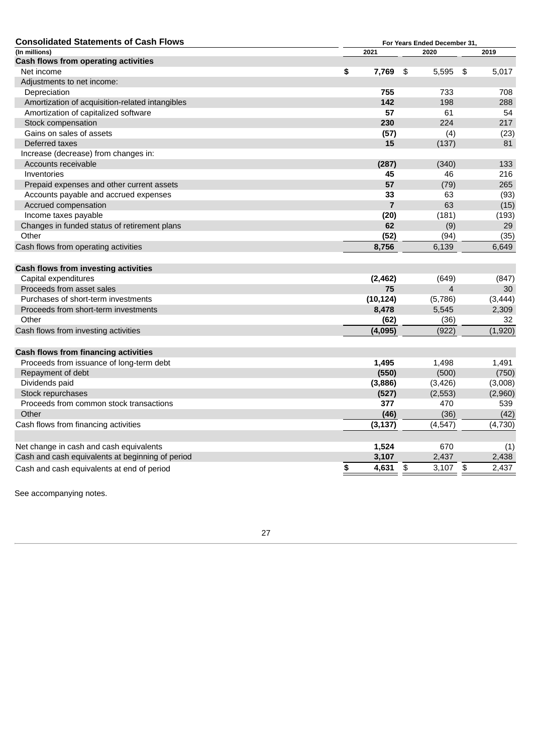| <b>Consolidated Statements of Cash Flows</b>     |                | For Years Ended December 31, |                |    |          |  |  |  |  |
|--------------------------------------------------|----------------|------------------------------|----------------|----|----------|--|--|--|--|
| (In millions)                                    | 2021           |                              | 2020           |    | 2019     |  |  |  |  |
| Cash flows from operating activities             |                |                              |                |    |          |  |  |  |  |
| Net income                                       | \$<br>7,769    | \$                           | 5,595          | \$ | 5,017    |  |  |  |  |
| Adjustments to net income:                       |                |                              |                |    |          |  |  |  |  |
| Depreciation                                     | 755            |                              | 733            |    | 708      |  |  |  |  |
| Amortization of acquisition-related intangibles  | 142            |                              | 198            |    | 288      |  |  |  |  |
| Amortization of capitalized software             | 57             |                              | 61             |    | 54       |  |  |  |  |
| Stock compensation                               | 230            |                              | 224            |    | 217      |  |  |  |  |
| Gains on sales of assets                         | (57)           |                              | (4)            |    | (23)     |  |  |  |  |
| Deferred taxes                                   | 15             |                              | (137)          |    | 81       |  |  |  |  |
| Increase (decrease) from changes in:             |                |                              |                |    |          |  |  |  |  |
| Accounts receivable                              | (287)          |                              | (340)          |    | 133      |  |  |  |  |
| Inventories                                      | 45             |                              | 46             |    | 216      |  |  |  |  |
| Prepaid expenses and other current assets        | 57             |                              | (79)           |    | 265      |  |  |  |  |
| Accounts payable and accrued expenses            | 33             |                              | 63             |    | (93)     |  |  |  |  |
| Accrued compensation                             | $\overline{7}$ |                              | 63             |    | (15)     |  |  |  |  |
| Income taxes payable                             | (20)           |                              | (181)          |    | (193)    |  |  |  |  |
| Changes in funded status of retirement plans     | 62             |                              | (9)            |    | 29       |  |  |  |  |
| Other                                            | (52)           |                              | (94)           |    | (35)     |  |  |  |  |
| Cash flows from operating activities             | 8,756          |                              | 6,139          |    | 6.649    |  |  |  |  |
|                                                  |                |                              |                |    |          |  |  |  |  |
| Cash flows from investing activities             |                |                              |                |    |          |  |  |  |  |
| Capital expenditures                             | (2,462)        |                              | (649)          |    | (847)    |  |  |  |  |
| Proceeds from asset sales                        | 75             |                              | $\overline{4}$ |    | 30       |  |  |  |  |
| Purchases of short-term investments              | (10, 124)      |                              | (5,786)        |    | (3, 444) |  |  |  |  |
| Proceeds from short-term investments             | 8,478          |                              | 5,545          |    | 2,309    |  |  |  |  |
| Other                                            | (62)           |                              | (36)           |    | 32       |  |  |  |  |
| Cash flows from investing activities             | (4,095)        |                              | (922)          |    | (1,920)  |  |  |  |  |
|                                                  |                |                              |                |    |          |  |  |  |  |
| Cash flows from financing activities             |                |                              |                |    |          |  |  |  |  |
| Proceeds from issuance of long-term debt         | 1,495          |                              | 1,498          |    | 1,491    |  |  |  |  |
| Repayment of debt                                | (550)          |                              | (500)          |    | (750)    |  |  |  |  |
| Dividends paid                                   | (3,886)        |                              | (3, 426)       |    | (3,008)  |  |  |  |  |
| Stock repurchases                                | (527)          |                              | (2, 553)       |    | (2,960)  |  |  |  |  |
| Proceeds from common stock transactions          | 377            |                              | 470            |    | 539      |  |  |  |  |
| Other                                            | (46)           |                              | (36)           |    | (42)     |  |  |  |  |
| Cash flows from financing activities             | (3, 137)       |                              | (4, 547)       |    | (4,730)  |  |  |  |  |
|                                                  |                |                              |                |    |          |  |  |  |  |
| Net change in cash and cash equivalents          | 1,524          |                              | 670            |    | (1)      |  |  |  |  |
| Cash and cash equivalents at beginning of period | 3,107          |                              | 2,437          |    | 2,438    |  |  |  |  |
| Cash and cash equivalents at end of period       | \$<br>4,631    | \$                           | 3,107          | \$ | 2,437    |  |  |  |  |
|                                                  |                |                              |                |    |          |  |  |  |  |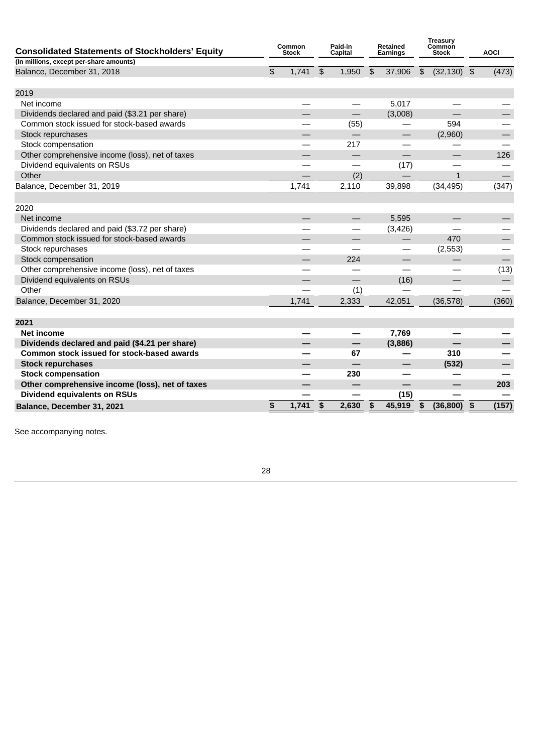| <b>Consolidated Statements of Stockholders' Equity</b> | Common<br><b>Stock</b> | Paid-in<br>Capital       |               | Retained<br>Earnings |               | <b>Treasury</b><br>Common<br><b>Stock</b> | <b>AOCI</b> |
|--------------------------------------------------------|------------------------|--------------------------|---------------|----------------------|---------------|-------------------------------------------|-------------|
| (In millions, except per-share amounts)                |                        |                          |               |                      |               |                                           |             |
| Balance, December 31, 2018                             | \$<br>1,741            | $\frac{1}{2}$<br>1,950   | $\frac{1}{2}$ | 37,906               | $\frac{2}{3}$ | $(32, 130)$ \$                            | (473)       |
| 2019                                                   |                        |                          |               |                      |               |                                           |             |
| Net income                                             |                        |                          |               | 5,017                |               |                                           |             |
| Dividends declared and paid (\$3.21 per share)         |                        |                          |               | (3,008)              |               |                                           |             |
| Common stock issued for stock-based awards             |                        | (55)                     |               |                      |               | 594                                       |             |
| Stock repurchases                                      |                        |                          |               |                      |               | (2,960)                                   |             |
| Stock compensation                                     |                        | 217                      |               |                      |               |                                           |             |
| Other comprehensive income (loss), net of taxes        |                        | $\overline{\phantom{0}}$ |               |                      |               |                                           | 126         |
| Dividend equivalents on RSUs                           |                        |                          |               | (17)                 |               |                                           |             |
| Other                                                  |                        | (2)                      |               |                      |               | $\mathbf{1}$                              |             |
| Balance, December 31, 2019                             | 1,741                  | 2,110                    |               | 39,898               |               | (34, 495)                                 | (347)       |
| 2020                                                   |                        |                          |               |                      |               |                                           |             |
| Net income                                             |                        |                          |               | 5,595                |               |                                           |             |
| Dividends declared and paid (\$3.72 per share)         |                        |                          |               | (3, 426)             |               |                                           |             |
| Common stock issued for stock-based awards             |                        |                          |               |                      |               | 470                                       |             |
| Stock repurchases                                      |                        |                          |               |                      |               | (2, 553)                                  |             |
| Stock compensation                                     |                        | 224                      |               |                      |               |                                           |             |
| Other comprehensive income (loss), net of taxes        |                        |                          |               |                      |               |                                           | (13)        |
| Dividend equivalents on RSUs                           |                        | $\overline{\phantom{0}}$ |               | (16)                 |               |                                           |             |
| Other                                                  |                        | (1)                      |               |                      |               |                                           |             |
| Balance, December 31, 2020                             | 1,741                  | 2,333                    |               | 42,051               |               | (36, 578)                                 | (360)       |
| 2021                                                   |                        |                          |               |                      |               |                                           |             |
| <b>Net income</b>                                      |                        |                          |               | 7,769                |               |                                           |             |
| Dividends declared and paid (\$4.21 per share)         |                        |                          |               | (3,886)              |               |                                           |             |
| Common stock issued for stock-based awards             |                        | 67                       |               |                      |               | 310                                       |             |
| <b>Stock repurchases</b>                               |                        |                          |               |                      |               | (532)                                     |             |
| <b>Stock compensation</b>                              |                        | 230                      |               |                      |               |                                           |             |
| Other comprehensive income (loss), net of taxes        |                        |                          |               |                      |               |                                           | 203         |
| <b>Dividend equivalents on RSUs</b>                    |                        |                          |               | (15)                 |               |                                           |             |
| Balance, December 31, 2021                             | \$<br>1,741            | \$<br>2,630              | \$            | 45,919               | \$            | (36, 800)                                 | \$<br>(157) |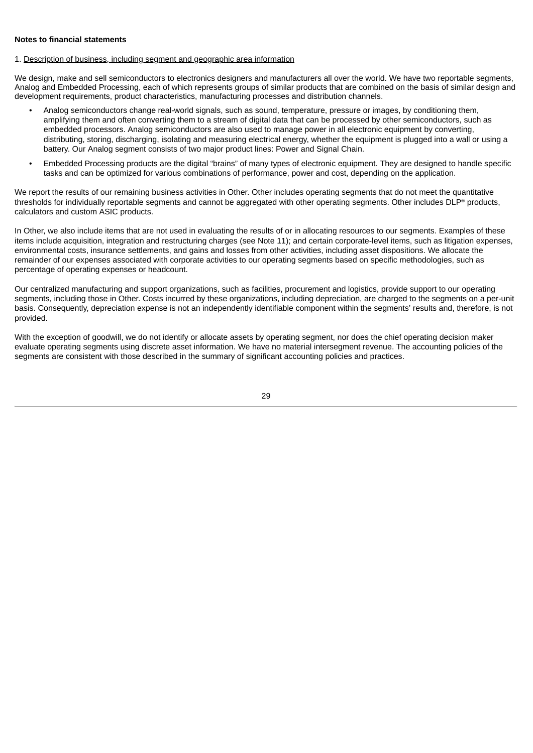#### **Notes to financial statements**

## 1. Description of business, including segment and geographic area information

We design, make and sell semiconductors to electronics designers and manufacturers all over the world. We have two reportable segments, Analog and Embedded Processing, each of which represents groups of similar products that are combined on the basis of similar design and development requirements, product characteristics, manufacturing processes and distribution channels.

- Analog semiconductors change real-world signals, such as sound, temperature, pressure or images, by conditioning them, amplifying them and often converting them to a stream of digital data that can be processed by other semiconductors, such as embedded processors. Analog semiconductors are also used to manage power in all electronic equipment by converting, distributing, storing, discharging, isolating and measuring electrical energy, whether the equipment is plugged into a wall or using a battery. Our Analog segment consists of two major product lines: Power and Signal Chain.
- Embedded Processing products are the digital "brains" of many types of electronic equipment. They are designed to handle specific tasks and can be optimized for various combinations of performance, power and cost, depending on the application.

We report the results of our remaining business activities in Other. Other includes operating segments that do not meet the quantitative thresholds for individually reportable segments and cannot be aggregated with other operating segments. Other includes DLP® products, calculators and custom ASIC products.

In Other, we also include items that are not used in evaluating the results of or in allocating resources to our segments. Examples of these items include acquisition, integration and restructuring charges (see Note 11); and certain corporate-level items, such as litigation expenses, environmental costs, insurance settlements, and gains and losses from other activities, including asset dispositions. We allocate the remainder of our expenses associated with corporate activities to our operating segments based on specific methodologies, such as percentage of operating expenses or headcount.

Our centralized manufacturing and support organizations, such as facilities, procurement and logistics, provide support to our operating segments, including those in Other. Costs incurred by these organizations, including depreciation, are charged to the segments on a per-unit basis. Consequently, depreciation expense is not an independently identifiable component within the segments' results and, therefore, is not provided.

With the exception of goodwill, we do not identify or allocate assets by operating segment, nor does the chief operating decision maker evaluate operating segments using discrete asset information. We have no material intersegment revenue. The accounting policies of the segments are consistent with those described in the summary of significant accounting policies and practices.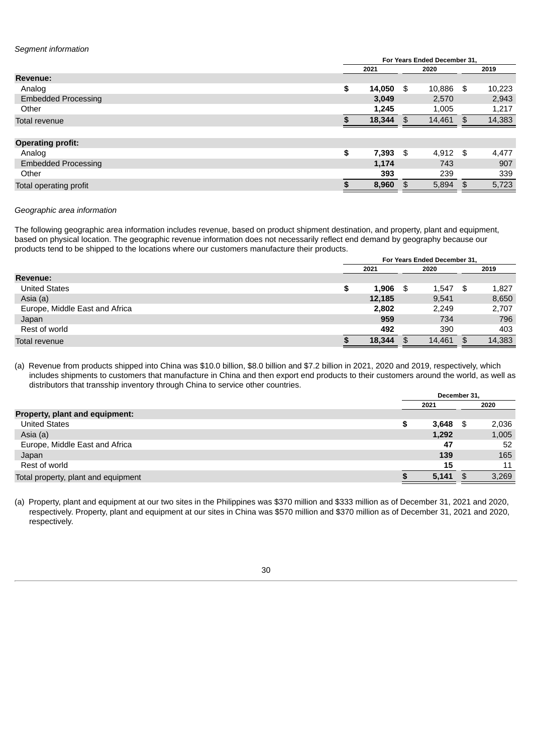#### *Segment information*

|                            | For Years Ended December 31. |    |        |    |        |  |  |  |
|----------------------------|------------------------------|----|--------|----|--------|--|--|--|
|                            | 2021                         |    | 2020   |    | 2019   |  |  |  |
| Revenue:                   |                              |    |        |    |        |  |  |  |
| Analog                     | \$<br>14,050                 | \$ | 10,886 | \$ | 10,223 |  |  |  |
| <b>Embedded Processing</b> | 3,049                        |    | 2,570  |    | 2,943  |  |  |  |
| Other                      | 1,245                        |    | 1,005  |    | 1,217  |  |  |  |
| Total revenue              | 18,344                       | \$ | 14,461 | \$ | 14,383 |  |  |  |
|                            |                              |    |        |    |        |  |  |  |
| <b>Operating profit:</b>   |                              |    |        |    |        |  |  |  |
| Analog                     | \$<br>7,393                  | \$ | 4,912  | \$ | 4,477  |  |  |  |
| <b>Embedded Processing</b> | 1,174                        |    | 743    |    | 907    |  |  |  |
| Other                      | 393                          |    | 239    |    | 339    |  |  |  |
| Total operating profit     | 8,960                        | \$ | 5,894  | \$ | 5,723  |  |  |  |

#### *Geographic area information*

The following geographic area information includes revenue, based on product shipment destination, and property, plant and equipment, based on physical location. The geographic revenue information does not necessarily reflect end demand by geography because our products tend to be shipped to the locations where our customers manufacture their products.

|                                | For Years Ended December 31, |        |     |            |    |        |  |
|--------------------------------|------------------------------|--------|-----|------------|----|--------|--|
|                                | 2021                         |        |     | 2020       |    | 2019   |  |
| Revenue:                       |                              |        |     |            |    |        |  |
| <b>United States</b>           | S                            | 1,906  | \$  | $1,547$ \$ |    | 1,827  |  |
| Asia (a)                       |                              | 12,185 |     | 9,541      |    | 8,650  |  |
| Europe, Middle East and Africa |                              | 2,802  |     | 2,249      |    | 2,707  |  |
| Japan                          |                              | 959    |     | 734        |    | 796    |  |
| Rest of world                  |                              | 492    |     | 390        |    | 403    |  |
| Total revenue                  |                              | 18,344 | \$. | 14,461     | \$ | 14,383 |  |

(a) Revenue from products shipped into China was \$10.0 billion, \$8.0 billion and \$7.2 billion in 2021, 2020 and 2019, respectively, which includes shipments to customers that manufacture in China and then export end products to their customers around the world, as well as distributors that transship inventory through China to service other countries.

|                                     |      | December 31. |     |       |  |  |  |
|-------------------------------------|------|--------------|-----|-------|--|--|--|
|                                     | 2021 |              |     | 2020  |  |  |  |
| Property, plant and equipment:      |      |              |     |       |  |  |  |
| <b>United States</b>                | \$   | 3,648        | \$  | 2,036 |  |  |  |
| Asia (a)                            |      | 1,292        |     | 1,005 |  |  |  |
| Europe, Middle East and Africa      |      | 47           |     | 52    |  |  |  |
| Japan                               |      | 139          |     | 165   |  |  |  |
| Rest of world                       |      | 15           |     | 11    |  |  |  |
| Total property, plant and equipment |      | 5,141        | \$. | 3,269 |  |  |  |

(a) Property, plant and equipment at our two sites in the Philippines was \$370 million and \$333 million as of December 31, 2021 and 2020, respectively. Property, plant and equipment at our sites in China was \$570 million and \$370 million as of December 31, 2021 and 2020, respectively.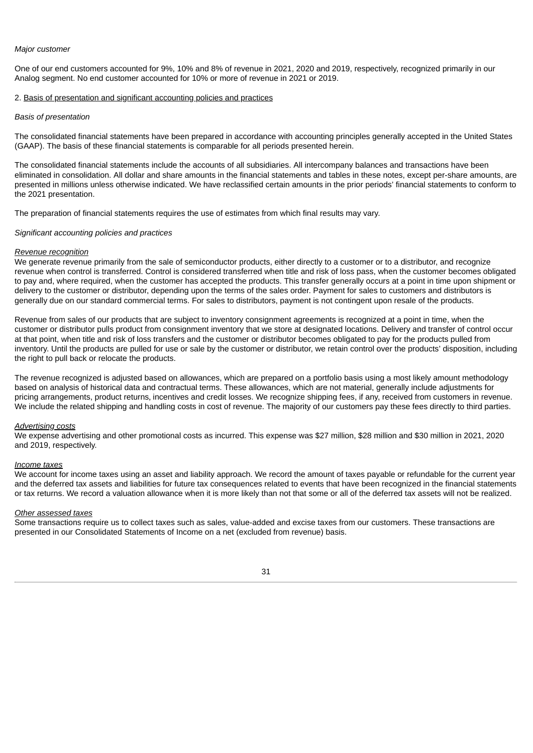#### *Major customer*

One of our end customers accounted for 9%, 10% and 8% of revenue in 2021, 2020 and 2019, respectively, recognized primarily in our Analog segment. No end customer accounted for 10% or more of revenue in 2021 or 2019.

#### 2. Basis of presentation and significant accounting policies and practices

#### *Basis of presentation*

The consolidated financial statements have been prepared in accordance with accounting principles generally accepted in the United States (GAAP). The basis of these financial statements is comparable for all periods presented herein.

The consolidated financial statements include the accounts of all subsidiaries. All intercompany balances and transactions have been eliminated in consolidation. All dollar and share amounts in the financial statements and tables in these notes, except per-share amounts, are presented in millions unless otherwise indicated. We have reclassified certain amounts in the prior periods' financial statements to conform to the 2021 presentation.

The preparation of financial statements requires the use of estimates from which final results may vary.

#### *Significant accounting policies and practices*

#### *Revenue recognition*

We generate revenue primarily from the sale of semiconductor products, either directly to a customer or to a distributor, and recognize revenue when control is transferred. Control is considered transferred when title and risk of loss pass, when the customer becomes obligated to pay and, where required, when the customer has accepted the products. This transfer generally occurs at a point in time upon shipment or delivery to the customer or distributor, depending upon the terms of the sales order. Payment for sales to customers and distributors is generally due on our standard commercial terms. For sales to distributors, payment is not contingent upon resale of the products.

Revenue from sales of our products that are subject to inventory consignment agreements is recognized at a point in time, when the customer or distributor pulls product from consignment inventory that we store at designated locations. Delivery and transfer of control occur at that point, when title and risk of loss transfers and the customer or distributor becomes obligated to pay for the products pulled from inventory. Until the products are pulled for use or sale by the customer or distributor, we retain control over the products' disposition, including the right to pull back or relocate the products.

The revenue recognized is adjusted based on allowances, which are prepared on a portfolio basis using a most likely amount methodology based on analysis of historical data and contractual terms. These allowances, which are not material, generally include adjustments for pricing arrangements, product returns, incentives and credit losses. We recognize shipping fees, if any, received from customers in revenue. We include the related shipping and handling costs in cost of revenue. The majority of our customers pay these fees directly to third parties.

#### *Advertising costs*

We expense advertising and other promotional costs as incurred. This expense was \$27 million, \$28 million and \$30 million in 2021, 2020 and 2019, respectively.

#### *Income taxes*

We account for income taxes using an asset and liability approach. We record the amount of taxes payable or refundable for the current year and the deferred tax assets and liabilities for future tax consequences related to events that have been recognized in the financial statements or tax returns. We record a valuation allowance when it is more likely than not that some or all of the deferred tax assets will not be realized.

#### *Other assessed taxes*

Some transactions require us to collect taxes such as sales, value-added and excise taxes from our customers. These transactions are presented in our Consolidated Statements of Income on a net (excluded from revenue) basis.

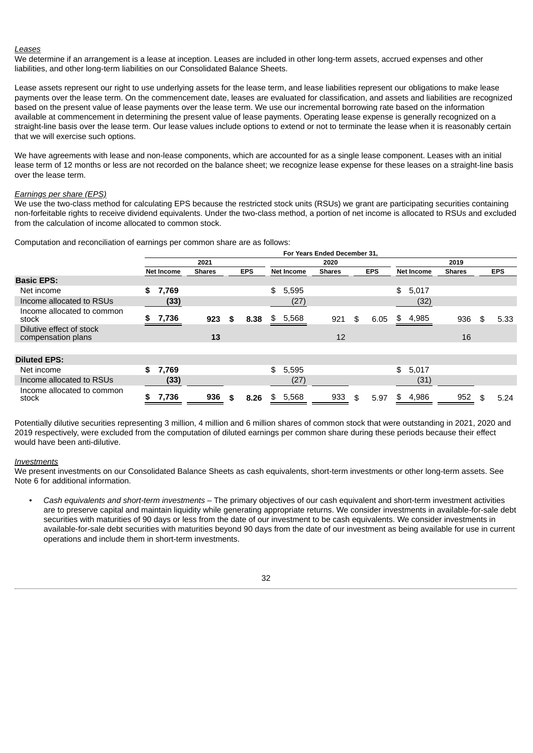#### *Leases*

We determine if an arrangement is a lease at inception. Leases are included in other long-term assets, accrued expenses and other liabilities, and other long-term liabilities on our Consolidated Balance Sheets.

Lease assets represent our right to use underlying assets for the lease term, and lease liabilities represent our obligations to make lease payments over the lease term. On the commencement date, leases are evaluated for classification, and assets and liabilities are recognized based on the present value of lease payments over the lease term. We use our incremental borrowing rate based on the information available at commencement in determining the present value of lease payments. Operating lease expense is generally recognized on a straight-line basis over the lease term. Our lease values include options to extend or not to terminate the lease when it is reasonably certain that we will exercise such options.

We have agreements with lease and non-lease components, which are accounted for as a single lease component. Leases with an initial lease term of 12 months or less are not recorded on the balance sheet; we recognize lease expense for these leases on a straight-line basis over the lease term.

#### *Earnings per share (EPS)*

We use the two-class method for calculating EPS because the restricted stock units (RSUs) we grant are participating securities containing non-forfeitable rights to receive dividend equivalents. Under the two-class method, a portion of net income is allocated to RSUs and excluded from the calculation of income allocated to common stock.

Computation and reconciliation of earnings per common share are as follows:

|                                                |    |                   |               |            |     |                   | For Years Ended December 31, |            |     |            |               |    |            |
|------------------------------------------------|----|-------------------|---------------|------------|-----|-------------------|------------------------------|------------|-----|------------|---------------|----|------------|
|                                                |    |                   | 2021          |            |     |                   | 2020                         |            |     |            |               |    |            |
|                                                |    | <b>Net Income</b> | <b>Shares</b> | <b>EPS</b> |     | <b>Net Income</b> | <b>Shares</b>                | <b>EPS</b> |     | Net Income | <b>Shares</b> |    | <b>EPS</b> |
| <b>Basic EPS:</b>                              |    |                   |               |            |     |                   |                              |            |     |            |               |    |            |
| Net income                                     | \$ | 7,769             |               |            | \$  | 5,595             |                              |            | \$  | 5,017      |               |    |            |
| Income allocated to RSUs                       |    | (33)              |               |            |     | (27)              |                              |            |     | (32)       |               |    |            |
| Income allocated to common<br>stock            |    | 7,736             | 923           | \$<br>8.38 | \$. | 5,568             | 921                          | \$<br>6.05 | \$. | 4,985      | 936           | \$ | 5.33       |
| Dilutive effect of stock<br>compensation plans |    |                   | 13            |            |     |                   | 12                           |            |     |            | 16            |    |            |
|                                                |    |                   |               |            |     |                   |                              |            |     |            |               |    |            |
| <b>Diluted EPS:</b>                            |    |                   |               |            |     |                   |                              |            |     |            |               |    |            |
| Net income                                     | \$ | 7,769             |               |            | \$  | 5,595             |                              |            | \$  | 5,017      |               |    |            |
| Income allocated to RSUs                       |    | (33)              |               |            |     | (27)              |                              |            |     | (31)       |               |    |            |
| Income allocated to common<br>stock            | S  | 7,736             | 936           | \$<br>8.26 | £.  | 5,568             | 933                          | \$<br>5.97 | \$. | 4,986      | 952           | \$ | 5.24       |

Potentially dilutive securities representing 3 million, 4 million and 6 million shares of common stock that were outstanding in 2021, 2020 and 2019 respectively, were excluded from the computation of diluted earnings per common share during these periods because their effect would have been anti-dilutive.

#### *Investments*

We present investments on our Consolidated Balance Sheets as cash equivalents, short-term investments or other long-term assets. See Note 6 for additional information.

• *Cash equivalents and short-term investments* – The primary objectives of our cash equivalent and short-term investment activities are to preserve capital and maintain liquidity while generating appropriate returns. We consider investments in available-for-sale debt securities with maturities of 90 days or less from the date of our investment to be cash equivalents. We consider investments in available-for-sale debt securities with maturities beyond 90 days from the date of our investment as being available for use in current operations and include them in short-term investments.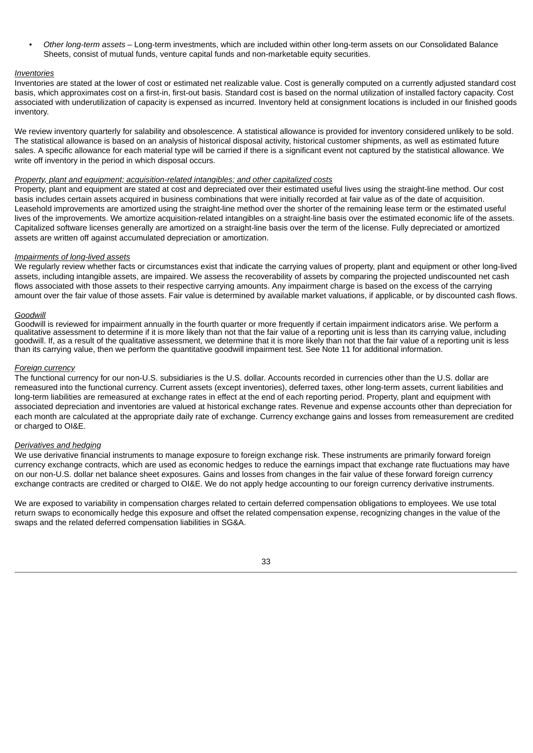• *Other long-term assets* – Long-term investments, which are included within other long-term assets on our Consolidated Balance Sheets, consist of mutual funds, venture capital funds and non-marketable equity securities.

#### *Inventories*

Inventories are stated at the lower of cost or estimated net realizable value. Cost is generally computed on a currently adjusted standard cost basis, which approximates cost on a first-in, first-out basis. Standard cost is based on the normal utilization of installed factory capacity. Cost associated with underutilization of capacity is expensed as incurred. Inventory held at consignment locations is included in our finished goods inventory.

We review inventory quarterly for salability and obsolescence. A statistical allowance is provided for inventory considered unlikely to be sold. The statistical allowance is based on an analysis of historical disposal activity, historical customer shipments, as well as estimated future sales. A specific allowance for each material type will be carried if there is a significant event not captured by the statistical allowance. We write off inventory in the period in which disposal occurs.

#### *Property, plant and equipment; acquisition-related intangibles; and other capitalized costs*

Property, plant and equipment are stated at cost and depreciated over their estimated useful lives using the straight-line method. Our cost basis includes certain assets acquired in business combinations that were initially recorded at fair value as of the date of acquisition. Leasehold improvements are amortized using the straight-line method over the shorter of the remaining lease term or the estimated useful lives of the improvements. We amortize acquisition-related intangibles on a straight-line basis over the estimated economic life of the assets. Capitalized software licenses generally are amortized on a straight-line basis over the term of the license. Fully depreciated or amortized assets are written off against accumulated depreciation or amortization.

#### *Impairments of long-lived assets*

We regularly review whether facts or circumstances exist that indicate the carrying values of property, plant and equipment or other long-lived assets, including intangible assets, are impaired. We assess the recoverability of assets by comparing the projected undiscounted net cash flows associated with those assets to their respective carrying amounts. Any impairment charge is based on the excess of the carrying amount over the fair value of those assets. Fair value is determined by available market valuations, if applicable, or by discounted cash flows.

#### *Goodwill*

Goodwill is reviewed for impairment annually in the fourth quarter or more frequently if certain impairment indicators arise. We perform a qualitative assessment to determine if it is more likely than not that the fair value of a reporting unit is less than its carrying value, including goodwill. If, as a result of the qualitative assessment, we determine that it is more likely than not that the fair value of a reporting unit is less than its carrying value, then we perform the quantitative goodwill impairment test. See Note 11 for additional information.

#### *Foreign currency*

The functional currency for our non-U.S. subsidiaries is the U.S. dollar. Accounts recorded in currencies other than the U.S. dollar are remeasured into the functional currency. Current assets (except inventories), deferred taxes, other long-term assets, current liabilities and long-term liabilities are remeasured at exchange rates in effect at the end of each reporting period. Property, plant and equipment with associated depreciation and inventories are valued at historical exchange rates. Revenue and expense accounts other than depreciation for each month are calculated at the appropriate daily rate of exchange. Currency exchange gains and losses from remeasurement are credited or charged to OI&E.

#### *Derivatives and hedging*

We use derivative financial instruments to manage exposure to foreign exchange risk. These instruments are primarily forward foreign currency exchange contracts, which are used as economic hedges to reduce the earnings impact that exchange rate fluctuations may have on our non-U.S. dollar net balance sheet exposures. Gains and losses from changes in the fair value of these forward foreign currency exchange contracts are credited or charged to OI&E. We do not apply hedge accounting to our foreign currency derivative instruments.

We are exposed to variability in compensation charges related to certain deferred compensation obligations to employees. We use total return swaps to economically hedge this exposure and offset the related compensation expense, recognizing changes in the value of the swaps and the related deferred compensation liabilities in SG&A.

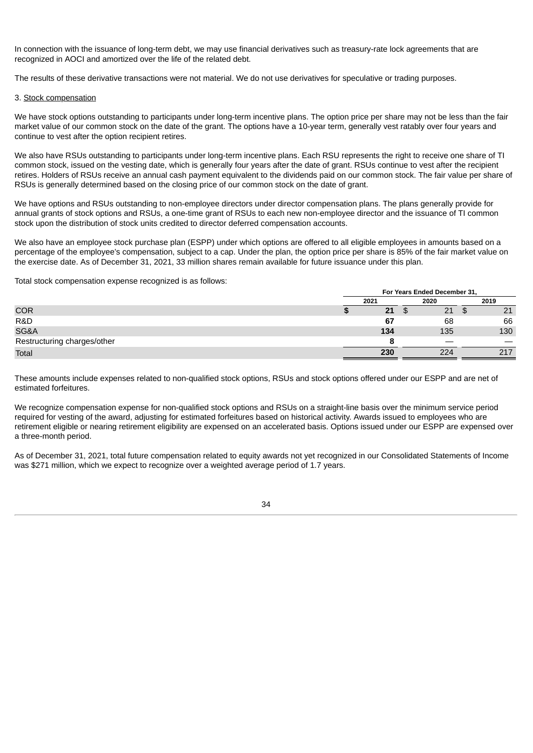In connection with the issuance of long-term debt, we may use financial derivatives such as treasury-rate lock agreements that are recognized in AOCI and amortized over the life of the related debt.

The results of these derivative transactions were not material. We do not use derivatives for speculative or trading purposes.

#### 3. Stock compensation

We have stock options outstanding to participants under long-term incentive plans. The option price per share may not be less than the fair market value of our common stock on the date of the grant. The options have a 10-year term, generally vest ratably over four years and continue to vest after the option recipient retires.

We also have RSUs outstanding to participants under long-term incentive plans. Each RSU represents the right to receive one share of TI common stock, issued on the vesting date, which is generally four years after the date of grant. RSUs continue to vest after the recipient retires. Holders of RSUs receive an annual cash payment equivalent to the dividends paid on our common stock. The fair value per share of RSUs is generally determined based on the closing price of our common stock on the date of grant.

We have options and RSUs outstanding to non-employee directors under director compensation plans. The plans generally provide for annual grants of stock options and RSUs, a one-time grant of RSUs to each new non-employee director and the issuance of TI common stock upon the distribution of stock units credited to director deferred compensation accounts.

We also have an employee stock purchase plan (ESPP) under which options are offered to all eligible employees in amounts based on a percentage of the employee's compensation, subject to a cap. Under the plan, the option price per share is 85% of the fair market value on the exercise date. As of December 31, 2021, 33 million shares remain available for future issuance under this plan.

Total stock compensation expense recognized is as follows:

|                             | For Years Ended December 31, |     |  |      |  |      |  |  |  |
|-----------------------------|------------------------------|-----|--|------|--|------|--|--|--|
|                             | 2021                         |     |  | 2020 |  | 2019 |  |  |  |
| <b>COR</b>                  |                              | 21  |  | 21   |  | 21   |  |  |  |
| R&D                         |                              | 67  |  | 68   |  | 66   |  |  |  |
| <b>SG&amp;A</b>             |                              | 134 |  | 135  |  | 130  |  |  |  |
| Restructuring charges/other |                              | я   |  |      |  | __   |  |  |  |
| Total                       |                              | 230 |  | 224  |  | 217  |  |  |  |

These amounts include expenses related to non-qualified stock options, RSUs and stock options offered under our ESPP and are net of estimated forfeitures.

We recognize compensation expense for non-qualified stock options and RSUs on a straight-line basis over the minimum service period required for vesting of the award, adjusting for estimated forfeitures based on historical activity. Awards issued to employees who are retirement eligible or nearing retirement eligibility are expensed on an accelerated basis. Options issued under our ESPP are expensed over a three-month period.

As of December 31, 2021, total future compensation related to equity awards not yet recognized in our Consolidated Statements of Income was \$271 million, which we expect to recognize over a weighted average period of 1.7 years.

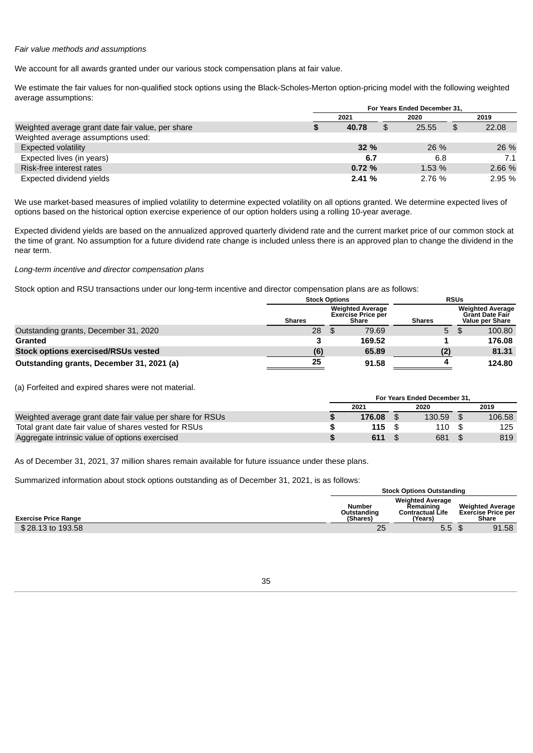#### *Fair value methods and assumptions*

We account for all awards granted under our various stock compensation plans at fair value.

We estimate the fair values for non-qualified stock options using the Black-Scholes-Merton option-pricing model with the following weighted average assumptions:

|                                                   | For Years Ended December 31. |        |  |        |    |        |  |  |  |  |  |
|---------------------------------------------------|------------------------------|--------|--|--------|----|--------|--|--|--|--|--|
|                                                   | 2021                         |        |  | 2020   |    | 2019   |  |  |  |  |  |
| Weighted average grant date fair value, per share |                              | 40.78  |  | 25.55  | \$ | 22.08  |  |  |  |  |  |
| Weighted average assumptions used:                |                              |        |  |        |    |        |  |  |  |  |  |
| Expected volatility                               |                              | 32 %   |  | $26\%$ |    | 26 %   |  |  |  |  |  |
| Expected lives (in years)                         |                              | 6.7    |  | 6.8    |    | 7.1    |  |  |  |  |  |
| Risk-free interest rates                          |                              | 0.72%  |  | 1.53 % |    | 2.66 % |  |  |  |  |  |
| Expected dividend yields                          |                              | 2.41 % |  | 2.76%  |    | 2.95%  |  |  |  |  |  |

We use market-based measures of implied volatility to determine expected volatility on all options granted. We determine expected lives of options based on the historical option exercise experience of our option holders using a rolling 10-year average.

Expected dividend yields are based on the annualized approved quarterly dividend rate and the current market price of our common stock at the time of grant. No assumption for a future dividend rate change is included unless there is an approved plan to change the dividend in the near term.

*Long-term incentive and director compensation plans*

Stock option and RSU transactions under our long-term incentive and director compensation plans are as follows:

|                                           | <b>Stock Options</b> |                                                                      | <b>RSUs</b>   |                                                                             |        |  |
|-------------------------------------------|----------------------|----------------------------------------------------------------------|---------------|-----------------------------------------------------------------------------|--------|--|
|                                           | <b>Shares</b>        | <b>Weighted Average</b><br><b>Exercise Price per</b><br><b>Share</b> | <b>Shares</b> | <b>Weighted Average</b><br><b>Grant Date Fair</b><br><b>Value per Share</b> |        |  |
| Outstanding grants, December 31, 2020     | 28                   | \$<br>79.69                                                          | 5.            | \$.                                                                         | 100.80 |  |
| Granted                                   |                      | 169.52                                                               |               |                                                                             | 176.08 |  |
| Stock options exercised/RSUs vested       | (6)                  | 65.89                                                                |               |                                                                             | 81.31  |  |
| Outstanding grants, December 31, 2021 (a) | 25                   | 91.58                                                                |               |                                                                             | 124.80 |  |

(a) Forfeited and expired shares were not material.

|                                                           | For Years Ended December 31. |  |        |  |        |  |
|-----------------------------------------------------------|------------------------------|--|--------|--|--------|--|
|                                                           | 2021                         |  | 2020   |  | 2019   |  |
| Weighted average grant date fair value per share for RSUs | 176.08                       |  | 130.59 |  | 106.58 |  |
| Total grant date fair value of shares vested for RSUs     | $115 \quad$ \$               |  | 110    |  | 125    |  |
| Aggregate intrinsic value of options exercised            | 611                          |  | 681    |  | 819    |  |

As of December 31, 2021, 37 million shares remain available for future issuance under these plans.

Summarized information about stock options outstanding as of December 31, 2021, is as follows:

|                             | <b>Stock Options Outstanding</b>         |                                                                                   |                                                                      |       |
|-----------------------------|------------------------------------------|-----------------------------------------------------------------------------------|----------------------------------------------------------------------|-------|
| <b>Exercise Price Range</b> | <b>Number</b><br>Outstanding<br>(Shares) | <b>Weighted Average</b><br>Remaining<br><b>Contractual Life</b><br><b>Years</b> ) | <b>Weighted Average</b><br><b>Exercise Price per</b><br><b>Share</b> |       |
| \$28.13 to 193.58           | 25                                       | 5.5                                                                               |                                                                      | 91.58 |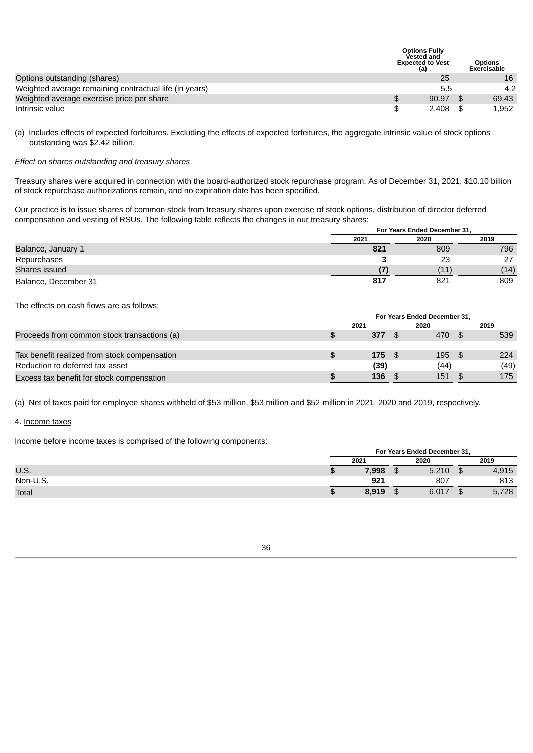|                                                        |  | <b>Options Fully</b><br>Vested and<br><b>Expected to Vest</b><br>(a) | <b>Options</b><br>Exercisable |  |  |
|--------------------------------------------------------|--|----------------------------------------------------------------------|-------------------------------|--|--|
| Options outstanding (shares)                           |  | 25                                                                   | 16                            |  |  |
| Weighted average remaining contractual life (in years) |  | 5.5                                                                  | 4.2                           |  |  |
| Weighted average exercise price per share              |  | 90.97<br>\$                                                          | 69.43                         |  |  |
| Intrinsic value                                        |  | 2.408<br>\$                                                          | 1.952                         |  |  |

(a) Includes effects of expected forfeitures. Excluding the effects of expected forfeitures, the aggregate intrinsic value of stock options outstanding was \$2.42 billion.

## *Effect on shares outstanding and treasury shares*

Treasury shares were acquired in connection with the board-authorized stock repurchase program. As of December 31, 2021, \$10.10 billion of stock repurchase authorizations remain, and no expiration date has been specified.

Our practice is to issue shares of common stock from treasury shares upon exercise of stock options, distribution of director deferred compensation and vesting of RSUs. The following table reflects the changes in our treasury shares:

|                      | For Years Ended December 31, |      |      |  |
|----------------------|------------------------------|------|------|--|
|                      | 2021                         | 2020 | 2019 |  |
| Balance, January 1   | 821                          | 809  | 796  |  |
| Repurchases          |                              | 23   | 27   |  |
| Shares issued        |                              |      | (14) |  |
| Balance, December 31 | 817                          |      | 809  |  |

The effects on cash flows are as follows:

|                                              | For Years Ended December 31, |      |      |          |      |      |
|----------------------------------------------|------------------------------|------|------|----------|------|------|
|                                              | 2021                         |      | 2020 |          | 2019 |      |
| Proceeds from common stock transactions (a)  |                              | 377  |      | 470      |      | 539  |
| Tax benefit realized from stock compensation |                              | 175  |      | $195$ \$ |      | 224  |
| Reduction to deferred tax asset              |                              | (39) |      | (44)     |      | (49) |
| Excess tax benefit for stock compensation    |                              | 136  |      | 151      |      | 175  |

(a) Net of taxes paid for employee shares withheld of \$53 million, \$53 million and \$52 million in 2021, 2020 and 2019, respectively.

#### 4. Income taxes

Income before income taxes is comprised of the following components:

|             |      | For Years Ended December 31, |            |       |    |       |  |
|-------------|------|------------------------------|------------|-------|----|-------|--|
|             | 2021 |                              |            | 2020  |    | 2019  |  |
| <b>U.S.</b> |      | 7.998                        | ന          | 5.210 | \$ | 4,915 |  |
| Non-U.S.    |      | 921                          |            | 807   |    | 813   |  |
| Total       |      | .919                         | $\sqrt{2}$ | 6.017 | ۰D | 5,728 |  |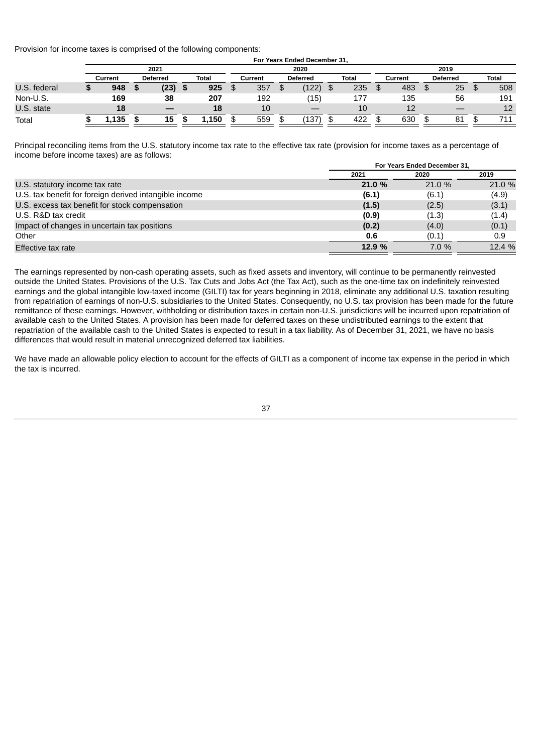Provision for income taxes is comprised of the following components:

|              |  |       |                 |      |       |              |         | For Years Ended December 31. |                 |       |              |     |    |         |                 |      |       |     |  |  |
|--------------|--|-------|-----------------|------|-------|--------------|---------|------------------------------|-----------------|-------|--------------|-----|----|---------|-----------------|------|-------|-----|--|--|
|              |  |       |                 | 2021 |       |              |         |                              |                 | 2020  |              |     |    |         |                 | 2019 |       |     |  |  |
| Current      |  |       | <b>Deferred</b> |      | Total |              | Current |                              | <b>Deferred</b> |       | <b>Total</b> |     |    | Current | <b>Deferred</b> |      | Total |     |  |  |
| U.S. federal |  | 948   |                 | (23) | S     | 925          |         | 357                          | \$              | (122) |              | 235 | \$ | 483     | \$              | 25   |       | 508 |  |  |
| Non-U.S.     |  | 169   |                 | 38   |       | 207          |         | 192                          |                 | (15)  |              | 177 |    | 135     |                 | 56   |       | 191 |  |  |
| U.S. state   |  | 18    |                 |      |       | 18           |         | 10                           |                 |       |              | 10  |    | 12      |                 |      |       | 12  |  |  |
| Total        |  | 1,135 |                 | 15   |       | <b>L.150</b> |         | 559                          | \$              | 137   |              | 422 |    | 630     | \$              | 81   |       | 711 |  |  |

Principal reconciling items from the U.S. statutory income tax rate to the effective tax rate (provision for income taxes as a percentage of income before income taxes) are as follows:

|                                                        |        | For Years Ended December 31. |        |  |  |  |  |  |
|--------------------------------------------------------|--------|------------------------------|--------|--|--|--|--|--|
|                                                        | 2021   | 2020                         | 2019   |  |  |  |  |  |
| U.S. statutory income tax rate                         | 21.0 % | 21.0 %                       | 21.0 % |  |  |  |  |  |
| U.S. tax benefit for foreign derived intangible income | (6.1)  | (6.1)                        | (4.9)  |  |  |  |  |  |
| U.S. excess tax benefit for stock compensation         | (1.5)  | (2.5)                        | (3.1)  |  |  |  |  |  |
| U.S. R&D tax credit                                    | (0.9)  | (1.3)                        | (1.4)  |  |  |  |  |  |
| Impact of changes in uncertain tax positions           | (0.2)  | (4.0)                        | (0.1)  |  |  |  |  |  |
| Other                                                  | 0.6    | (0.1)                        | 0.9    |  |  |  |  |  |
| Effective tax rate                                     | 12.9 % | 7.0 %                        | 12.4 % |  |  |  |  |  |

The earnings represented by non-cash operating assets, such as fixed assets and inventory, will continue to be permanently reinvested outside the United States. Provisions of the U.S. Tax Cuts and Jobs Act (the Tax Act), such as the one-time tax on indefinitely reinvested earnings and the global intangible low-taxed income (GILTI) tax for years beginning in 2018, eliminate any additional U.S. taxation resulting from repatriation of earnings of non-U.S. subsidiaries to the United States. Consequently, no U.S. tax provision has been made for the future remittance of these earnings. However, withholding or distribution taxes in certain non-U.S. jurisdictions will be incurred upon repatriation of available cash to the United States. A provision has been made for deferred taxes on these undistributed earnings to the extent that repatriation of the available cash to the United States is expected to result in a tax liability. As of December 31, 2021, we have no basis differences that would result in material unrecognized deferred tax liabilities.

We have made an allowable policy election to account for the effects of GILTI as a component of income tax expense in the period in which the tax is incurred.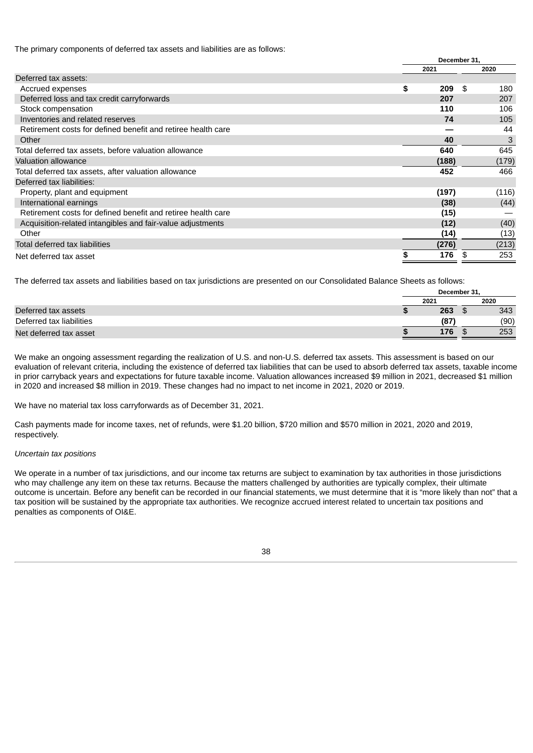The primary components of deferred tax assets and liabilities are as follows:

|                                                              |    |       | December 31, |       |  |
|--------------------------------------------------------------|----|-------|--------------|-------|--|
|                                                              |    | 2021  |              | 2020  |  |
| Deferred tax assets:                                         |    |       |              |       |  |
| Accrued expenses                                             | \$ | 209   | \$           | 180   |  |
| Deferred loss and tax credit carryforwards                   |    | 207   |              | 207   |  |
| Stock compensation                                           |    | 110   |              | 106   |  |
| Inventories and related reserves                             |    | 74    |              | 105   |  |
| Retirement costs for defined benefit and retiree health care |    |       |              | 44    |  |
| Other                                                        |    | 40    |              | 3     |  |
| Total deferred tax assets, before valuation allowance        |    | 640   |              | 645   |  |
| Valuation allowance                                          |    | (188) |              | (179) |  |
| Total deferred tax assets, after valuation allowance         |    | 452   |              | 466   |  |
| Deferred tax liabilities:                                    |    |       |              |       |  |
| Property, plant and equipment                                |    | (197) |              | (116) |  |
| International earnings                                       |    | (38)  |              | (44)  |  |
| Retirement costs for defined benefit and retiree health care |    | (15)  |              |       |  |
| Acquisition-related intangibles and fair-value adjustments   |    | (12)  |              | (40)  |  |
| Other                                                        |    | (14)  |              | (13)  |  |
| Total deferred tax liabilities                               |    | (276) |              | (213) |  |
| Net deferred tax asset                                       | S  | 176   | \$           | 253   |  |

The deferred tax assets and liabilities based on tax jurisdictions are presented on our Consolidated Balance Sheets as follows:

|                          |      | December 31. |            |      |
|--------------------------|------|--------------|------------|------|
|                          |      | 2021         |            | 2020 |
| Deferred tax assets      | - 12 | 263          |            | 343  |
| Deferred tax liabilities |      | (87          |            | (90) |
| Net deferred tax asset   |      | 176          | $\sqrt{2}$ | 253  |

We make an ongoing assessment regarding the realization of U.S. and non-U.S. deferred tax assets. This assessment is based on our evaluation of relevant criteria, including the existence of deferred tax liabilities that can be used to absorb deferred tax assets, taxable income in prior carryback years and expectations for future taxable income. Valuation allowances increased \$9 million in 2021, decreased \$1 million in 2020 and increased \$8 million in 2019. These changes had no impact to net income in 2021, 2020 or 2019.

We have no material tax loss carryforwards as of December 31, 2021.

Cash payments made for income taxes, net of refunds, were \$1.20 billion, \$720 million and \$570 million in 2021, 2020 and 2019, respectively.

#### *Uncertain tax positions*

We operate in a number of tax jurisdictions, and our income tax returns are subject to examination by tax authorities in those jurisdictions who may challenge any item on these tax returns. Because the matters challenged by authorities are typically complex, their ultimate outcome is uncertain. Before any benefit can be recorded in our financial statements, we must determine that it is "more likely than not" that a tax position will be sustained by the appropriate tax authorities. We recognize accrued interest related to uncertain tax positions and penalties as components of OI&E.

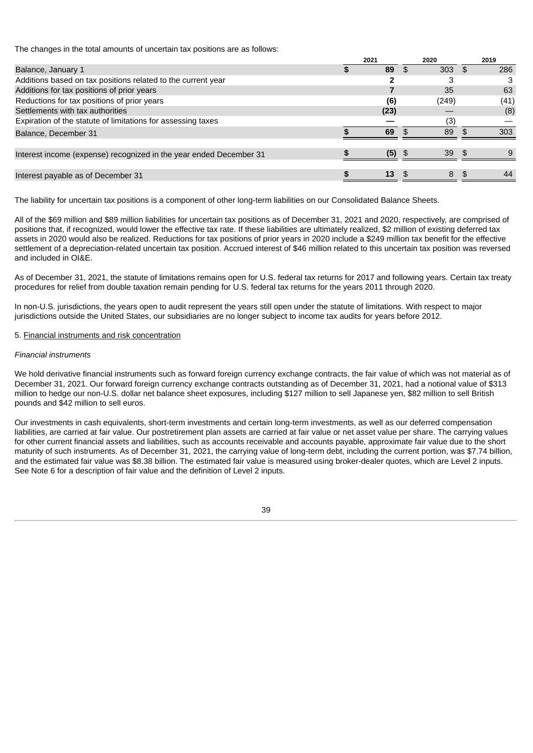The changes in the total amounts of uncertain tax positions are as follows:

|                                                                    | 2021 | 2020                   |    | 2019 |
|--------------------------------------------------------------------|------|------------------------|----|------|
| Balance, January 1                                                 | 89   | \$<br>303              | £. | 286  |
| Additions based on tax positions related to the current year       |      |                        |    |      |
| Additions for tax positions of prior years                         |      | 35                     |    | 63   |
| Reductions for tax positions of prior years                        | (6)  | (249)                  |    | (41) |
| Settlements with tax authorities                                   | (23) |                        |    | (8)  |
| Expiration of the statute of limitations for assessing taxes       |      | (3)                    |    |      |
| Balance, December 31                                               | 69   | 89                     |    | 303  |
|                                                                    |      |                        |    |      |
| Interest income (expense) recognized in the year ended December 31 | (5)  | \$<br>$39 \text{ } $5$ |    | 9    |
|                                                                    |      |                        |    |      |
| Interest payable as of December 31                                 | 13   | 8                      | \$ | 44   |

The liability for uncertain tax positions is a component of other long-term liabilities on our Consolidated Balance Sheets.

All of the \$69 million and \$89 million liabilities for uncertain tax positions as of December 31, 2021 and 2020, respectively, are comprised of positions that, if recognized, would lower the effective tax rate. If these liabilities are ultimately realized, \$2 million of existing deferred tax assets in 2020 would also be realized. Reductions for tax positions of prior years in 2020 include a \$249 million tax benefit for the effective settlement of a depreciation-related uncertain tax position. Accrued interest of \$46 million related to this uncertain tax position was reversed and included in OI&E.

As of December 31, 2021, the statute of limitations remains open for U.S. federal tax returns for 2017 and following years. Certain tax treaty procedures for relief from double taxation remain pending for U.S. federal tax returns for the years 2011 through 2020.

In non-U.S. jurisdictions, the years open to audit represent the years still open under the statute of limitations. With respect to major jurisdictions outside the United States, our subsidiaries are no longer subject to income tax audits for years before 2012.

## 5. Financial instruments and risk concentration

## *Financial instruments*

We hold derivative financial instruments such as forward foreign currency exchange contracts, the fair value of which was not material as of December 31, 2021. Our forward foreign currency exchange contracts outstanding as of December 31, 2021, had a notional value of \$313 million to hedge our non-U.S. dollar net balance sheet exposures, including \$127 million to sell Japanese yen, \$82 million to sell British pounds and \$42 million to sell euros.

Our investments in cash equivalents, short-term investments and certain long-term investments, as well as our deferred compensation liabilities, are carried at fair value. Our postretirement plan assets are carried at fair value or net asset value per share. The carrying values for other current financial assets and liabilities, such as accounts receivable and accounts payable, approximate fair value due to the short maturity of such instruments. As of December 31, 2021, the carrying value of long-term debt, including the current portion, was \$7.74 billion, and the estimated fair value was \$8.38 billion. The estimated fair value is measured using broker-dealer quotes, which are Level 2 inputs. See Note 6 for a description of fair value and the definition of Level 2 inputs.

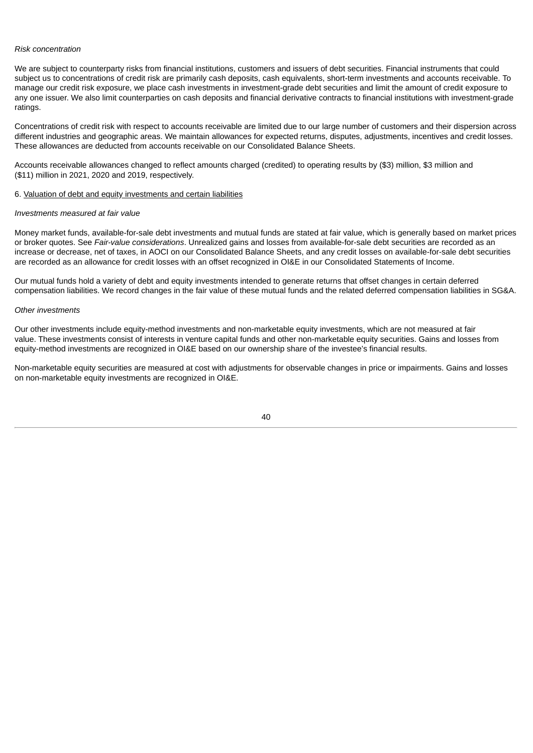#### *Risk concentration*

We are subject to counterparty risks from financial institutions, customers and issuers of debt securities. Financial instruments that could subject us to concentrations of credit risk are primarily cash deposits, cash equivalents, short-term investments and accounts receivable. To manage our credit risk exposure, we place cash investments in investment-grade debt securities and limit the amount of credit exposure to any one issuer. We also limit counterparties on cash deposits and financial derivative contracts to financial institutions with investment-grade ratings.

Concentrations of credit risk with respect to accounts receivable are limited due to our large number of customers and their dispersion across different industries and geographic areas. We maintain allowances for expected returns, disputes, adjustments, incentives and credit losses. These allowances are deducted from accounts receivable on our Consolidated Balance Sheets.

Accounts receivable allowances changed to reflect amounts charged (credited) to operating results by (\$3) million, \$3 million and (\$11) million in 2021, 2020 and 2019, respectively.

# 6. Valuation of debt and equity investments and certain liabilities

#### *Investments measured at fair value*

Money market funds, available-for-sale debt investments and mutual funds are stated at fair value, which is generally based on market prices or broker quotes. See *Fair-value considerations*. Unrealized gains and losses from available-for-sale debt securities are recorded as an increase or decrease, net of taxes, in AOCI on our Consolidated Balance Sheets, and any credit losses on available-for-sale debt securities are recorded as an allowance for credit losses with an offset recognized in OI&E in our Consolidated Statements of Income.

Our mutual funds hold a variety of debt and equity investments intended to generate returns that offset changes in certain deferred compensation liabilities. We record changes in the fair value of these mutual funds and the related deferred compensation liabilities in SG&A.

#### *Other investments*

Our other investments include equity-method investments and non-marketable equity investments, which are not measured at fair value. These investments consist of interests in venture capital funds and other non-marketable equity securities. Gains and losses from equity-method investments are recognized in OI&E based on our ownership share of the investee's financial results.

Non-marketable equity securities are measured at cost with adjustments for observable changes in price or impairments. Gains and losses on non-marketable equity investments are recognized in OI&E.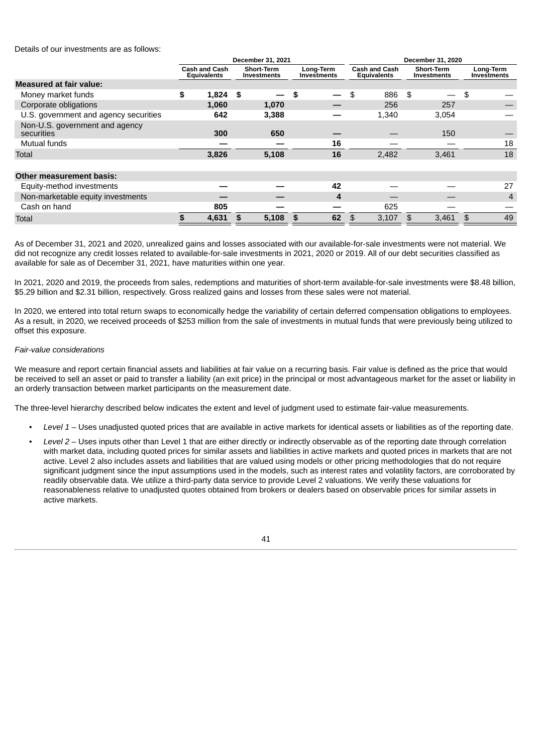Details of our investments are as follows:

|                                              |                                            | December 31, 2021                       |      |                                 | December 31, 2020                          |       |                                         |       |                |                                 |  |  |
|----------------------------------------------|--------------------------------------------|-----------------------------------------|------|---------------------------------|--------------------------------------------|-------|-----------------------------------------|-------|----------------|---------------------------------|--|--|
|                                              | <b>Cash and Cash</b><br><b>Equivalents</b> | <b>Short-Term</b><br><b>Investments</b> |      | Long-Term<br><b>Investments</b> | <b>Cash and Cash</b><br><b>Equivalents</b> |       | <b>Short-Term</b><br><b>Investments</b> |       |                | Long-Term<br><b>Investments</b> |  |  |
| <b>Measured at fair value:</b>               |                                            |                                         |      |                                 |                                            |       |                                         |       |                |                                 |  |  |
| Money market funds                           | \$<br>1,824                                | \$                                      | - \$ |                                 | \$                                         | 886   | - \$                                    |       | \$             |                                 |  |  |
| Corporate obligations                        | 1,060                                      | 1,070                                   |      |                                 |                                            | 256   |                                         | 257   |                |                                 |  |  |
| U.S. government and agency securities        | 642                                        | 3,388                                   |      |                                 |                                            | 1,340 |                                         | 3,054 |                |                                 |  |  |
| Non-U.S. government and agency<br>securities | 300                                        | 650                                     |      |                                 |                                            |       |                                         | 150   |                |                                 |  |  |
| <b>Mutual funds</b>                          |                                            |                                         |      | 16                              |                                            |       |                                         |       |                | 18                              |  |  |
| Total                                        | 3,826                                      | 5,108                                   |      | 16                              |                                            | 2,482 |                                         | 3,461 |                | 18                              |  |  |
| <b>Other measurement basis:</b>              |                                            |                                         |      |                                 |                                            |       |                                         |       |                |                                 |  |  |
| Equity-method investments                    |                                            |                                         |      | 42                              |                                            |       |                                         |       |                | 27                              |  |  |
| Non-marketable equity investments            |                                            |                                         |      | 4                               |                                            |       |                                         |       |                | $\overline{4}$                  |  |  |
| Cash on hand                                 | 805                                        |                                         |      |                                 |                                            | 625   |                                         |       |                |                                 |  |  |
| Total                                        | 4,631                                      | \$<br>5,108                             | -\$  | 62                              | \$                                         | 3,107 | \$                                      | 3,461 | $\mathfrak{F}$ | 49                              |  |  |

As of December 31, 2021 and 2020, unrealized gains and losses associated with our available-for-sale investments were not material. We did not recognize any credit losses related to available-for-sale investments in 2021, 2020 or 2019. All of our debt securities classified as available for sale as of December 31, 2021, have maturities within one year.

In 2021, 2020 and 2019, the proceeds from sales, redemptions and maturities of short-term available-for-sale investments were \$8.48 billion, \$5.29 billion and \$2.31 billion, respectively. Gross realized gains and losses from these sales were not material.

In 2020, we entered into total return swaps to economically hedge the variability of certain deferred compensation obligations to employees. As a result, in 2020, we received proceeds of \$253 million from the sale of investments in mutual funds that were previously being utilized to offset this exposure.

## *Fair-value considerations*

We measure and report certain financial assets and liabilities at fair value on a recurring basis. Fair value is defined as the price that would be received to sell an asset or paid to transfer a liability (an exit price) in the principal or most advantageous market for the asset or liability in an orderly transaction between market participants on the measurement date.

The three-level hierarchy described below indicates the extent and level of judgment used to estimate fair-value measurements.

- *Level 1* Uses unadjusted quoted prices that are available in active markets for identical assets or liabilities as of the reporting date.
- *Level 2* Uses inputs other than Level 1 that are either directly or indirectly observable as of the reporting date through correlation with market data, including quoted prices for similar assets and liabilities in active markets and quoted prices in markets that are not active. Level 2 also includes assets and liabilities that are valued using models or other pricing methodologies that do not require significant judgment since the input assumptions used in the models, such as interest rates and volatility factors, are corroborated by readily observable data. We utilize a third-party data service to provide Level 2 valuations. We verify these valuations for reasonableness relative to unadjusted quotes obtained from brokers or dealers based on observable prices for similar assets in active markets.

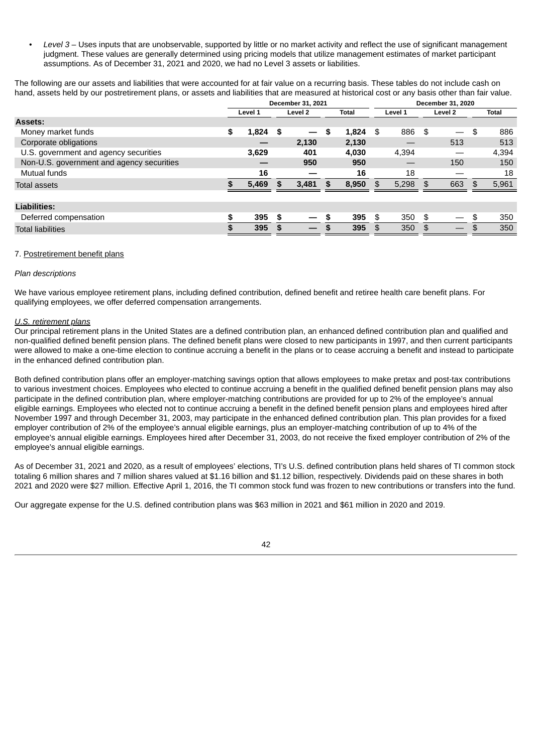• *Level 3* – Uses inputs that are unobservable, supported by little or no market activity and reflect the use of significant management judgment. These values are generally determined using pricing models that utilize management estimates of market participant assumptions. As of December 31, 2021 and 2020, we had no Level 3 assets or liabilities.

The following are our assets and liabilities that were accounted for at fair value on a recurring basis. These tables do not include cash on hand, assets held by our postretirement plans, or assets and liabilities that are measured at historical cost or any basis other than fair value.

|                                           |    |         |    | December 31, 2021        |       |       | December 31, 2020 |       |                    |                          |    |              |  |  |
|-------------------------------------------|----|---------|----|--------------------------|-------|-------|-------------------|-------|--------------------|--------------------------|----|--------------|--|--|
|                                           |    | Level 1 |    | Level <sub>2</sub>       | Total |       | Level 1           |       | Level <sub>2</sub> |                          |    | <b>Total</b> |  |  |
| Assets:                                   |    |         |    |                          |       |       |                   |       |                    |                          |    |              |  |  |
| Money market funds                        | \$ | 1,824   | S. | $\overline{\phantom{0}}$ | \$    | 1,824 | \$                | 886   | -\$                | $\overline{\phantom{0}}$ | \$ | 886          |  |  |
| Corporate obligations                     |    |         |    | 2,130                    |       | 2,130 |                   |       |                    | 513                      |    | 513          |  |  |
| U.S. government and agency securities     |    | 3,629   |    | 401                      |       | 4,030 |                   | 4,394 |                    |                          |    | 4,394        |  |  |
| Non-U.S. government and agency securities |    |         |    | 950                      |       | 950   |                   |       |                    | 150                      |    | 150          |  |  |
| <b>Mutual funds</b>                       |    | 16      |    |                          |       | 16    |                   | 18    |                    |                          |    | 18           |  |  |
| <b>Total assets</b>                       |    | 5,469   | S  | 3,481                    | - \$  | 8,950 | \$                | 5,298 | \$                 | 663                      | \$ | 5,961        |  |  |
|                                           |    |         |    |                          |       |       |                   |       |                    |                          |    |              |  |  |
| Liabilities:                              |    |         |    |                          |       |       |                   |       |                    |                          |    |              |  |  |
| Deferred compensation                     | \$ | 395     | \$ | —                        | S     | 395   | \$                | 350   | \$                 | $\overline{\phantom{0}}$ | \$ | 350          |  |  |
| <b>Total liabilities</b>                  |    | 395     | £. |                          |       | 395   | \$                | 350   | \$                 |                          |    | 350          |  |  |

## 7. Postretirement benefit plans

## *Plan descriptions*

We have various employee retirement plans, including defined contribution, defined benefit and retiree health care benefit plans. For qualifying employees, we offer deferred compensation arrangements.

## *U.S. retirement plans*

Our principal retirement plans in the United States are a defined contribution plan, an enhanced defined contribution plan and qualified and non-qualified defined benefit pension plans. The defined benefit plans were closed to new participants in 1997, and then current participants were allowed to make a one-time election to continue accruing a benefit in the plans or to cease accruing a benefit and instead to participate in the enhanced defined contribution plan.

Both defined contribution plans offer an employer-matching savings option that allows employees to make pretax and post-tax contributions to various investment choices. Employees who elected to continue accruing a benefit in the qualified defined benefit pension plans may also participate in the defined contribution plan, where employer-matching contributions are provided for up to 2% of the employee's annual eligible earnings. Employees who elected not to continue accruing a benefit in the defined benefit pension plans and employees hired after November 1997 and through December 31, 2003, may participate in the enhanced defined contribution plan. This plan provides for a fixed employer contribution of 2% of the employee's annual eligible earnings, plus an employer-matching contribution of up to 4% of the employee's annual eligible earnings. Employees hired after December 31, 2003, do not receive the fixed employer contribution of 2% of the employee's annual eligible earnings.

As of December 31, 2021 and 2020, as a result of employees' elections, TI's U.S. defined contribution plans held shares of TI common stock totaling 6 million shares and 7 million shares valued at \$1.16 billion and \$1.12 billion, respectively. Dividends paid on these shares in both 2021 and 2020 were \$27 million. Effective April 1, 2016, the TI common stock fund was frozen to new contributions or transfers into the fund.

Our aggregate expense for the U.S. defined contribution plans was \$63 million in 2021 and \$61 million in 2020 and 2019.

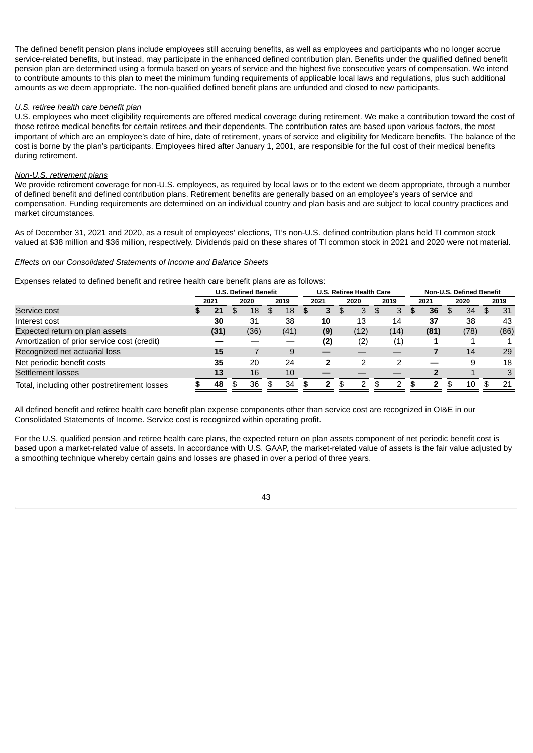The defined benefit pension plans include employees still accruing benefits, as well as employees and participants who no longer accrue service-related benefits, but instead, may participate in the enhanced defined contribution plan. Benefits under the qualified defined benefit pension plan are determined using a formula based on years of service and the highest five consecutive years of compensation. We intend to contribute amounts to this plan to meet the minimum funding requirements of applicable local laws and regulations, plus such additional amounts as we deem appropriate. The non-qualified defined benefit plans are unfunded and closed to new participants.

## *U.S. retiree health care benefit plan*

U.S. employees who meet eligibility requirements are offered medical coverage during retirement. We make a contribution toward the cost of those retiree medical benefits for certain retirees and their dependents. The contribution rates are based upon various factors, the most important of which are an employee's date of hire, date of retirement, years of service and eligibility for Medicare benefits. The balance of the cost is borne by the plan's participants. Employees hired after January 1, 2001, are responsible for the full cost of their medical benefits during retirement.

## *Non-U.S. retirement plans*

We provide retirement coverage for non-U.S. employees, as required by local laws or to the extent we deem appropriate, through a number of defined benefit and defined contribution plans. Retirement benefits are generally based on an employee's years of service and compensation. Funding requirements are determined on an individual country and plan basis and are subject to local country practices and market circumstances.

As of December 31, 2021 and 2020, as a result of employees' elections, TI's non-U.S. defined contribution plans held TI common stock valued at \$38 million and \$36 million, respectively. Dividends paid on these shares of TI common stock in 2021 and 2020 were not material.

## *Effects on our Consolidated Statements of Income and Balance Sheets*

Expenses related to defined benefit and retiree health care benefit plans are as follows:

|                                              | <b>U.S. Defined Benefit</b> |     |      |    |      | <b>U.S. Retiree Health Care</b> |     |      |      |      |      | Non-U.S. Defined Benefit |      |      |      |     |      |
|----------------------------------------------|-----------------------------|-----|------|----|------|---------------------------------|-----|------|------|------|------|--------------------------|------|------|------|-----|------|
|                                              | 2021                        |     | 2020 |    | 2019 | 2021                            |     | 2020 |      | 2019 |      | 2021                     |      | 2020 |      |     | 2019 |
| Service cost                                 | 21                          | \$. | 18   | \$ | 18   | S                               | 3   | \$   | 3    | \$   | 3    | S                        | 36   | \$   | 34   | \$. | 31   |
| Interest cost                                | 30                          |     | 31   |    | 38   |                                 | 10  |      | 13   |      | 14   |                          | 37   |      | 38   |     | 43   |
| Expected return on plan assets               | (31)                        |     | (36) |    | (41) |                                 | (9) |      | (12) |      | (14) |                          | (81) |      | (78) |     | (86) |
| Amortization of prior service cost (credit)  |                             |     |      |    |      |                                 | (2) |      | (2)  |      | (1)  |                          |      |      |      |     |      |
| Recognized net actuarial loss                | 15                          |     |      |    | 9    |                                 |     |      |      |      |      |                          |      |      | 14   |     | 29   |
| Net periodic benefit costs                   | 35                          |     | 20   |    | 24   |                                 |     |      | ົ    |      |      |                          |      |      | 9    |     | 18   |
| Settlement losses                            | 13                          |     | 16   |    | 10   |                                 |     |      |      |      |      |                          |      |      |      |     |      |
| Total, including other postretirement losses | 48                          | \$. | 36   |    | 34   |                                 | 2   | \$.  | 2    | \$   | 2    |                          | 2    | \$   | 10   | ዳ   | 21   |

All defined benefit and retiree health care benefit plan expense components other than service cost are recognized in OI&E in our Consolidated Statements of Income. Service cost is recognized within operating profit.

For the U.S. qualified pension and retiree health care plans, the expected return on plan assets component of net periodic benefit cost is based upon a market-related value of assets. In accordance with U.S. GAAP, the market-related value of assets is the fair value adjusted by a smoothing technique whereby certain gains and losses are phased in over a period of three years.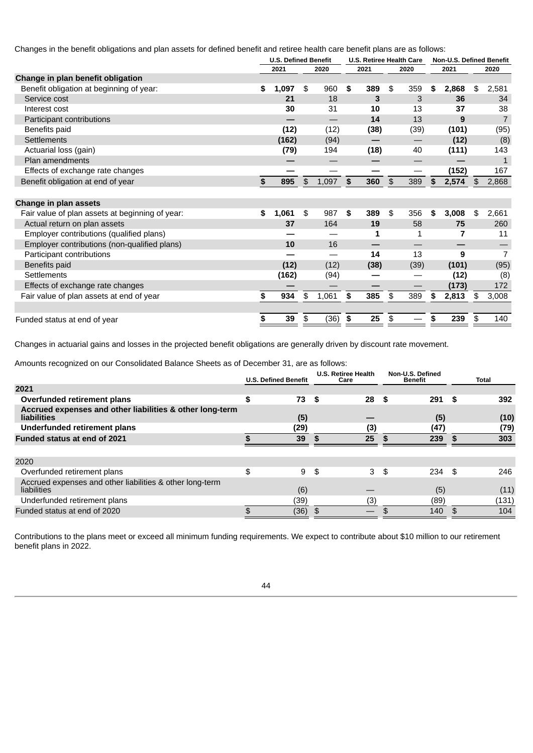Changes in the benefit obligations and plan assets for defined benefit and retiree health care benefit plans are as follows:

|                                                 | <b>U.S. Defined Benefit</b> |       |    |       | <b>U.S. Retiree Health Care</b> |      |                      |      |    |       | Non-U.S. Defined Benefit |                |  |
|-------------------------------------------------|-----------------------------|-------|----|-------|---------------------------------|------|----------------------|------|----|-------|--------------------------|----------------|--|
|                                                 |                             | 2021  |    | 2020  |                                 | 2021 |                      | 2020 |    | 2021  |                          | 2020           |  |
| Change in plan benefit obligation               |                             |       |    |       |                                 |      |                      |      |    |       |                          |                |  |
| Benefit obligation at beginning of year:        | \$                          | 1,097 | \$ | 960   | \$                              | 389  | \$                   | 359  | \$ | 2,868 | \$                       | 2,581          |  |
| Service cost                                    |                             | 21    |    | 18    |                                 | 3    |                      | 3    |    | 36    |                          | 34             |  |
| Interest cost                                   |                             | 30    |    | 31    |                                 | 10   |                      | 13   |    | 37    |                          | 38             |  |
| Participant contributions                       |                             |       |    |       |                                 | 14   |                      | 13   |    | 9     |                          | $\overline{7}$ |  |
| Benefits paid                                   |                             | (12)  |    | (12)  |                                 | (38) |                      | (39) |    | (101) |                          | (95)           |  |
| Settlements                                     |                             | (162) |    | (94)  |                                 |      |                      |      |    | (12)  |                          | (8)            |  |
| Actuarial loss (gain)                           |                             | (79)  |    | 194   |                                 | (18) |                      | 40   |    | (111) |                          | 143            |  |
| Plan amendments                                 |                             |       |    |       |                                 |      |                      |      |    |       |                          | $\mathbf{1}$   |  |
| Effects of exchange rate changes                |                             |       |    |       |                                 |      |                      |      |    | (152) |                          | 167            |  |
| Benefit obligation at end of year               | \$                          | 895   | \$ | 1,097 | \$                              | 360  | $\pmb{\mathfrak{P}}$ | 389  | \$ | 2,574 | \$                       | 2,868          |  |
| Change in plan assets                           |                             |       |    |       |                                 |      |                      |      |    |       |                          |                |  |
| Fair value of plan assets at beginning of year: | \$                          | 1,061 | \$ | 987   | \$                              | 389  | \$                   | 356  | \$ | 3,008 | \$                       | 2,661          |  |
| Actual return on plan assets                    |                             | 37    |    | 164   |                                 | 19   |                      | 58   |    | 75    |                          | 260            |  |
| Employer contributions (qualified plans)        |                             |       |    |       |                                 | 1    |                      |      |    |       |                          | 11             |  |
| Employer contributions (non-qualified plans)    |                             | 10    |    | 16    |                                 |      |                      |      |    |       |                          |                |  |
| Participant contributions                       |                             |       |    |       |                                 | 14   |                      | 13   |    | 9     |                          | $\overline{7}$ |  |
| Benefits paid                                   |                             | (12)  |    | (12)  |                                 | (38) |                      | (39) |    | (101) |                          | (95)           |  |
| Settlements                                     |                             | (162) |    | (94)  |                                 |      |                      |      |    | (12)  |                          | (8)            |  |
| Effects of exchange rate changes                |                             |       |    |       |                                 |      |                      |      |    | (173) |                          | 172            |  |
| Fair value of plan assets at end of year        | \$                          | 934   | \$ | 1,061 | \$                              | 385  | \$                   | 389  | \$ | 2,813 | \$                       | 3,008          |  |
|                                                 |                             |       |    |       |                                 |      |                      |      |    |       |                          |                |  |
| Funded status at end of year                    | \$                          | 39    | \$ | (36)  | \$                              | 25   | \$                   |      | \$ | 239   | \$                       | 140            |  |

Changes in actuarial gains and losses in the projected benefit obligations are generally driven by discount rate movement.

Amounts recognized on our Consolidated Balance Sheets as of December 31, are as follows:

|                                                                                | <b>U.S. Defined Benefit</b> | <b>U.S. Retiree Health</b><br>Care | Non-U.S. Defined<br>Benefit | <b>Total</b> |
|--------------------------------------------------------------------------------|-----------------------------|------------------------------------|-----------------------------|--------------|
| 2021                                                                           |                             |                                    |                             |              |
| <b>Overfunded retirement plans</b>                                             | \$<br>73                    | \$<br>28                           | \$<br>291                   | 392<br>- \$  |
| Accrued expenses and other liabilities & other long-term<br><b>liabilities</b> | (5)                         |                                    | (5)                         | (10)         |
| Underfunded retirement plans                                                   | (29)                        | (3)                                | (47)                        | (79)         |
| <b>Funded status at end of 2021</b>                                            | 39                          | 25                                 | 239                         | 303<br>\$    |
|                                                                                |                             |                                    |                             |              |
| 2020                                                                           |                             |                                    |                             |              |
| Overfunded retirement plans                                                    | \$<br>9                     | 3<br>\$                            | 234<br>-\$                  | 246<br>- \$  |
| Accrued expenses and other liabilities & other long-term<br>liabilities        | (6)                         |                                    | (5)                         | (11)         |
| Underfunded retirement plans                                                   | (39)                        | (3)                                | (89)                        | (131)        |
| Funded status at end of 2020                                                   | (36)                        | \$                                 | 140<br>\$                   | 104<br>\$.   |

Contributions to the plans meet or exceed all minimum funding requirements. We expect to contribute about \$10 million to our retirement benefit plans in 2022.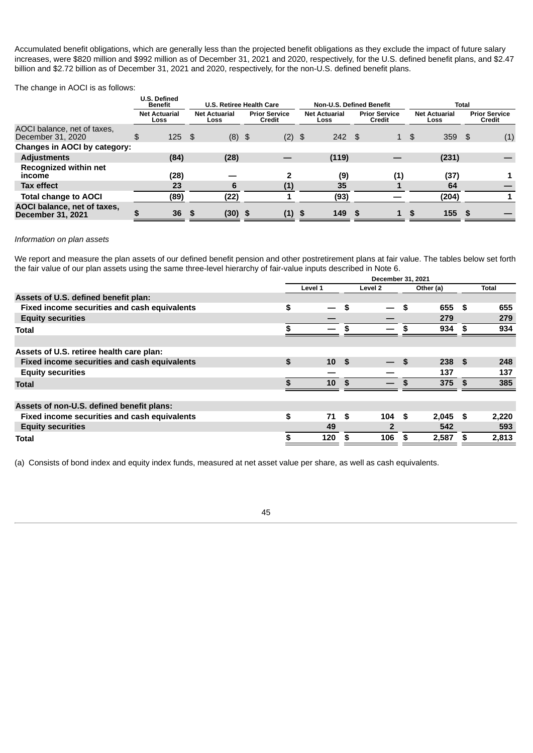Accumulated benefit obligations, which are generally less than the projected benefit obligations as they exclude the impact of future salary increases, were \$820 million and \$992 million as of December 31, 2021 and 2020, respectively, for the U.S. defined benefit plans, and \$2.47 billion and \$2.72 billion as of December 31, 2021 and 2020, respectively, for the non-U.S. defined benefit plans.

The change in AOCI is as follows:

|                                                         | U.S. Defined<br><b>Benefit</b> | U.S. Retiree Health Care     | Total                          |                              |                                |                              |                                |
|---------------------------------------------------------|--------------------------------|------------------------------|--------------------------------|------------------------------|--------------------------------|------------------------------|--------------------------------|
|                                                         | <b>Net Actuarial</b><br>Loss   | <b>Net Actuarial</b><br>Loss | <b>Prior Service</b><br>Credit | <b>Net Actuarial</b><br>Loss | <b>Prior Service</b><br>Credit | <b>Net Actuarial</b><br>Loss | <b>Prior Service</b><br>Credit |
| AOCI balance, net of taxes,<br>December 31, 2020        | $125 - $$<br>\$                | $(8)$ \$                     | $(2)$ \$                       | $242 \text{ } $$             | $\mathbf{1}$                   | 359<br>-\$                   | (1)<br>- \$                    |
| Changes in AOCI by category:                            |                                |                              |                                |                              |                                |                              |                                |
| <b>Adjustments</b>                                      | (84)                           | (28)                         |                                | (119)                        |                                | (231)                        |                                |
| <b>Recognized within net</b><br>income                  | (28)                           |                              |                                | (9)                          | (1)                            | (37)                         |                                |
| <b>Tax effect</b>                                       | 23                             | 6                            | (1)                            | 35                           |                                | 64                           |                                |
| <b>Total change to AOCI</b>                             | (89)                           | (22)                         |                                | (93)                         |                                | (204)                        | 1                              |
| AOCI balance, net of taxes,<br><b>December 31, 2021</b> | 36                             | (30)<br>- \$                 | $(1)$ \$<br>- \$               | 149                          | $\mathbf{1}$                   | 155<br>S.                    |                                |

## *Information on plan assets*

We report and measure the plan assets of our defined benefit pension and other postretirement plans at fair value. The tables below set forth the fair value of our plan assets using the same three-level hierarchy of fair-value inputs described in Note 6.

|                                              | December 31, 2021 |         |         |      |           |                  |      |       |  |  |  |
|----------------------------------------------|-------------------|---------|---------|------|-----------|------------------|------|-------|--|--|--|
|                                              |                   | Level 1 | Level 2 |      | Other (a) |                  |      | Total |  |  |  |
| Assets of U.S. defined benefit plan:         |                   |         |         |      |           |                  |      |       |  |  |  |
| Fixed income securities and cash equivalents | \$                |         | \$      |      | \$        | 655              | - \$ | 655   |  |  |  |
| <b>Equity securities</b>                     |                   |         |         |      |           | 279              |      | 279   |  |  |  |
| Total                                        | \$                |         | £       |      | \$        | 934              | S    | 934   |  |  |  |
| Assets of U.S. retiree health care plan:     |                   |         |         |      |           |                  |      |       |  |  |  |
| Fixed income securities and cash equivalents | \$                | 10      | - \$    |      | \$        | 238 <sup>5</sup> |      | 248   |  |  |  |
| <b>Equity securities</b>                     |                   |         |         |      |           | 137              |      | 137   |  |  |  |
| <b>Total</b>                                 |                   | 10      | \$      |      | \$        | 375              | S.   | 385   |  |  |  |
| Assets of non-U.S. defined benefit plans:    |                   |         |         |      |           |                  |      |       |  |  |  |
| Fixed income securities and cash equivalents | \$                | 71      | - \$    | 104S |           | $2,045$ \$       |      | 2,220 |  |  |  |
| <b>Equity securities</b>                     |                   | 49      |         | 2    |           | 542              |      | 593   |  |  |  |
| Total                                        | \$                | 120     |         | 106  | \$        | 2,587            |      | 2,813 |  |  |  |
|                                              |                   |         |         |      |           |                  |      |       |  |  |  |

(a) Consists of bond index and equity index funds, measured at net asset value per share, as well as cash equivalents.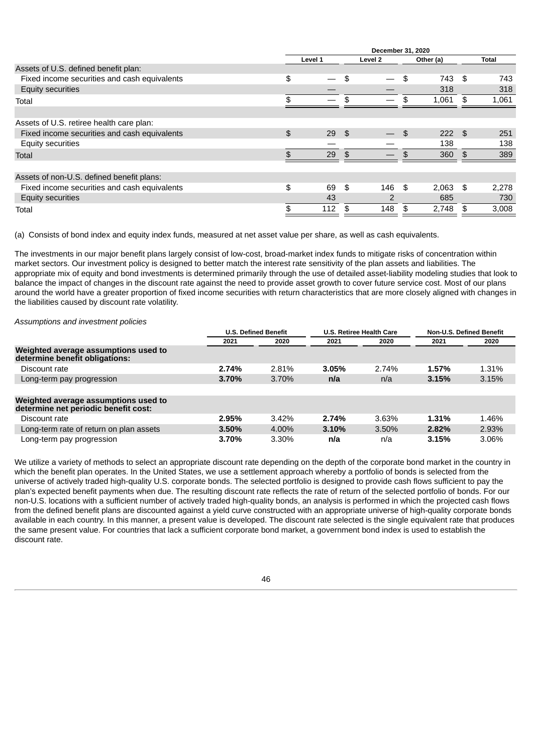|                                              | December 31, 2020 |         |      |     |           |            |              |       |  |  |  |
|----------------------------------------------|-------------------|---------|------|-----|-----------|------------|--------------|-------|--|--|--|
|                                              |                   | Level 1 |      |     | Other (a) |            | <b>Total</b> |       |  |  |  |
| Assets of U.S. defined benefit plan:         |                   |         |      |     |           |            |              |       |  |  |  |
| Fixed income securities and cash equivalents | \$                |         | \$   |     | \$        | 743        | \$           | 743   |  |  |  |
| <b>Equity securities</b>                     |                   |         |      |     |           | 318        |              | 318   |  |  |  |
| Total                                        | \$.               |         |      |     | \$        | 1,061      | \$           | 1,061 |  |  |  |
| Assets of U.S. retiree health care plan:     |                   |         |      |     |           |            |              |       |  |  |  |
| Fixed income securities and cash equivalents | \$                | 29      | - \$ |     | \$        | $222 - 15$ |              | 251   |  |  |  |
| <b>Equity securities</b>                     |                   |         |      |     |           | 138        |              | 138   |  |  |  |
| Total                                        |                   | 29      | \$.  |     | \$.       | 360        | \$           | 389   |  |  |  |
| Assets of non-U.S. defined benefit plans:    |                   |         |      |     |           |            |              |       |  |  |  |
| Fixed income securities and cash equivalents | \$                | 69      | \$   | 146 | \$        | 2,063      | \$           | 2,278 |  |  |  |
| <b>Equity securities</b>                     |                   | 43      |      | 2   |           | 685        |              | 730   |  |  |  |
| Total                                        |                   | 112     |      | 148 | \$        | 2,748      | \$           | 3,008 |  |  |  |

(a) Consists of bond index and equity index funds, measured at net asset value per share, as well as cash equivalents.

The investments in our major benefit plans largely consist of low-cost, broad-market index funds to mitigate risks of concentration within market sectors. Our investment policy is designed to better match the interest rate sensitivity of the plan assets and liabilities. The appropriate mix of equity and bond investments is determined primarily through the use of detailed asset-liability modeling studies that look to balance the impact of changes in the discount rate against the need to provide asset growth to cover future service cost. Most of our plans around the world have a greater proportion of fixed income securities with return characteristics that are more closely aligned with changes in the liabilities caused by discount rate volatility.

## *Assumptions and investment policies*

|                                                                              |       | <b>U.S. Defined Benefit</b> | <b>U.S. Retiree Health Care</b> |       |       | Non-U.S. Defined Benefit |
|------------------------------------------------------------------------------|-------|-----------------------------|---------------------------------|-------|-------|--------------------------|
|                                                                              | 2021  | 2020                        | 2021                            | 2020  | 2021  | 2020                     |
| Weighted average assumptions used to<br>determine benefit obligations:       |       |                             |                                 |       |       |                          |
| Discount rate                                                                | 2.74% | 2.81%                       | 3.05%                           | 2.74% | 1.57% | 1.31%                    |
| Long-term pay progression                                                    | 3.70% | 3.70%                       | nla                             | n/a   | 3.15% | 3.15%                    |
|                                                                              |       |                             |                                 |       |       |                          |
| Weighted average assumptions used to<br>determine net periodic benefit cost: |       |                             |                                 |       |       |                          |
| Discount rate                                                                | 2.95% | $3.42\%$                    | 2.74%                           | 3.63% | 1.31% | 1.46%                    |
| Long-term rate of return on plan assets                                      | 3.50% | 4.00%                       | 3.10%                           | 3.50% | 2.82% | 2.93%                    |
| Long-term pay progression                                                    | 3.70% | 3.30%                       | nla                             | n/a   | 3.15% | 3.06%                    |

We utilize a variety of methods to select an appropriate discount rate depending on the depth of the corporate bond market in the country in which the benefit plan operates. In the United States, we use a settlement approach whereby a portfolio of bonds is selected from the universe of actively traded high-quality U.S. corporate bonds. The selected portfolio is designed to provide cash flows sufficient to pay the plan's expected benefit payments when due. The resulting discount rate reflects the rate of return of the selected portfolio of bonds. For our non-U.S. locations with a sufficient number of actively traded high-quality bonds, an analysis is performed in which the projected cash flows from the defined benefit plans are discounted against a yield curve constructed with an appropriate universe of high-quality corporate bonds available in each country. In this manner, a present value is developed. The discount rate selected is the single equivalent rate that produces the same present value. For countries that lack a sufficient corporate bond market, a government bond index is used to establish the discount rate.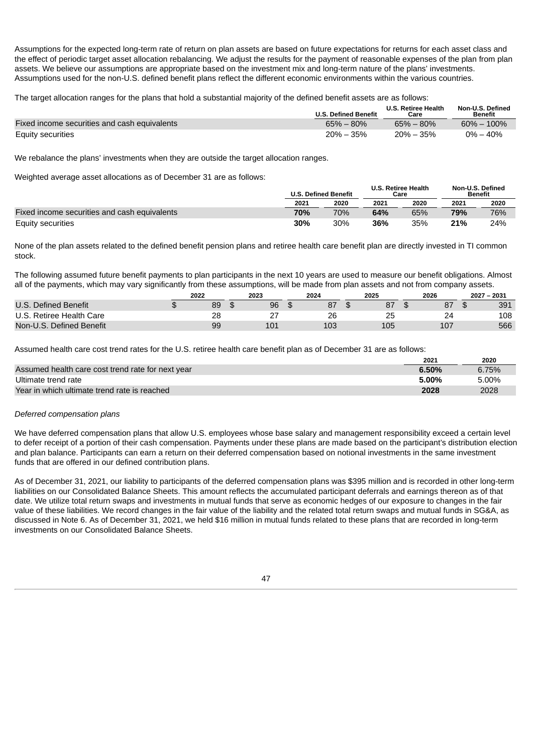Assumptions for the expected long-term rate of return on plan assets are based on future expectations for returns for each asset class and the effect of periodic target asset allocation rebalancing. We adjust the results for the payment of reasonable expenses of the plan from plan assets. We believe our assumptions are appropriate based on the investment mix and long-term nature of the plans' investments. Assumptions used for the non-U.S. defined benefit plans reflect the different economic environments within the various countries.

The target allocation ranges for the plans that hold a substantial majority of the defined benefit assets are as follows:

|                                              | <b>U.S. Defined Benefit</b> | <b>U.S. Retiree Health</b><br>Care | Non-U.S. Defined<br>Benefit |
|----------------------------------------------|-----------------------------|------------------------------------|-----------------------------|
| Fixed income securities and cash equivalents | $65\% - 80\%$               | $65\% - 80\%$                      | $60\% - 100\%$              |
| Equity securities                            | $20\% - 35\%$               | $20\% - 35\%$                      | 0% – 40%                    |

We rebalance the plans' investments when they are outside the target allocation ranges.

Weighted average asset allocations as of December 31 are as follows:

|                                              |      | <b>U.S. Defined Benefit</b> | <b>U.S. Retiree Health</b> | Care | Non-U.S. Defined | <b>Benefit</b> |
|----------------------------------------------|------|-----------------------------|----------------------------|------|------------------|----------------|
|                                              | 2021 | 2020                        | 2021                       | 2020 | 2021             | 2020           |
| Fixed income securities and cash equivalents | 70%  | 70%                         | 64%                        | 65%  | 79%              | 76%            |
| <b>Equity securities</b>                     | 30%  | 30%                         | 36%                        | 35%  | 21%              | 24%            |

None of the plan assets related to the defined benefit pension plans and retiree health care benefit plan are directly invested in TI common stock.

The following assumed future benefit payments to plan participants in the next 10 years are used to measure our benefit obligations. Almost all of the payments, which may vary significantly from these assumptions, will be made from plan assets and not from company assets.

|                           | 2022 | 2023 |    | 2024 | 2025 | 2026 |    | $2027 - 2031$ |
|---------------------------|------|------|----|------|------|------|----|---------------|
| . Defined Benefit<br>U.S. | 89   | 96   | ۰D | o    | 87   | n-   | ۰D | 391           |
| U.S. Retiree Health Care  | 28   |      |    | 26   | 25   | --   |    | 108           |
| Non-U.S. Defined Benefit  | 99   | 101  |    | 103  | 105  | 107  |    | 566           |

Assumed health care cost trend rates for the U.S. retiree health care benefit plan as of December 31 are as follows:

|                                                   | 2021  | 2020     |
|---------------------------------------------------|-------|----------|
| Assumed health care cost trend rate for next year | 6.50% | $6.75\%$ |
| Ultimate trend rate                               | 5.00% | 5.00%    |
| Year in which ultimate trend rate is reached      | 2028  | 2028     |

## *Deferred compensation plans*

We have deferred compensation plans that allow U.S. employees whose base salary and management responsibility exceed a certain level to defer receipt of a portion of their cash compensation. Payments under these plans are made based on the participant's distribution election and plan balance. Participants can earn a return on their deferred compensation based on notional investments in the same investment funds that are offered in our defined contribution plans.

As of December 31, 2021, our liability to participants of the deferred compensation plans was \$395 million and is recorded in other long-term liabilities on our Consolidated Balance Sheets. This amount reflects the accumulated participant deferrals and earnings thereon as of that date. We utilize total return swaps and investments in mutual funds that serve as economic hedges of our exposure to changes in the fair value of these liabilities. We record changes in the fair value of the liability and the related total return swaps and mutual funds in SG&A, as discussed in Note 6. As of December 31, 2021, we held \$16 million in mutual funds related to these plans that are recorded in long-term investments on our Consolidated Balance Sheets.

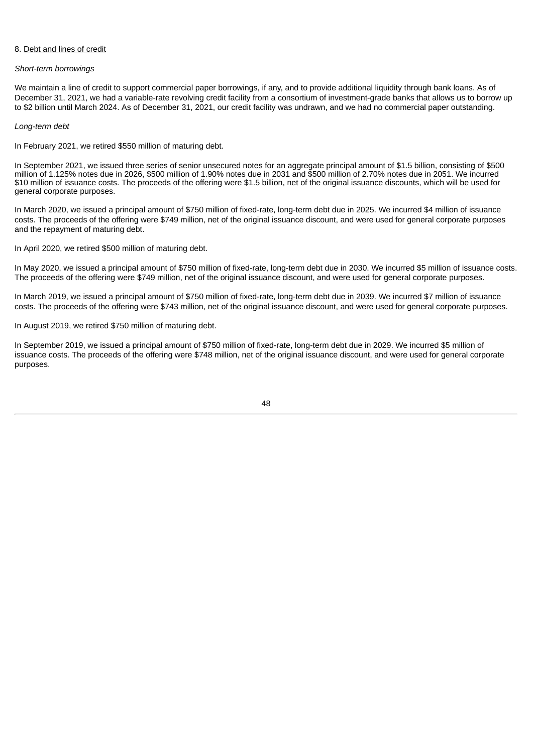#### 8. Debt and lines of credit

#### *Short-term borrowings*

We maintain a line of credit to support commercial paper borrowings, if any, and to provide additional liquidity through bank loans. As of December 31, 2021, we had a variable-rate revolving credit facility from a consortium of investment-grade banks that allows us to borrow up to \$2 billion until March 2024. As of December 31, 2021, our credit facility was undrawn, and we had no commercial paper outstanding.

#### *Long-term debt*

In February 2021, we retired \$550 million of maturing debt.

In September 2021, we issued three series of senior unsecured notes for an aggregate principal amount of \$1.5 billion, consisting of \$500 million of 1.125% notes due in 2026, \$500 million of 1.90% notes due in 2031 and \$500 million of 2.70% notes due in 2051. We incurred \$10 million of issuance costs. The proceeds of the offering were \$1.5 billion, net of the original issuance discounts, which will be used for general corporate purposes.

In March 2020, we issued a principal amount of \$750 million of fixed-rate, long-term debt due in 2025. We incurred \$4 million of issuance costs. The proceeds of the offering were \$749 million, net of the original issuance discount, and were used for general corporate purposes and the repayment of maturing debt.

In April 2020, we retired \$500 million of maturing debt.

In May 2020, we issued a principal amount of \$750 million of fixed-rate, long-term debt due in 2030. We incurred \$5 million of issuance costs. The proceeds of the offering were \$749 million, net of the original issuance discount, and were used for general corporate purposes.

In March 2019, we issued a principal amount of \$750 million of fixed-rate, long-term debt due in 2039. We incurred \$7 million of issuance costs. The proceeds of the offering were \$743 million, net of the original issuance discount, and were used for general corporate purposes.

In August 2019, we retired \$750 million of maturing debt.

In September 2019, we issued a principal amount of \$750 million of fixed-rate, long-term debt due in 2029. We incurred \$5 million of issuance costs. The proceeds of the offering were \$748 million, net of the original issuance discount, and were used for general corporate purposes.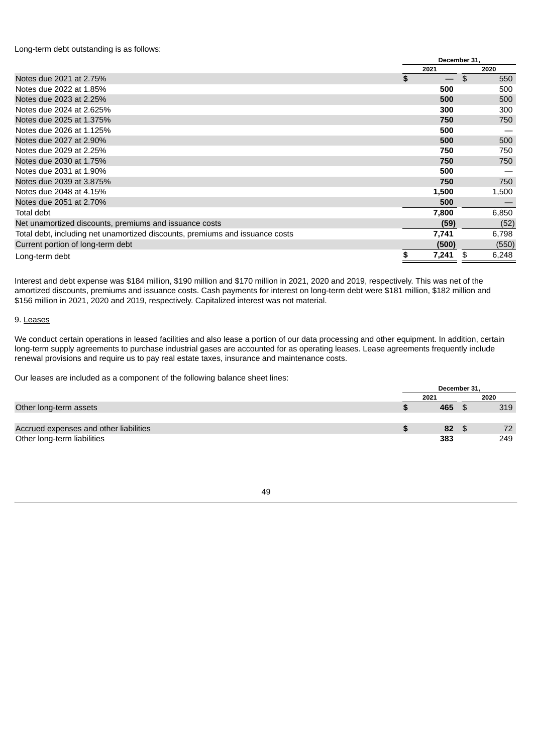Long-term debt outstanding is as follows:

|                                                                              | December 31, |       |    |       |  |  |
|------------------------------------------------------------------------------|--------------|-------|----|-------|--|--|
|                                                                              |              | 2021  |    | 2020  |  |  |
| Notes due 2021 at 2.75%                                                      | \$           |       | \$ | 550   |  |  |
| Notes due 2022 at 1.85%                                                      |              | 500   |    | 500   |  |  |
| Notes due 2023 at 2.25%                                                      |              | 500   |    | 500   |  |  |
| Notes due 2024 at 2.625%                                                     |              | 300   |    | 300   |  |  |
| Notes due 2025 at 1.375%                                                     |              | 750   |    | 750   |  |  |
| Notes due 2026 at 1.125%                                                     |              | 500   |    |       |  |  |
| Notes due 2027 at 2.90%                                                      |              | 500   |    | 500   |  |  |
| Notes due 2029 at 2.25%                                                      |              | 750   |    | 750   |  |  |
| Notes due 2030 at 1.75%                                                      |              | 750   |    | 750   |  |  |
| Notes due 2031 at 1.90%                                                      |              | 500   |    |       |  |  |
| Notes due 2039 at 3.875%                                                     |              | 750   |    | 750   |  |  |
| Notes due 2048 at 4.15%                                                      |              | 1,500 |    | 1,500 |  |  |
| Notes due 2051 at 2.70%                                                      |              | 500   |    |       |  |  |
| Total debt                                                                   |              | 7,800 |    | 6,850 |  |  |
| Net unamortized discounts, premiums and issuance costs                       |              | (59)  |    | (52)  |  |  |
| Total debt, including net unamortized discounts, premiums and issuance costs |              | 7,741 |    | 6,798 |  |  |
| Current portion of long-term debt                                            |              | (500) |    | (550) |  |  |
| Long-term debt                                                               | \$           | 7,241 | \$ | 6,248 |  |  |

Interest and debt expense was \$184 million, \$190 million and \$170 million in 2021, 2020 and 2019, respectively. This was net of the amortized discounts, premiums and issuance costs. Cash payments for interest on long-term debt were \$181 million, \$182 million and \$156 million in 2021, 2020 and 2019, respectively. Capitalized interest was not material.

# 9. Leases

We conduct certain operations in leased facilities and also lease a portion of our data processing and other equipment. In addition, certain long-term supply agreements to purchase industrial gases are accounted for as operating leases. Lease agreements frequently include renewal provisions and require us to pay real estate taxes, insurance and maintenance costs.

Our leases are included as a component of the following balance sheet lines:

|                                        |              | December 31, |      |
|----------------------------------------|--------------|--------------|------|
|                                        |              | 2021         | 2020 |
| Other long-term assets                 | $\mathbf{H}$ | 465          | 319  |
|                                        |              |              |      |
| Accrued expenses and other liabilities |              | 82           | 72   |
| Other long-term liabilities            |              | 383          | 249  |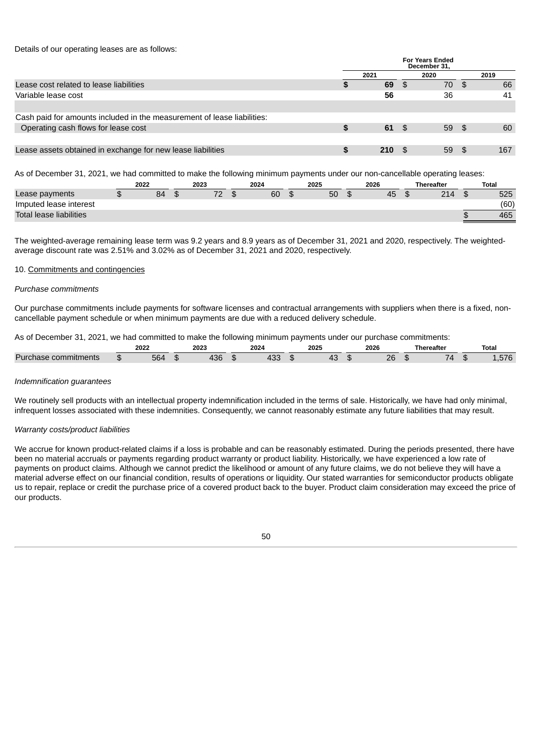### Details of our operating leases are as follows:

| December 31, |    |      |                           |                        |                                               |  |
|--------------|----|------|---------------------------|------------------------|-----------------------------------------------|--|
|              |    |      | 2020                      |                        | 2019                                          |  |
|              | 69 | \$   |                           |                        | 66                                            |  |
|              | 56 |      | 36                        |                        | 41                                            |  |
|              |    |      |                           |                        |                                               |  |
|              |    |      |                           |                        |                                               |  |
|              |    |      |                           |                        | 60                                            |  |
|              |    |      |                           |                        |                                               |  |
|              |    |      |                           |                        | 167                                           |  |
|              |    | 2021 | $61 \quad $$<br>$210 \t$$ | <b>For Years Ended</b> | 70 \$<br>$59 \text{ }$ \$<br>$59 \text{ }$ \$ |  |

## As of December 31, 2021, we had committed to make the following minimum payments under our non-cancellable operating leases:

|                         | 2022 | 2023 |    | 2024 |  | 2025 |    | 2026 | $\tau$ hereafter | Total |
|-------------------------|------|------|----|------|--|------|----|------|------------------|-------|
| Lease payments          | 84   |      | s. | 60   |  |      | 50 | 45   | $\mathbf{a}$     | 525   |
| Imputed lease interest  |      |      |    |      |  |      |    |      |                  | (60)  |
| Total lease liabilities |      |      |    |      |  |      |    |      |                  | 465   |

The weighted-average remaining lease term was 9.2 years and 8.9 years as of December 31, 2021 and 2020, respectively. The weightedaverage discount rate was 2.51% and 3.02% as of December 31, 2021 and 2020, respectively.

## 10. Commitments and contingencies

## *Purchase commitments*

Our purchase commitments include payments for software licenses and contractual arrangements with suppliers when there is a fixed, noncancellable payment schedule or when minimum payments are due with a reduced delivery schedule.

As of December 31, 2021, we had committed to make the following minimum payments under our purchase commitments:

|                    | 2022 |                 | 2023   |   | 2024                 |                 | 2025 |    | 2026        | Thereatter                                         | Tota.   |
|--------------------|------|-----------------|--------|---|----------------------|-----------------|------|----|-------------|----------------------------------------------------|---------|
| Purd<br>ients<br>Ш |      | $\cdot$ $\cdot$ | $\sim$ | w | 10 <sup>2</sup><br>∹ | $\cdot$ $\cdot$ |      | ۰п | nc.<br>-cu- | $\overline{\phantom{a}}$<br>-<br>$\mathbf{u}$<br>_ | $- - -$ |

## *Indemnification guarantees*

We routinely sell products with an intellectual property indemnification included in the terms of sale. Historically, we have had only minimal, infrequent losses associated with these indemnities. Consequently, we cannot reasonably estimate any future liabilities that may result.

## *Warranty costs/product liabilities*

We accrue for known product-related claims if a loss is probable and can be reasonably estimated. During the periods presented, there have been no material accruals or payments regarding product warranty or product liability. Historically, we have experienced a low rate of payments on product claims. Although we cannot predict the likelihood or amount of any future claims, we do not believe they will have a material adverse effect on our financial condition, results of operations or liquidity. Our stated warranties for semiconductor products obligate us to repair, replace or credit the purchase price of a covered product back to the buyer. Product claim consideration may exceed the price of our products.

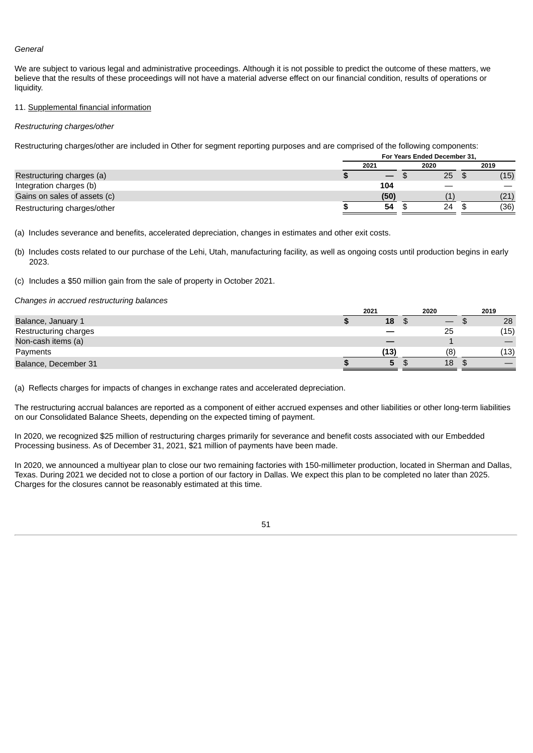### *General*

We are subject to various legal and administrative proceedings. Although it is not possible to predict the outcome of these matters, we believe that the results of these proceedings will not have a material adverse effect on our financial condition, results of operations or liquidity.

### 11. Supplemental financial information

#### *Restructuring charges/other*

Restructuring charges/other are included in Other for segment reporting purposes and are comprised of the following components:

|                              |      |      | For Years Ended December 31, |      |
|------------------------------|------|------|------------------------------|------|
|                              | 2021 |      | 2020                         | 2019 |
| Restructuring charges (a)    |      |      | 25                           | (15) |
| Integration charges (b)      |      | 104  |                              |      |
| Gains on sales of assets (c) |      | (50) |                              | (21) |
| Restructuring charges/other  |      | 54   | 24                           | (36) |

(a) Includes severance and benefits, accelerated depreciation, changes in estimates and other exit costs.

(b) Includes costs related to our purchase of the Lehi, Utah, manufacturing facility, as well as ongoing costs until production begins in early 2023.

(c) Includes a \$50 million gain from the sale of property in October 2021.

*Changes in accrued restructuring balances*

|                       | 2021 |     | 2020 | 2019 |
|-----------------------|------|-----|------|------|
| Balance, January 1    |      | 18  |      | 28   |
| Restructuring charges |      |     | 25   | (15) |
| Non-cash items (a)    |      |     |      |      |
| Payments              |      | (13 | (8)  | (13) |
| Balance, December 31  |      | 5   | 18   |      |

(a) Reflects charges for impacts of changes in exchange rates and accelerated depreciation.

The restructuring accrual balances are reported as a component of either accrued expenses and other liabilities or other long-term liabilities on our Consolidated Balance Sheets, depending on the expected timing of payment.

In 2020, we recognized \$25 million of restructuring charges primarily for severance and benefit costs associated with our Embedded Processing business. As of December 31, 2021, \$21 million of payments have been made.

In 2020, we announced a multiyear plan to close our two remaining factories with 150-millimeter production, located in Sherman and Dallas, Texas. During 2021 we decided not to close a portion of our factory in Dallas. We expect this plan to be completed no later than 2025. Charges for the closures cannot be reasonably estimated at this time.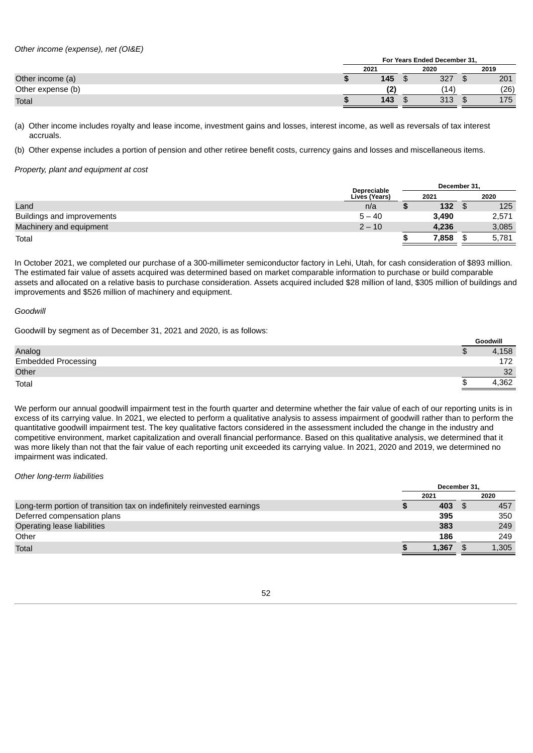#### *Other income (expense), net (OI&E)*

|                   | For Years Ended December 31, |  |      |                     |      |  |
|-------------------|------------------------------|--|------|---------------------|------|--|
|                   | 2021                         |  | 2020 |                     | 2019 |  |
| Other income (a)  | 145                          |  | 327  | $\sqrt{2}$<br>ъD    | 201  |  |
| Other expense (b) |                              |  | (14  |                     | (26) |  |
| <b>Total</b>      | 143                          |  | 313  | $\rightarrow$<br>.n | 175  |  |

(a) Other income includes royalty and lease income, investment gains and losses, interest income, as well as reversals of tax interest accruals.

(b) Other expense includes a portion of pension and other retiree benefit costs, currency gains and losses and miscellaneous items.

*Property, plant and equipment at cost*

|               | December 31.       |       |      |       |  |
|---------------|--------------------|-------|------|-------|--|
| Lives (Years) | 2021               |       | 2020 |       |  |
| n/a           |                    | 132   | \$   | 125   |  |
| $5 - 40$      |                    | 3.490 |      | 2,571 |  |
| $2 - 10$      |                    | 4.236 |      | 3,085 |  |
|               |                    | 7.858 |      | 5,781 |  |
|               | <b>Depreciable</b> |       |      |       |  |

In October 2021, we completed our purchase of a 300-millimeter semiconductor factory in Lehi, Utah, for cash consideration of \$893 million. The estimated fair value of assets acquired was determined based on market comparable information to purchase or build comparable assets and allocated on a relative basis to purchase consideration. Assets acquired included \$28 million of land, \$305 million of buildings and improvements and \$526 million of machinery and equipment.

## *Goodwill*

Goodwill by segment as of December 31, 2021 and 2020, is as follows:

|                            |   | Goodwill |
|----------------------------|---|----------|
| Analog                     | w | .158     |
| <b>Embedded Processing</b> |   | ר ד      |
| Other                      |   | 32       |
| Total                      |   | 362      |

We perform our annual goodwill impairment test in the fourth quarter and determine whether the fair value of each of our reporting units is in excess of its carrying value. In 2021, we elected to perform a qualitative analysis to assess impairment of goodwill rather than to perform the quantitative goodwill impairment test. The key qualitative factors considered in the assessment included the change in the industry and competitive environment, market capitalization and overall financial performance. Based on this qualitative analysis, we determined that it was more likely than not that the fair value of each reporting unit exceeded its carrying value. In 2021, 2020 and 2019, we determined no impairment was indicated.

#### *Other long-term liabilities*

|                                                                         | December 31. |       |  |       |
|-------------------------------------------------------------------------|--------------|-------|--|-------|
|                                                                         |              | 2021  |  | 2020  |
| Long-term portion of transition tax on indefinitely reinvested earnings | æ            | 403   |  | 457   |
| Deferred compensation plans                                             |              | 395   |  | 350   |
| Operating lease liabilities                                             |              | 383   |  | 249   |
| Other                                                                   |              | 186   |  | 249   |
| Total                                                                   |              | 1.367 |  | 1,305 |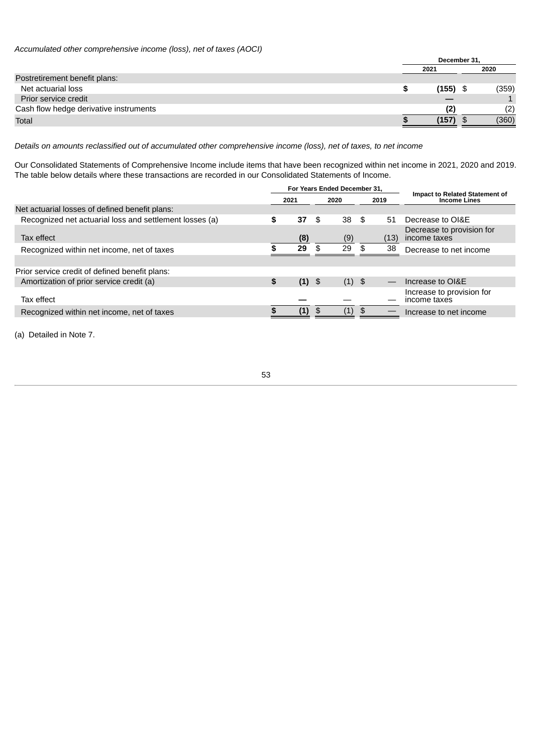## *Accumulated other comprehensive income (loss), net of taxes (AOCI)*

|                                        | December 31. |            |  |       |
|----------------------------------------|--------------|------------|--|-------|
|                                        |              | 2021       |  | 2020  |
| Postretirement benefit plans:          |              |            |  |       |
| Net actuarial loss                     | S            | $(155)$ \$ |  | (359) |
| Prior service credit                   |              |            |  |       |
| Cash flow hedge derivative instruments |              |            |  | (2)   |
| Total                                  |              | (157)      |  | (360) |

Details on amounts reclassified out of accumulated other comprehensive income (loss), net of taxes, to net income

Our Consolidated Statements of Comprehensive Income include items that have been recognized within net income in 2021, 2020 and 2019. The table below details where these transactions are recorded in our Consolidated Statements of Income.

|                                                         | For Years Ended December 31. |              |    |                     |    |      |                                                              |
|---------------------------------------------------------|------------------------------|--------------|----|---------------------|----|------|--------------------------------------------------------------|
|                                                         |                              | 2021<br>2020 |    |                     |    | 2019 | <b>Impact to Related Statement of</b><br><b>Income Lines</b> |
| Net actuarial losses of defined benefit plans:          |                              |              |    |                     |    |      |                                                              |
| Recognized net actuarial loss and settlement losses (a) | \$                           | 37           | \$ | $38 \quad$ \$       |    | 51   | Decrease to OI&E                                             |
| Tax effect                                              |                              | (8)          |    | (9)                 |    | (13) | Decrease to provision for<br>income taxes                    |
| Recognized within net income, net of taxes              |                              | 29           | \$ | 29                  | \$ | 38   | Decrease to net income                                       |
|                                                         |                              |              |    |                     |    |      |                                                              |
| Prior service credit of defined benefit plans:          |                              |              |    |                     |    |      |                                                              |
| Amortization of prior service credit (a)                | \$                           | (1)          | \$ | $(1)$ \$            |    |      | Increase to OI&E                                             |
| Tax effect                                              |                              |              |    |                     |    |      | Increase to provision for<br>income taxes                    |
| Recognized within net income, net of taxes              |                              | (1)          | \$ | $\scriptstyle{(1)}$ | \$ |      | Increase to net income                                       |
|                                                         |                              |              |    |                     |    |      |                                                              |

(a) Detailed in Note 7.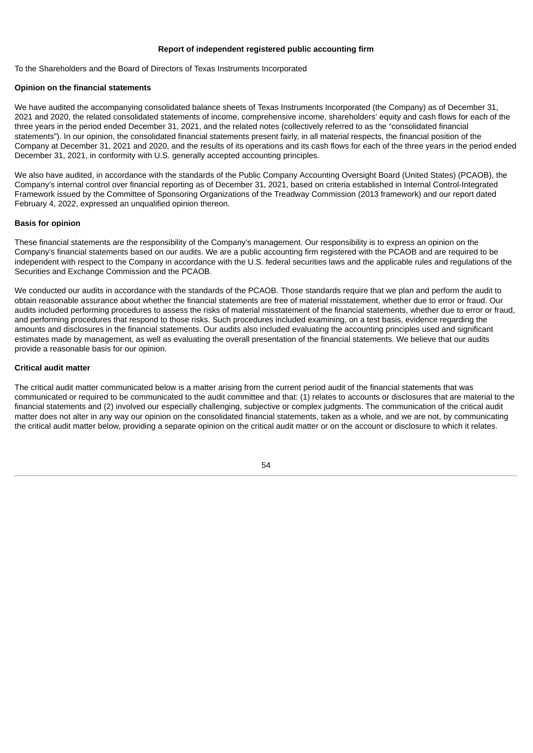#### **Report of independent registered public accounting firm**

To the Shareholders and the Board of Directors of Texas Instruments Incorporated

#### **Opinion on the financial statements**

We have audited the accompanying consolidated balance sheets of Texas Instruments Incorporated (the Company) as of December 31, 2021 and 2020, the related consolidated statements of income, comprehensive income, shareholders' equity and cash flows for each of the three years in the period ended December 31, 2021, and the related notes (collectively referred to as the "consolidated financial statements"). In our opinion, the consolidated financial statements present fairly, in all material respects, the financial position of the Company at December 31, 2021 and 2020, and the results of its operations and its cash flows for each of the three years in the period ended December 31, 2021, in conformity with U.S. generally accepted accounting principles.

We also have audited, in accordance with the standards of the Public Company Accounting Oversight Board (United States) (PCAOB), the Company's internal control over financial reporting as of December 31, 2021, based on criteria established in Internal Control-Integrated Framework issued by the Committee of Sponsoring Organizations of the Treadway Commission (2013 framework) and our report dated February 4, 2022, expressed an unqualified opinion thereon.

### **Basis for opinion**

These financial statements are the responsibility of the Company's management. Our responsibility is to express an opinion on the Company's financial statements based on our audits. We are a public accounting firm registered with the PCAOB and are required to be independent with respect to the Company in accordance with the U.S. federal securities laws and the applicable rules and regulations of the Securities and Exchange Commission and the PCAOB.

We conducted our audits in accordance with the standards of the PCAOB. Those standards require that we plan and perform the audit to obtain reasonable assurance about whether the financial statements are free of material misstatement, whether due to error or fraud. Our audits included performing procedures to assess the risks of material misstatement of the financial statements, whether due to error or fraud, and performing procedures that respond to those risks. Such procedures included examining, on a test basis, evidence regarding the amounts and disclosures in the financial statements. Our audits also included evaluating the accounting principles used and significant estimates made by management, as well as evaluating the overall presentation of the financial statements. We believe that our audits provide a reasonable basis for our opinion.

## **Critical audit matter**

The critical audit matter communicated below is a matter arising from the current period audit of the financial statements that was communicated or required to be communicated to the audit committee and that: (1) relates to accounts or disclosures that are material to the financial statements and (2) involved our especially challenging, subjective or complex judgments. The communication of the critical audit matter does not alter in any way our opinion on the consolidated financial statements, taken as a whole, and we are not, by communicating the critical audit matter below, providing a separate opinion on the critical audit matter or on the account or disclosure to which it relates.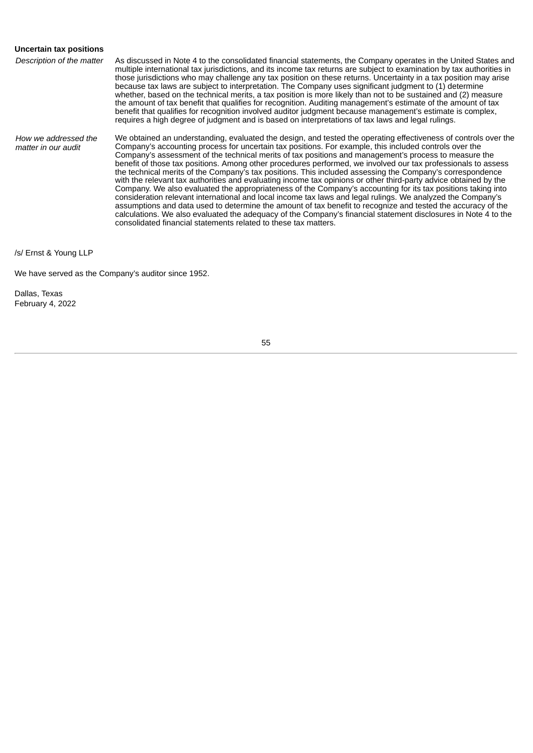# **Uncertain tax positions**

| Description of the matter                   | As discussed in Note 4 to the consolidated financial statements, the Company operates in the United States and<br>multiple international tax jurisdictions, and its income tax returns are subject to examination by tax authorities in<br>those jurisdictions who may challenge any tax position on these returns. Uncertainty in a tax position may arise<br>because tax laws are subject to interpretation. The Company uses significant judgment to (1) determine<br>whether, based on the technical merits, a tax position is more likely than not to be sustained and (2) measure<br>the amount of tax benefit that qualifies for recognition. Auditing management's estimate of the amount of tax<br>benefit that qualifies for recognition involved auditor judgment because management's estimate is complex,<br>requires a high degree of judgment and is based on interpretations of tax laws and legal rulings.                                                                                                                                                                                                                                                                                              |
|---------------------------------------------|--------------------------------------------------------------------------------------------------------------------------------------------------------------------------------------------------------------------------------------------------------------------------------------------------------------------------------------------------------------------------------------------------------------------------------------------------------------------------------------------------------------------------------------------------------------------------------------------------------------------------------------------------------------------------------------------------------------------------------------------------------------------------------------------------------------------------------------------------------------------------------------------------------------------------------------------------------------------------------------------------------------------------------------------------------------------------------------------------------------------------------------------------------------------------------------------------------------------------|
| How we addressed the<br>matter in our audit | We obtained an understanding, evaluated the design, and tested the operating effectiveness of controls over the<br>Company's accounting process for uncertain tax positions. For example, this included controls over the<br>Company's assessment of the technical merits of tax positions and management's process to measure the<br>benefit of those tax positions. Among other procedures performed, we involved our tax professionals to assess<br>the technical merits of the Company's tax positions. This included assessing the Company's correspondence<br>with the relevant tax authorities and evaluating income tax opinions or other third-party advice obtained by the<br>Company. We also evaluated the appropriateness of the Company's accounting for its tax positions taking into<br>consideration relevant international and local income tax laws and legal rulings. We analyzed the Company's<br>assumptions and data used to determine the amount of tax benefit to recognize and tested the accuracy of the<br>calculations. We also evaluated the adequacy of the Company's financial statement disclosures in Note 4 to the<br>consolidated financial statements related to these tax matters. |

/s/ Ernst & Young LLP

We have served as the Company's auditor since 1952.

Dallas, Texas February 4, 2022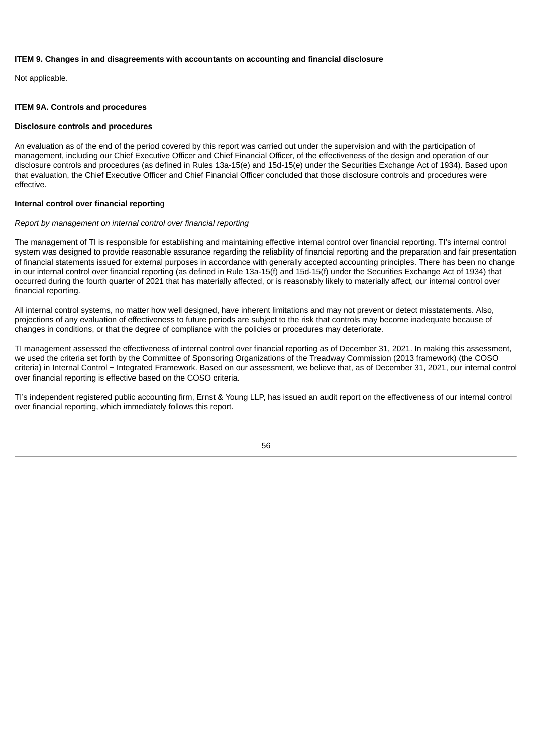## **ITEM 9. Changes in and disagreements with accountants on accounting and financial disclosure**

Not applicable.

## **ITEM 9A. Controls and procedures**

## **Disclosure controls and procedures**

An evaluation as of the end of the period covered by this report was carried out under the supervision and with the participation of management, including our Chief Executive Officer and Chief Financial Officer, of the effectiveness of the design and operation of our disclosure controls and procedures (as defined in Rules 13a-15(e) and 15d-15(e) under the Securities Exchange Act of 1934). Based upon that evaluation, the Chief Executive Officer and Chief Financial Officer concluded that those disclosure controls and procedures were effective.

## **Internal control over financial reportin**g

#### *Report by management on internal control over financial reporting*

The management of TI is responsible for establishing and maintaining effective internal control over financial reporting. TI's internal control system was designed to provide reasonable assurance regarding the reliability of financial reporting and the preparation and fair presentation of financial statements issued for external purposes in accordance with generally accepted accounting principles. There has been no change in our internal control over financial reporting (as defined in Rule 13a-15(f) and 15d-15(f) under the Securities Exchange Act of 1934) that occurred during the fourth quarter of 2021 that has materially affected, or is reasonably likely to materially affect, our internal control over financial reporting.

All internal control systems, no matter how well designed, have inherent limitations and may not prevent or detect misstatements. Also, projections of any evaluation of effectiveness to future periods are subject to the risk that controls may become inadequate because of changes in conditions, or that the degree of compliance with the policies or procedures may deteriorate.

TI management assessed the effectiveness of internal control over financial reporting as of December 31, 2021. In making this assessment, we used the criteria set forth by the Committee of Sponsoring Organizations of the Treadway Commission (2013 framework) (the COSO criteria) in Internal Control − Integrated Framework. Based on our assessment, we believe that, as of December 31, 2021, our internal control over financial reporting is effective based on the COSO criteria.

TI's independent registered public accounting firm, Ernst & Young LLP, has issued an audit report on the effectiveness of our internal control over financial reporting, which immediately follows this report.

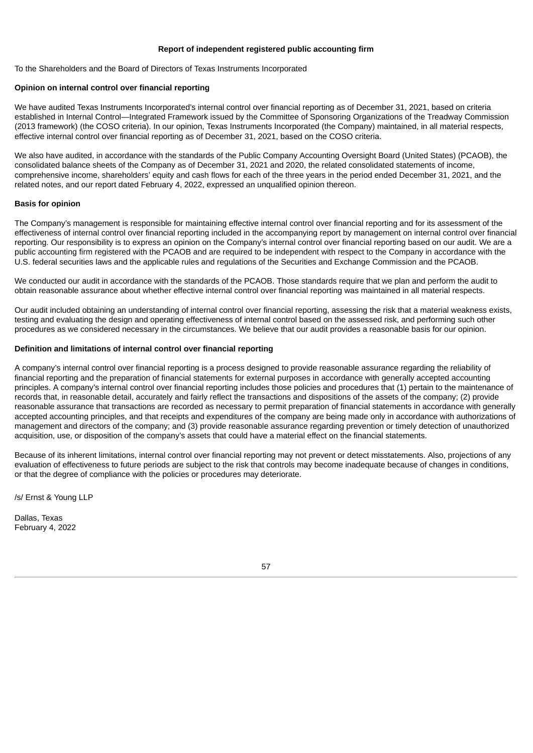#### **Report of independent registered public accounting firm**

To the Shareholders and the Board of Directors of Texas Instruments Incorporated

#### **Opinion on internal control over financial reporting**

We have audited Texas Instruments Incorporated's internal control over financial reporting as of December 31, 2021, based on criteria established in Internal Control—Integrated Framework issued by the Committee of Sponsoring Organizations of the Treadway Commission (2013 framework) (the COSO criteria). In our opinion, Texas Instruments Incorporated (the Company) maintained, in all material respects, effective internal control over financial reporting as of December 31, 2021, based on the COSO criteria.

We also have audited, in accordance with the standards of the Public Company Accounting Oversight Board (United States) (PCAOB), the consolidated balance sheets of the Company as of December 31, 2021 and 2020, the related consolidated statements of income, comprehensive income, shareholders' equity and cash flows for each of the three years in the period ended December 31, 2021, and the related notes, and our report dated February 4, 2022, expressed an unqualified opinion thereon.

#### **Basis for opinion**

The Company's management is responsible for maintaining effective internal control over financial reporting and for its assessment of the effectiveness of internal control over financial reporting included in the accompanying report by management on internal control over financial reporting. Our responsibility is to express an opinion on the Company's internal control over financial reporting based on our audit. We are a public accounting firm registered with the PCAOB and are required to be independent with respect to the Company in accordance with the U.S. federal securities laws and the applicable rules and regulations of the Securities and Exchange Commission and the PCAOB.

We conducted our audit in accordance with the standards of the PCAOB. Those standards require that we plan and perform the audit to obtain reasonable assurance about whether effective internal control over financial reporting was maintained in all material respects.

Our audit included obtaining an understanding of internal control over financial reporting, assessing the risk that a material weakness exists, testing and evaluating the design and operating effectiveness of internal control based on the assessed risk, and performing such other procedures as we considered necessary in the circumstances. We believe that our audit provides a reasonable basis for our opinion.

## **Definition and limitations of internal control over financial reporting**

A company's internal control over financial reporting is a process designed to provide reasonable assurance regarding the reliability of financial reporting and the preparation of financial statements for external purposes in accordance with generally accepted accounting principles. A company's internal control over financial reporting includes those policies and procedures that (1) pertain to the maintenance of records that, in reasonable detail, accurately and fairly reflect the transactions and dispositions of the assets of the company; (2) provide reasonable assurance that transactions are recorded as necessary to permit preparation of financial statements in accordance with generally accepted accounting principles, and that receipts and expenditures of the company are being made only in accordance with authorizations of management and directors of the company; and (3) provide reasonable assurance regarding prevention or timely detection of unauthorized acquisition, use, or disposition of the company's assets that could have a material effect on the financial statements.

Because of its inherent limitations, internal control over financial reporting may not prevent or detect misstatements. Also, projections of any evaluation of effectiveness to future periods are subject to the risk that controls may become inadequate because of changes in conditions, or that the degree of compliance with the policies or procedures may deteriorate.

/s/ Ernst & Young LLP

Dallas, Texas February 4, 2022

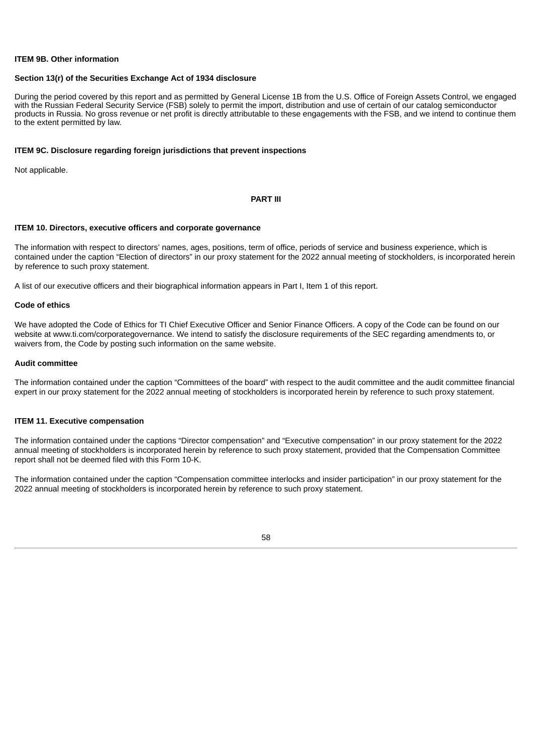### **ITEM 9B. Other information**

#### **Section 13(r) of the Securities Exchange Act of 1934 disclosure**

During the period covered by this report and as permitted by General License 1B from the U.S. Office of Foreign Assets Control, we engaged with the Russian Federal Security Service (FSB) solely to permit the import, distribution and use of certain of our catalog semiconductor products in Russia. No gross revenue or net profit is directly attributable to these engagements with the FSB, and we intend to continue them to the extent permitted by law.

## **ITEM 9C. Disclosure regarding foreign jurisdictions that prevent inspections**

Not applicable.

#### **PART III**

#### **ITEM 10. Directors, executive officers and corporate governance**

The information with respect to directors' names, ages, positions, term of office, periods of service and business experience, which is contained under the caption "Election of directors" in our proxy statement for the 2022 annual meeting of stockholders, is incorporated herein by reference to such proxy statement.

A list of our executive officers and their biographical information appears in Part I, Item 1 of this report.

#### **Code of ethics**

We have adopted the Code of Ethics for TI Chief Executive Officer and Senior Finance Officers. A copy of the Code can be found on our website at www.ti.com/corporategovernance. We intend to satisfy the disclosure requirements of the SEC regarding amendments to, or waivers from, the Code by posting such information on the same website.

#### **Audit committee**

The information contained under the caption "Committees of the board" with respect to the audit committee and the audit committee financial expert in our proxy statement for the 2022 annual meeting of stockholders is incorporated herein by reference to such proxy statement.

#### **ITEM 11. Executive compensation**

The information contained under the captions "Director compensation" and "Executive compensation" in our proxy statement for the 2022 annual meeting of stockholders is incorporated herein by reference to such proxy statement, provided that the Compensation Committee report shall not be deemed filed with this Form 10-K.

The information contained under the caption "Compensation committee interlocks and insider participation" in our proxy statement for the 2022 annual meeting of stockholders is incorporated herein by reference to such proxy statement.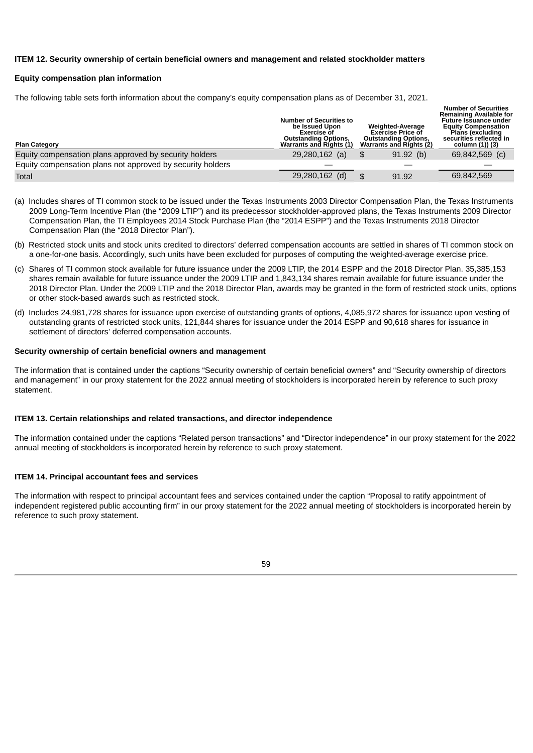## **ITEM 12. Security ownership of certain beneficial owners and management and related stockholder matters**

## **Equity compensation plan information**

The following table sets forth information about the company's equity compensation plans as of December 31, 2021.

| <b>Plan Category</b>                                       | <b>Number of Securities to</b><br>be Issued Upon<br><b>Exercise of</b><br>Outstanding Options.<br>Warrants and Rights (1) | <b>Weighted-Average</b><br><b>Exercise Price of</b><br><b>Outstanding Options.</b><br>Warrants and Rights (2) | <b>Number of Securities</b><br>Remaining Available for<br><b>Future Issuance under</b><br><b>Equity Compensation</b><br><b>Plans (excluding)</b><br>securities reflected in<br>column (1)) (3) |
|------------------------------------------------------------|---------------------------------------------------------------------------------------------------------------------------|---------------------------------------------------------------------------------------------------------------|------------------------------------------------------------------------------------------------------------------------------------------------------------------------------------------------|
| Equity compensation plans approved by security holders     | 29,280,162 (a)                                                                                                            | \$<br>$91.92$ (b)                                                                                             | 69,842,569 (c)                                                                                                                                                                                 |
| Equity compensation plans not approved by security holders |                                                                                                                           |                                                                                                               |                                                                                                                                                                                                |
| Total                                                      | 29,280,162 (d)                                                                                                            | 91.92                                                                                                         | 69.842.569                                                                                                                                                                                     |

- (a) Includes shares of TI common stock to be issued under the Texas Instruments 2003 Director Compensation Plan, the Texas Instruments 2009 Long-Term Incentive Plan (the "2009 LTIP") and its predecessor stockholder-approved plans, the Texas Instruments 2009 Director Compensation Plan, the TI Employees 2014 Stock Purchase Plan (the "2014 ESPP") and the Texas Instruments 2018 Director Compensation Plan (the "2018 Director Plan").
- (b) Restricted stock units and stock units credited to directors' deferred compensation accounts are settled in shares of TI common stock on a one-for-one basis. Accordingly, such units have been excluded for purposes of computing the weighted-average exercise price.
- (c) Shares of TI common stock available for future issuance under the 2009 LTIP, the 2014 ESPP and the 2018 Director Plan. 35,385,153 shares remain available for future issuance under the 2009 LTIP and 1,843,134 shares remain available for future issuance under the 2018 Director Plan. Under the 2009 LTIP and the 2018 Director Plan, awards may be granted in the form of restricted stock units, options or other stock-based awards such as restricted stock.
- (d) Includes 24,981,728 shares for issuance upon exercise of outstanding grants of options, 4,085,972 shares for issuance upon vesting of outstanding grants of restricted stock units, 121,844 shares for issuance under the 2014 ESPP and 90,618 shares for issuance in settlement of directors' deferred compensation accounts.

#### **Security ownership of certain beneficial owners and management**

The information that is contained under the captions "Security ownership of certain beneficial owners" and "Security ownership of directors and management" in our proxy statement for the 2022 annual meeting of stockholders is incorporated herein by reference to such proxy statement.

#### **ITEM 13. Certain relationships and related transactions, and director independence**

The information contained under the captions "Related person transactions" and "Director independence" in our proxy statement for the 2022 annual meeting of stockholders is incorporated herein by reference to such proxy statement.

## **ITEM 14. Principal accountant fees and services**

The information with respect to principal accountant fees and services contained under the caption "Proposal to ratify appointment of independent registered public accounting firm" in our proxy statement for the 2022 annual meeting of stockholders is incorporated herein by reference to such proxy statement.

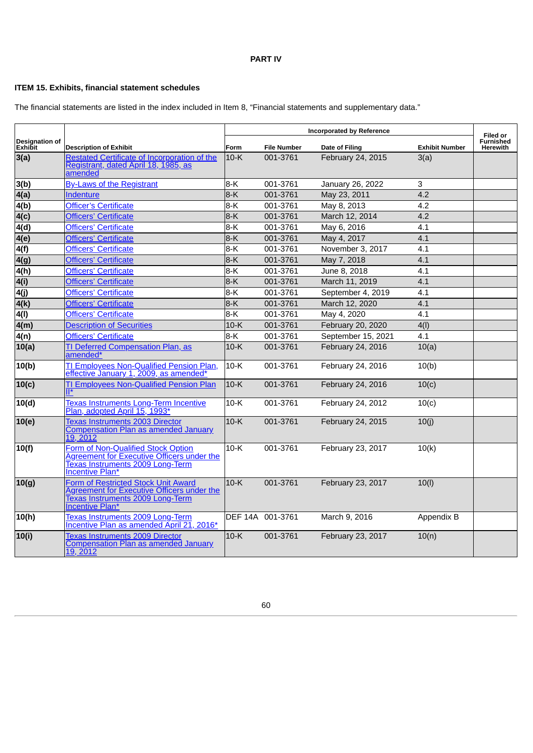## **PART IV**

# **ITEM 15. Exhibits, financial statement schedules**

The financial statements are listed in the index included in Item 8, "Financial statements and supplementary data."

|                                         |                                                                                                                                                |        |                    | <b>Incorporated by Reference</b> |                       |                                          |
|-----------------------------------------|------------------------------------------------------------------------------------------------------------------------------------------------|--------|--------------------|----------------------------------|-----------------------|------------------------------------------|
| <b>Designation of</b><br><b>Exhibit</b> | <b>Description of Exhibit</b>                                                                                                                  | Form   | <b>File Number</b> | Date of Filing                   | <b>Exhibit Number</b> | Filed or<br>Furnished<br><b>Herewith</b> |
| 3(a)                                    | Restated Certificate of Incorporation of the<br>Registrant, dated April 18, 1985, as<br>amended                                                | $10-K$ | 001-3761           | February 24, 2015                | 3(a)                  |                                          |
| 3(b)                                    | <b>By-Laws of the Registrant</b>                                                                                                               | $8-K$  | 001-3761           | January 26, 2022                 | 3                     |                                          |
| 4(a)                                    | <b>Indenture</b>                                                                                                                               | $8-K$  | 001-3761           | May 23, 2011                     | 4.2                   |                                          |
| 4(b)                                    | Officer's Certificate                                                                                                                          | $8-K$  | 001-3761           | May 8, 2013                      | 4.2                   |                                          |
| $\overline{4(c)}$                       | <b>Officers' Certificate</b>                                                                                                                   | $8-K$  | 001-3761           | March 12, 2014                   | 4.2                   |                                          |
| 4(d)                                    | <b>Officers' Certificate</b>                                                                                                                   | 8-K    | 001-3761           | May 6, 2016                      | 4.1                   |                                          |
| 4(e)                                    | Officers' Certificate                                                                                                                          | $8-K$  | 001-3761           | May 4, 2017                      | 4.1                   |                                          |
| 4(f)                                    | <b>Officers' Certificate</b>                                                                                                                   | $8-K$  | 001-3761           | November 3, 2017                 | 4.1                   |                                          |
| 4(g)                                    | Officers' Certificate                                                                                                                          | $8-K$  | 001-3761           | May 7, 2018                      | 4.1                   |                                          |
| 4(h)                                    | <b>Officers' Certificate</b>                                                                                                                   | $8-K$  | 001-3761           | June 8, 2018                     | 4.1                   |                                          |
| 4(i)                                    | Officers' Certificate                                                                                                                          | $8-K$  | 001-3761           | March 11, 2019                   | 4.1                   |                                          |
| 4(j)                                    | <b>Officers' Certificate</b>                                                                                                                   | $8-K$  | 001-3761           | September 4, 2019                | 4.1                   |                                          |
| 4(k)                                    | Officers' Certificate                                                                                                                          | $8-K$  | 001-3761           | March 12, 2020                   | 4.1                   |                                          |
| 4(1)                                    | <b>Officers' Certificate</b>                                                                                                                   | $8-K$  | 001-3761           | May 4, 2020                      | 4.1                   |                                          |
| 4(m)                                    | <b>Description of Securities</b>                                                                                                               | $10-K$ | 001-3761           | February 20, 2020                | 4(1)                  |                                          |
| 4(n)                                    | <b>Officers' Certificate</b>                                                                                                                   | $8-K$  | 001-3761           | September 15, 2021               | 4.1                   |                                          |
| 10(a)                                   | TI Deferred Compensation Plan, as<br>amended*                                                                                                  | $10-K$ | 001-3761           | February 24, 2016                | 10(a)                 |                                          |
| 10(b)                                   | <b>TI Employees Non-Qualified Pension Plan.</b><br>effective January 1, 2009, as amended*                                                      | $10-K$ | 001-3761           | February 24, 2016                | 10(b)                 |                                          |
| 10(c)                                   | <b>TI Employees Non-Qualified Pension Plan</b>                                                                                                 | $10-K$ | 001-3761           | February 24, 2016                | 10(c)                 |                                          |
| 10(d)                                   | <b>Texas Instruments Long-Term Incentive</b><br>Plan, adopted April 15, 1993*                                                                  | $10-K$ | 001-3761           | February 24, 2012                | 10(c)                 |                                          |
| 10(e)                                   | <b>Texas Instruments 2003 Director</b><br><b>Compensation Plan as amended January</b><br>19, 2012                                              | $10-K$ | 001-3761           | February 24, 2015                | 10(i)                 |                                          |
| 10(f)                                   | Form of Non-Qualified Stock Option<br>Agreement for Executive Officers under the<br>Texas Instruments 2009 Long-Term<br><b>Incentive Plan*</b> | $10-K$ | 001-3761           | February 23, 2017                | 10(k)                 |                                          |
| 10(g)                                   | Form of Restricted Stock Unit Award<br>Agreement for Executive Officers under the<br>Texas Instruments 2009 Long-Term<br>Incentive Plan*       | $10-K$ | 001-3761           | February 23, 2017                | 10(1)                 |                                          |
| 10(h)                                   | <b>Texas Instruments 2009 Long-Term</b><br>Incentive Plan as amended April 21, 2016*                                                           |        | DEF 14A 001-3761   | March 9, 2016                    | Appendix B            |                                          |
| 10(i)                                   | <b>Texas Instruments 2009 Director</b><br><b>Compensation Plan as amended January</b><br>19.2012                                               | $10-K$ | 001-3761           | February 23, 2017                | 10(n)                 |                                          |

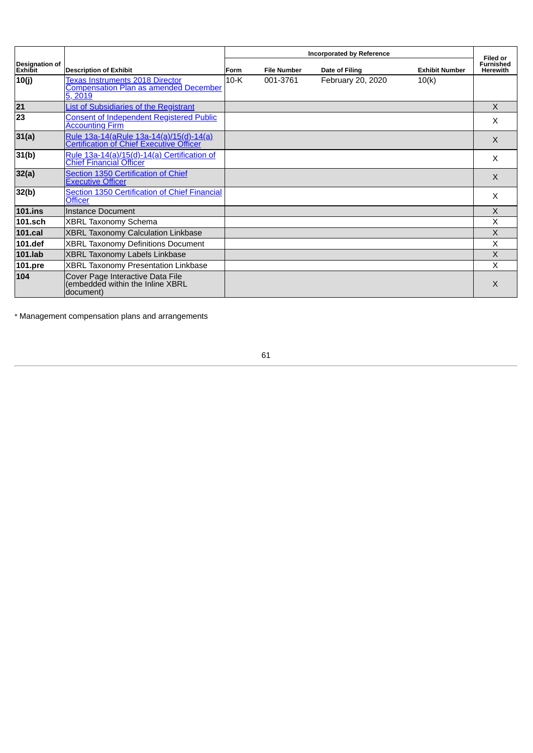|                                  |                                                                                                          |        |                    | <b>Incorporated by Reference</b> |                       | Filed or                            |
|----------------------------------|----------------------------------------------------------------------------------------------------------|--------|--------------------|----------------------------------|-----------------------|-------------------------------------|
| <b>Designation of</b><br>Exhibit | <b>Description of Exhibit</b>                                                                            | Form   | <b>File Number</b> | Date of Filing                   | <b>Exhibit Number</b> | <b>Furnished</b><br><b>Herewith</b> |
| 10(j)                            | <b>Texas Instruments 2018 Director</b><br><b>Compensation Plan as amended December</b><br><u>5, 2019</u> | $10-K$ | 001-3761           | February 20, 2020                | 10(k)                 |                                     |
| 21                               | <b>List of Subsidiaries of the Registrant</b>                                                            |        |                    |                                  |                       | X                                   |
| 23                               | <b>Consent of Independent Registered Public</b><br><b>Accounting Firm</b>                                |        |                    |                                  |                       | X                                   |
| 31(a)                            | Rule 13a-14(aRule 13a-14(a)/15(d)-14(a)<br><b>Certification of Chief Executive Officer</b>               |        |                    |                                  |                       | X                                   |
| 31(b)                            | Rule 13a-14(a)/15(d)-14(a) Certification of<br>Chief Financial Officer                                   |        |                    |                                  |                       | X                                   |
| 32(a)                            | Section 1350 Certification of Chief<br><b>Executive Officer</b>                                          |        |                    |                                  |                       | $\times$                            |
| 32(b)                            | <b>Section 1350 Certification of Chief Financial</b><br><b>Officer</b>                                   |        |                    |                                  |                       | X                                   |
| 101.ins                          | Instance Document                                                                                        |        |                    |                                  |                       | X                                   |
| 101.sch                          | <b>XBRL Taxonomy Schema</b>                                                                              |        |                    |                                  |                       | X                                   |
| <b>101.cal</b>                   | XBRL Taxonomy Calculation Linkbase                                                                       |        |                    |                                  |                       | X                                   |
| 101.def                          | <b>XBRL Taxonomy Definitions Document</b>                                                                |        |                    |                                  |                       | X                                   |
| 101.lab                          | XBRL Taxonomy Labels Linkbase                                                                            |        |                    |                                  |                       | X                                   |
| 101.pre                          | <b>XBRL Taxonomy Presentation Linkbase</b>                                                               |        |                    |                                  |                       | X                                   |
| 104                              | Cover Page Interactive Data File<br>(embedded within the Inline XBRL<br>document)                        |        |                    |                                  |                       | X                                   |

\* Management compensation plans and arrangements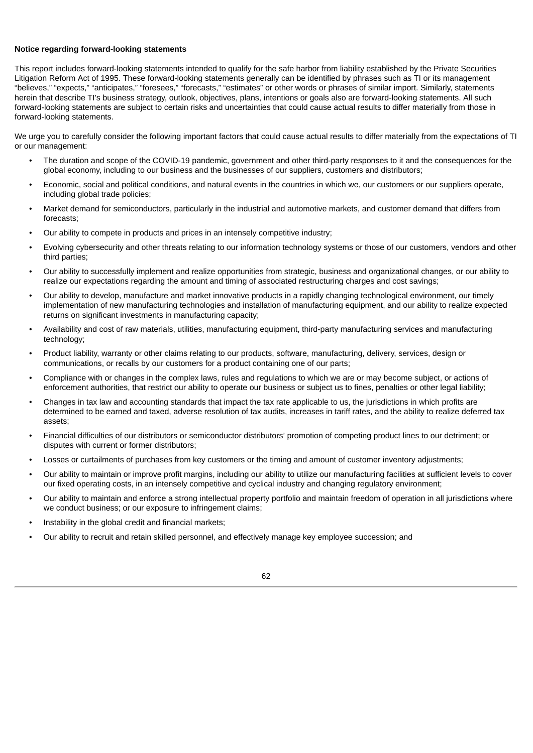#### **Notice regarding forward-looking statements**

This report includes forward-looking statements intended to qualify for the safe harbor from liability established by the Private Securities Litigation Reform Act of 1995. These forward-looking statements generally can be identified by phrases such as TI or its management "believes," "expects," "anticipates," "foresees," "forecasts," "estimates" or other words or phrases of similar import. Similarly, statements herein that describe TI's business strategy, outlook, objectives, plans, intentions or goals also are forward-looking statements. All such forward-looking statements are subject to certain risks and uncertainties that could cause actual results to differ materially from those in forward-looking statements.

We urge you to carefully consider the following important factors that could cause actual results to differ materially from the expectations of TI or our management:

- The duration and scope of the COVID-19 pandemic, government and other third-party responses to it and the consequences for the global economy, including to our business and the businesses of our suppliers, customers and distributors;
- Economic, social and political conditions, and natural events in the countries in which we, our customers or our suppliers operate, including global trade policies;
- Market demand for semiconductors, particularly in the industrial and automotive markets, and customer demand that differs from forecasts;
- Our ability to compete in products and prices in an intensely competitive industry;
- Evolving cybersecurity and other threats relating to our information technology systems or those of our customers, vendors and other third parties;
- Our ability to successfully implement and realize opportunities from strategic, business and organizational changes, or our ability to realize our expectations regarding the amount and timing of associated restructuring charges and cost savings;
- Our ability to develop, manufacture and market innovative products in a rapidly changing technological environment, our timely implementation of new manufacturing technologies and installation of manufacturing equipment, and our ability to realize expected returns on significant investments in manufacturing capacity;
- Availability and cost of raw materials, utilities, manufacturing equipment, third-party manufacturing services and manufacturing technology;
- Product liability, warranty or other claims relating to our products, software, manufacturing, delivery, services, design or communications, or recalls by our customers for a product containing one of our parts;
- Compliance with or changes in the complex laws, rules and regulations to which we are or may become subject, or actions of enforcement authorities, that restrict our ability to operate our business or subject us to fines, penalties or other legal liability;
- Changes in tax law and accounting standards that impact the tax rate applicable to us, the jurisdictions in which profits are determined to be earned and taxed, adverse resolution of tax audits, increases in tariff rates, and the ability to realize deferred tax assets;
- Financial difficulties of our distributors or semiconductor distributors' promotion of competing product lines to our detriment; or disputes with current or former distributors;
- Losses or curtailments of purchases from key customers or the timing and amount of customer inventory adjustments;
- Our ability to maintain or improve profit margins, including our ability to utilize our manufacturing facilities at sufficient levels to cover our fixed operating costs, in an intensely competitive and cyclical industry and changing regulatory environment;
- Our ability to maintain and enforce a strong intellectual property portfolio and maintain freedom of operation in all jurisdictions where we conduct business; or our exposure to infringement claims;
- Instability in the global credit and financial markets;
- Our ability to recruit and retain skilled personnel, and effectively manage key employee succession; and

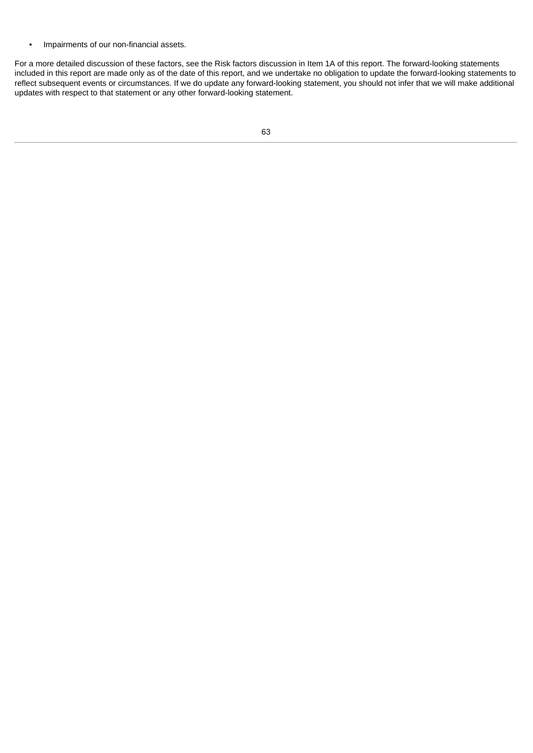• Impairments of our non-financial assets.

For a more detailed discussion of these factors, see the Risk factors discussion in Item 1A of this report. The forward-looking statements included in this report are made only as of the date of this report, and we undertake no obligation to update the forward-looking statements to reflect subsequent events or circumstances. If we do update any forward-looking statement, you should not infer that we will make additional updates with respect to that statement or any other forward-looking statement.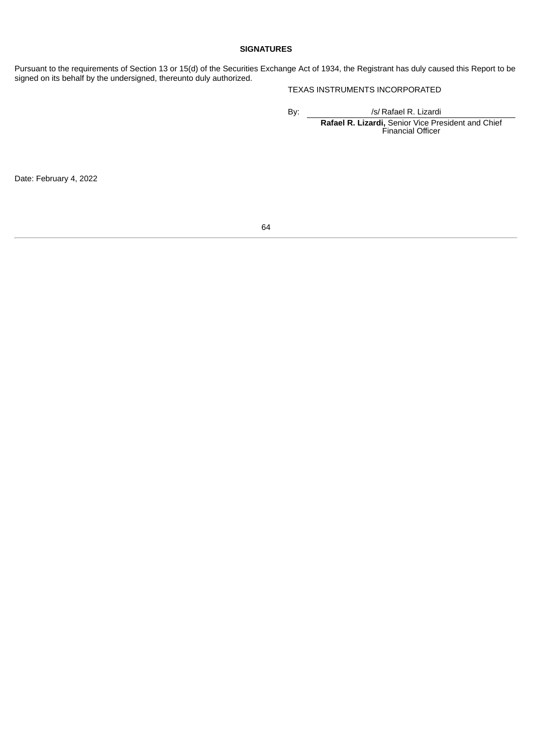## **SIGNATURES**

Pursuant to the requirements of Section 13 or 15(d) of the Securities Exchange Act of 1934, the Registrant has duly caused this Report to be signed on its behalf by the undersigned, thereunto duly authorized.

# TEXAS INSTRUMENTS INCORPORATED

By: /s/ Rafael R. Lizardi

**Rafael R. Lizardi,** Senior Vice President and Chief Financial Officer

Date: February 4, 2022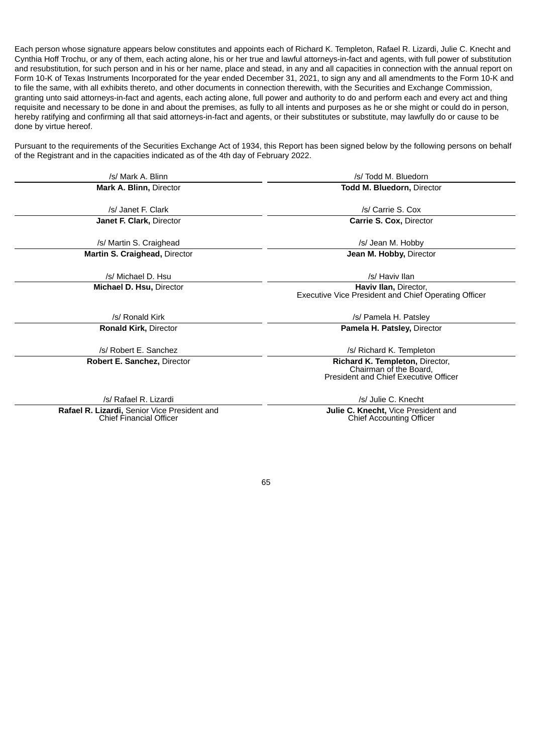Each person whose signature appears below constitutes and appoints each of Richard K. Templeton, Rafael R. Lizardi, Julie C. Knecht and Cynthia Hoff Trochu, or any of them, each acting alone, his or her true and lawful attorneys-in-fact and agents, with full power of substitution and resubstitution, for such person and in his or her name, place and stead, in any and all capacities in connection with the annual report on Form 10-K of Texas Instruments Incorporated for the year ended December 31, 2021, to sign any and all amendments to the Form 10-K and to file the same, with all exhibits thereto, and other documents in connection therewith, with the Securities and Exchange Commission, granting unto said attorneys-in-fact and agents, each acting alone, full power and authority to do and perform each and every act and thing requisite and necessary to be done in and about the premises, as fully to all intents and purposes as he or she might or could do in person, hereby ratifying and confirming all that said attorneys-in-fact and agents, or their substitutes or substitute, may lawfully do or cause to be done by virtue hereof.

Pursuant to the requirements of the Securities Exchange Act of 1934, this Report has been signed below by the following persons on behalf of the Registrant and in the capacities indicated as of the 4th day of February 2022.

| /s/ Mark A. Blinn                            | /s/ Todd M. Bluedorn                                                          |
|----------------------------------------------|-------------------------------------------------------------------------------|
| Mark A. Blinn, Director                      | <b>Todd M. Bluedorn, Director</b>                                             |
|                                              |                                                                               |
| /s/ Janet F. Clark                           | /s/ Carrie S. Cox                                                             |
| Janet F. Clark, Director                     | Carrie S. Cox, Director                                                       |
| /s/ Martin S. Craighead                      | /s/ Jean M. Hobby                                                             |
| Martin S. Craighead, Director                | Jean M. Hobby, Director                                                       |
|                                              |                                                                               |
| /s/ Michael D. Hsu                           | /s/ Haviv Ilan                                                                |
| Michael D. Hsu, Director                     | Haviv Ilan, Director,<br>Executive Vice President and Chief Operating Officer |
|                                              |                                                                               |
| /s/ Ronald Kirk                              | /s/ Pamela H. Patsley                                                         |
| <b>Ronald Kirk, Director</b>                 | Pamela H. Patsley, Director                                                   |
| /s/ Robert E. Sanchez                        |                                                                               |
|                                              | /s/ Richard K. Templeton                                                      |
| Robert E. Sanchez, Director                  | Richard K. Templeton, Director,                                               |
|                                              | Chairman of the Board,                                                        |
|                                              | President and Chief Executive Officer                                         |
| /s/ Rafael R. Lizardi                        | /s/ Julie C. Knecht                                                           |
| Rafael R. Lizardi, Senior Vice President and | Julie C. Knecht, Vice President and                                           |
| <b>Chief Financial Officer</b>               | <b>Chief Accounting Officer</b>                                               |
|                                              |                                                                               |
|                                              |                                                                               |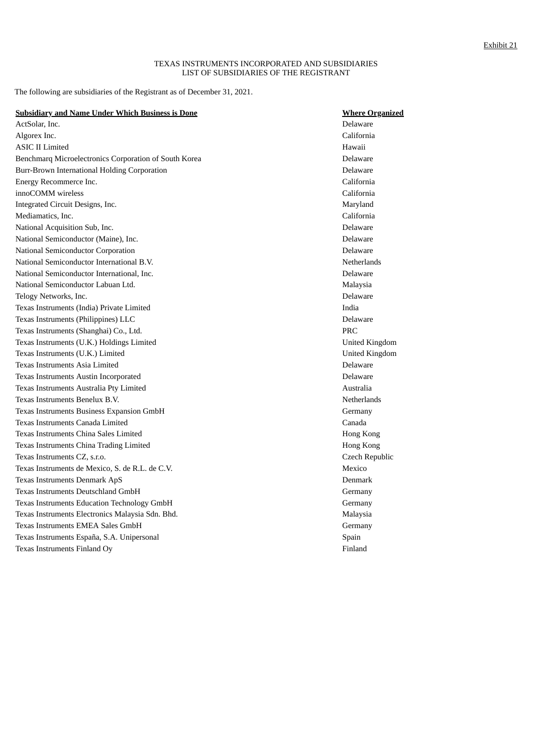## TEXAS INSTRUMENTS INCORPORATED AND SUBSIDIARIES LIST OF SUBSIDIARIES OF THE REGISTRANT

<span id="page-65-0"></span>The following are subsidiaries of the Registrant as of December 31, 2021.

| <b>Subsidiary and Name Under Which Business is Done</b> | <b>Where Organized</b> |
|---------------------------------------------------------|------------------------|
| ActSolar, Inc.                                          | Delaware               |
| Algorex Inc.                                            | California             |
| <b>ASIC II Limited</b>                                  | Hawaii                 |
| Benchmarq Microelectronics Corporation of South Korea   | Delaware               |
| Burr-Brown International Holding Corporation            | Delaware               |
| Energy Recommerce Inc.                                  | California             |
| innoCOMM wireless                                       | California             |
| Integrated Circuit Designs, Inc.                        | Maryland               |
| Mediamatics, Inc.                                       | California             |
| National Acquisition Sub, Inc.                          | Delaware               |
| National Semiconductor (Maine), Inc.                    | Delaware               |
| National Semiconductor Corporation                      | Delaware               |
| National Semiconductor International B.V.               | Netherlands            |
| National Semiconductor International, Inc.              | Delaware               |
| National Semiconductor Labuan Ltd.                      | Malaysia               |
| Telogy Networks, Inc.                                   | Delaware               |
| Texas Instruments (India) Private Limited               | India                  |
| Texas Instruments (Philippines) LLC                     | Delaware               |
| Texas Instruments (Shanghai) Co., Ltd.                  | <b>PRC</b>             |
| Texas Instruments (U.K.) Holdings Limited               | <b>United Kingdom</b>  |
| Texas Instruments (U.K.) Limited                        | <b>United Kingdom</b>  |
| Texas Instruments Asia Limited                          | Delaware               |
| Texas Instruments Austin Incorporated                   | Delaware               |
| Texas Instruments Australia Pty Limited                 | Australia              |
| Texas Instruments Benelux B.V.                          | Netherlands            |
| Texas Instruments Business Expansion GmbH               | Germany                |
| Texas Instruments Canada Limited                        | Canada                 |
| Texas Instruments China Sales Limited                   | Hong Kong              |
| Texas Instruments China Trading Limited                 | Hong Kong              |
| Texas Instruments CZ, s.r.o.                            | Czech Republic         |
| Texas Instruments de Mexico, S. de R.L. de C.V.         | Mexico                 |
| Texas Instruments Denmark ApS                           | Denmark                |
| Texas Instruments Deutschland GmbH                      | Germany                |
| Texas Instruments Education Technology GmbH             | Germany                |
| Texas Instruments Electronics Malaysia Sdn. Bhd.        | Malaysia               |
| Texas Instruments EMEA Sales GmbH                       | Germany                |
| Texas Instruments España, S.A. Unipersonal              | Spain                  |
| Texas Instruments Finland Oy                            | Finland                |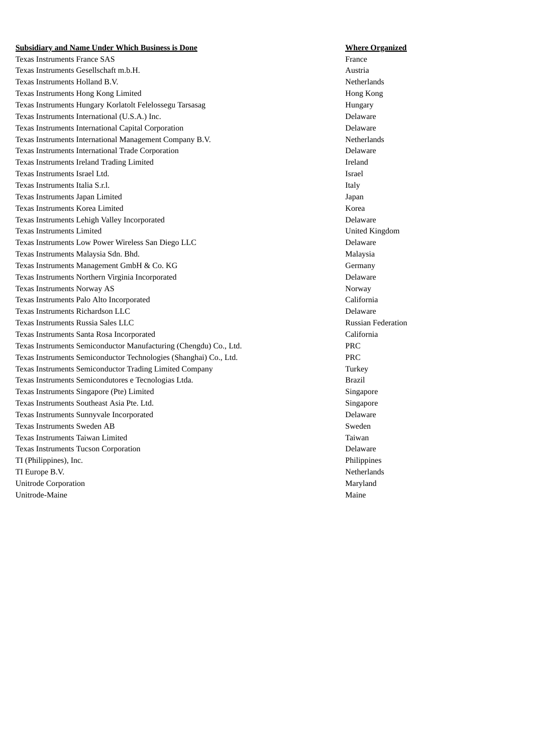## **Subsidiary and Name Under Which Business is Done Where Organized**

**Texas Instruments France SAS** France SAS France SAS France SAS France **France** France **SAS** France **France France France France France France France France France France France France France Fran** Texas Instruments Gesellschaft m.b.H. Austria Texas Instruments Holland B.V. Netherlands Texas Instruments Hong Kong Limited Hong Kong Texas Instruments Hungary Korlatolt Felelossegu Tarsasag entertainments Hungary Texas Instruments International (U.S.A.) Inc. Delaware Texas Instruments International Capital Corporation Delaware Texas Instruments International Management Company B.V. Netherlands Texas Instruments International Trade Corporation Delaware Texas Instruments Ireland Trading Limited **Ireland** Ireland Texas Instruments Israel Ltd. Israel Texas Instruments Italia S.r.l. Italy **Texas Instruments Japan Limited Serverse Serverse Serverse Serverse Serverse Serverse Serverse Serverse Serverse Serverse Serverse Serverse Serverse Serverse Serverse Serverse Serverse Serverse Serverse Serverse Serverse** Texas Instruments Korea Limited **Korea Example 2018** Korea Korea Korea Korea Korea Korea Korea Korea Korea Korea Korea Korea Korea Korea Korea Korea Korea Korea Korea Korea Korea Korea Korea Korea Korea Korea Korea Korea K Texas Instruments Lehigh Valley Incorporated Delaware Texas Instruments Limited United Kingdom Texas Instruments Low Power Wireless San Diego LLC Delaware Texas Instruments Malaysia Sdn. Bhd. Malaysia Sdn. And Malaysia Sdn. Malaysia Sdn. Malaysia Sdn. Malaysia Sdn. Malaysia Sdn. Malaysia Sdn. Malaysia Sdn. Malaysia Sdn. Malaysia Sdn. Malaysia Sdn. Malaysia Sdn. Malaysia Sdn. Texas Instruments Management GmbH & Co. KG Germany Texas Instruments Northern Virginia Incorporated Delaware Texas Instruments Norway AS Norway Texas Instruments Palo Alto Incorporated California Texas Instruments Richardson LLC Delaware Texas Instruments Russia Sales LLC Russian Federation Texas Instruments Santa Rosa Incorporated California Texas Instruments Semiconductor Manufacturing (Chengdu) Co., Ltd. PRC Texas Instruments Semiconductor Technologies (Shanghai) Co., Ltd. PRC Texas Instruments Semiconductor Trading Limited Company Turkey Texas Instruments Semicondutores e Tecnologias Ltda. Brazil Texas Instruments Singapore (Pte) Limited Singapore Texas Instruments Southeast Asia Pte. Ltd. Singapore Texas Instruments Sunnyvale Incorporated Delaware Texas Instruments Sweden AB Sweden Texas Instruments Taiwan Limited **Taiwan** Compared Taiwan Compared Taiwan Taiwan Taiwan Taiwan Taiwan Taiwan Taiwan Taiwan Taiwan Taiwan Taiwan Taiwan Taiwan Taiwan Taiwan Taiwan Taiwan Taiwan Taiwan Taiwan Taiwan Taiwan T Texas Instruments Tucson Corporation Delaware TI (Philippines), Inc. Philippines and the contract of the contract of the philippines of the Philippines of the Philippines of the Philippines of the Philippines of the Philippines of the Philippines of the Philippines of TI Europe B.V. Netherlands Unitrode Corporation **Maryland** Maryland Maryland Maryland Maryland Maryland Maryland Maryland Maryland Maryland Maryland Maryland Maryland Maryland Maryland Maryland Maryland Maryland Maryland Maryland Maryland Maryland M Unitrode-Maine Maine and the Maintenance of the Maintenance of the Maintenance of the Maintenance of the Maintenance of the Maintenance of the Maintenance of the Maintenance of the Maintenance of the Maintenance of the Mai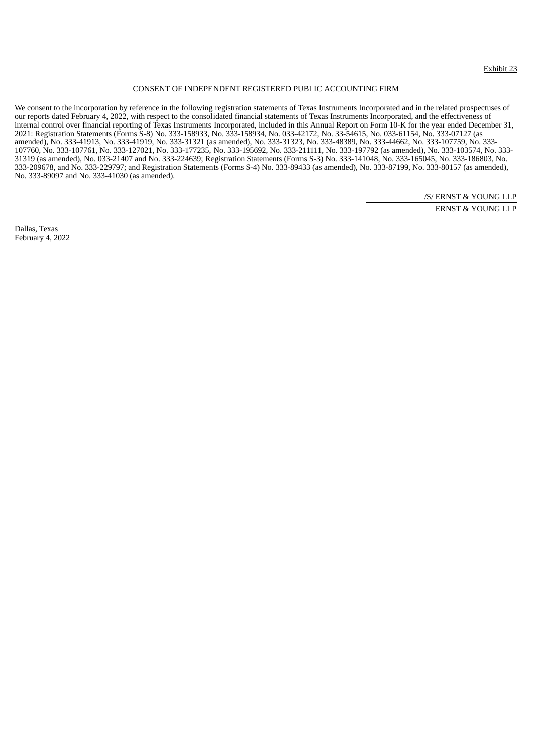## CONSENT OF INDEPENDENT REGISTERED PUBLIC ACCOUNTING FIRM

<span id="page-67-0"></span>We consent to the incorporation by reference in the following registration statements of Texas Instruments Incorporated and in the related prospectuses of our reports dated February 4, 2022, with respect to the consolidated financial statements of Texas Instruments Incorporated, and the effectiveness of internal control over financial reporting of Texas Instruments Incorporated, included in this Annual Report on Form 10-K for the year ended December 31, 2021: Registration Statements (Forms S-8) No. 333-158933, No. 333-158934, No. 033-42172, No. 33-54615, No. 033-61154, No. 333-07127 (as amended), No. 333-41913, No. 333-41919, No. 333-31321 (as amended), No. 333-31323, No. 333-48389, No. 333-44662, No. 333-107759, No. 333- 107760, No. 333-107761, No. 333-127021, No. 333-177235, No. 333-195692, No. 333-211111, No. 333-197792 (as amended), No. 333-103574, No. 333- 31319 (as amended), No. 033-21407 and No. 333-224639; Registration Statements (Forms S-3) No. 333-141048, No. 333-165045, No. 333-186803, No. 333-209678, and No. 333-229797; and Registration Statements (Forms S-4) No. 333-89433 (as amended), No. 333-87199, No. 333-80157 (as amended), No. 333-89097 and No. 333-41030 (as amended).

/S/ ERNST & YOUNG LLP

ERNST & YOUNG LLP

Dallas, Texas February 4, 2022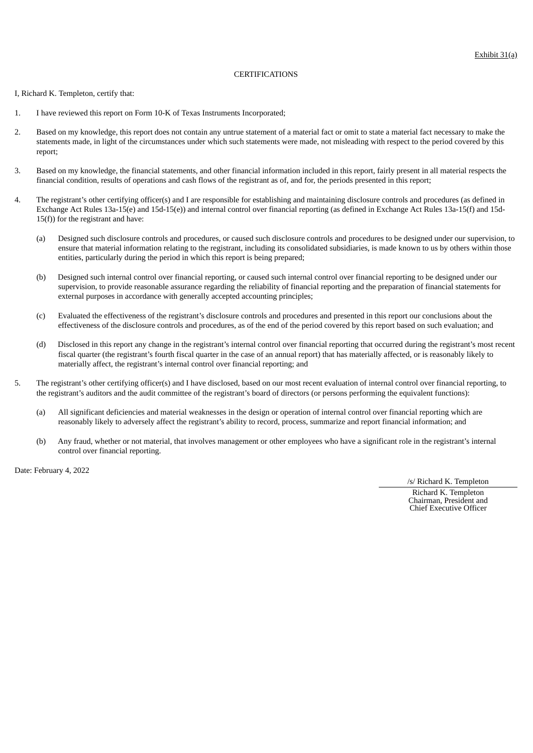## **CERTIFICATIONS**

<span id="page-68-0"></span>I, Richard K. Templeton, certify that:

- 1. I have reviewed this report on Form 10-K of Texas Instruments Incorporated;
- 2. Based on my knowledge, this report does not contain any untrue statement of a material fact or omit to state a material fact necessary to make the statements made, in light of the circumstances under which such statements were made, not misleading with respect to the period covered by this report;
- 3. Based on my knowledge, the financial statements, and other financial information included in this report, fairly present in all material respects the financial condition, results of operations and cash flows of the registrant as of, and for, the periods presented in this report;
- 4. The registrant's other certifying officer(s) and I are responsible for establishing and maintaining disclosure controls and procedures (as defined in Exchange Act Rules 13a-15(e) and 15d-15(e)) and internal control over financial reporting (as defined in Exchange Act Rules 13a-15(f) and 15d-15(f)) for the registrant and have:
	- (a) Designed such disclosure controls and procedures, or caused such disclosure controls and procedures to be designed under our supervision, to ensure that material information relating to the registrant, including its consolidated subsidiaries, is made known to us by others within those entities, particularly during the period in which this report is being prepared;
	- (b) Designed such internal control over financial reporting, or caused such internal control over financial reporting to be designed under our supervision, to provide reasonable assurance regarding the reliability of financial reporting and the preparation of financial statements for external purposes in accordance with generally accepted accounting principles;
	- (c) Evaluated the effectiveness of the registrant's disclosure controls and procedures and presented in this report our conclusions about the effectiveness of the disclosure controls and procedures, as of the end of the period covered by this report based on such evaluation; and
	- (d) Disclosed in this report any change in the registrant's internal control over financial reporting that occurred during the registrant's most recent fiscal quarter (the registrant's fourth fiscal quarter in the case of an annual report) that has materially affected, or is reasonably likely to materially affect, the registrant's internal control over financial reporting; and
- 5. The registrant's other certifying officer(s) and I have disclosed, based on our most recent evaluation of internal control over financial reporting, to the registrant's auditors and the audit committee of the registrant's board of directors (or persons performing the equivalent functions):
	- (a) All significant deficiencies and material weaknesses in the design or operation of internal control over financial reporting which are reasonably likely to adversely affect the registrant's ability to record, process, summarize and report financial information; and
	- (b) Any fraud, whether or not material, that involves management or other employees who have a significant role in the registrant's internal control over financial reporting.

Date: February 4, 2022

/s/ Richard K. Templeton

Richard K. Templeton Chairman, President and Chief Executive Officer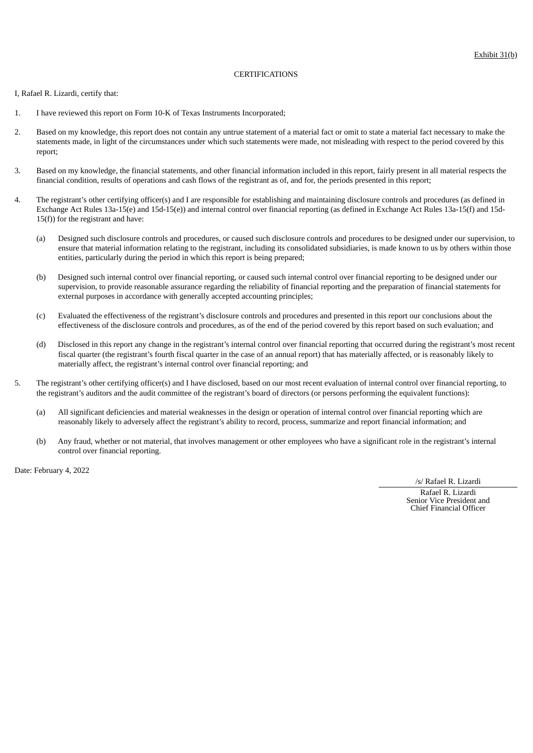## **CERTIFICATIONS**

#### <span id="page-69-0"></span>I, Rafael R. Lizardi, certify that:

- 1. I have reviewed this report on Form 10-K of Texas Instruments Incorporated;
- 2. Based on my knowledge, this report does not contain any untrue statement of a material fact or omit to state a material fact necessary to make the statements made, in light of the circumstances under which such statements were made, not misleading with respect to the period covered by this report;
- 3. Based on my knowledge, the financial statements, and other financial information included in this report, fairly present in all material respects the financial condition, results of operations and cash flows of the registrant as of, and for, the periods presented in this report;
- 4. The registrant's other certifying officer(s) and I are responsible for establishing and maintaining disclosure controls and procedures (as defined in Exchange Act Rules 13a-15(e) and 15d-15(e)) and internal control over financial reporting (as defined in Exchange Act Rules 13a-15(f) and 15d-15(f)) for the registrant and have:
	- (a) Designed such disclosure controls and procedures, or caused such disclosure controls and procedures to be designed under our supervision, to ensure that material information relating to the registrant, including its consolidated subsidiaries, is made known to us by others within those entities, particularly during the period in which this report is being prepared;
	- (b) Designed such internal control over financial reporting, or caused such internal control over financial reporting to be designed under our supervision, to provide reasonable assurance regarding the reliability of financial reporting and the preparation of financial statements for external purposes in accordance with generally accepted accounting principles;
	- (c) Evaluated the effectiveness of the registrant's disclosure controls and procedures and presented in this report our conclusions about the effectiveness of the disclosure controls and procedures, as of the end of the period covered by this report based on such evaluation; and
	- (d) Disclosed in this report any change in the registrant's internal control over financial reporting that occurred during the registrant's most recent fiscal quarter (the registrant's fourth fiscal quarter in the case of an annual report) that has materially affected, or is reasonably likely to materially affect, the registrant's internal control over financial reporting; and
- 5. The registrant's other certifying officer(s) and I have disclosed, based on our most recent evaluation of internal control over financial reporting, to the registrant's auditors and the audit committee of the registrant's board of directors (or persons performing the equivalent functions):
	- (a) All significant deficiencies and material weaknesses in the design or operation of internal control over financial reporting which are reasonably likely to adversely affect the registrant's ability to record, process, summarize and report financial information; and
	- (b) Any fraud, whether or not material, that involves management or other employees who have a significant role in the registrant's internal control over financial reporting.

Date: February 4, 2022

/s/ Rafael R. Lizardi

Rafael R. Lizardi Senior Vice President and Chief Financial Officer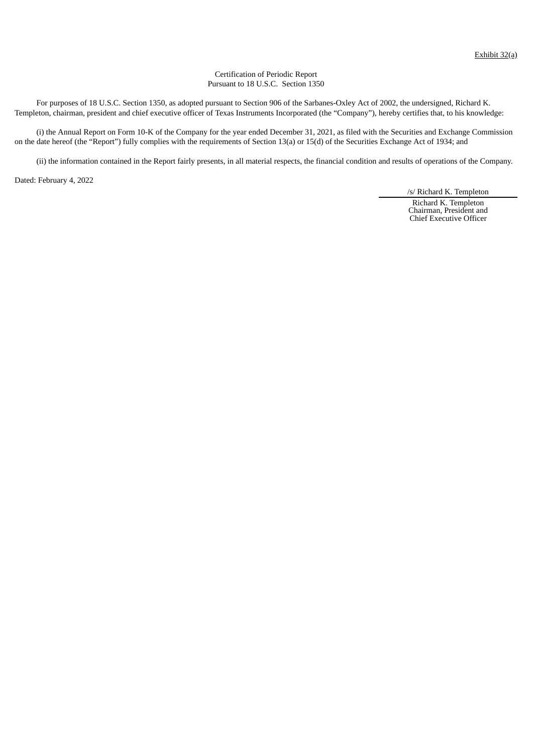#### Certification of Periodic Report Pursuant to 18 U.S.C. Section 1350

<span id="page-70-0"></span>For purposes of 18 U.S.C. Section 1350, as adopted pursuant to Section 906 of the Sarbanes-Oxley Act of 2002, the undersigned, Richard K. Templeton, chairman, president and chief executive officer of Texas Instruments Incorporated (the "Company"), hereby certifies that, to his knowledge:

(i) the Annual Report on Form 10-K of the Company for the year ended December 31, 2021, as filed with the Securities and Exchange Commission on the date hereof (the "Report") fully complies with the requirements of Section 13(a) or 15(d) of the Securities Exchange Act of 1934; and

(ii) the information contained in the Report fairly presents, in all material respects, the financial condition and results of operations of the Company.

Dated: February 4, 2022

/s/ Richard K. Templeton

Richard K. Templeton Chairman, President and Chief Executive Officer